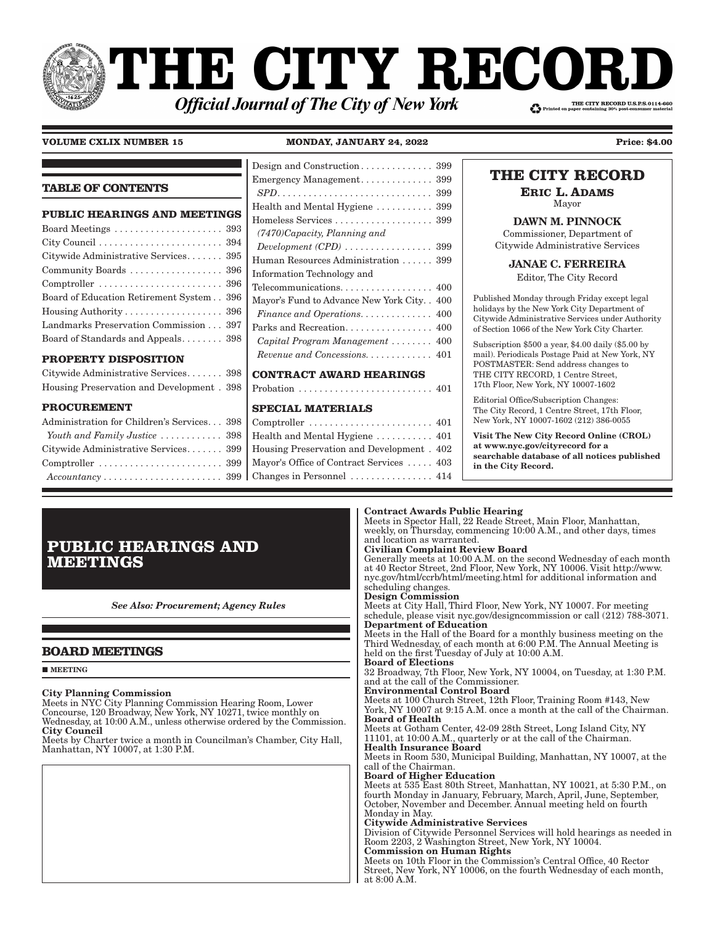# THE CITY RECORI THE CITY RECORD U.S.P.S.0114-660 **Official Journal of The City of New York**

#### **VOLUME CXLIX NUMBER 15 MONDAY, JANUARY 24, 2022**

Changes in Personnel . . . . . . . . . . . . . . . . 414

| <b>Price: \$4.00</b> |  |
|----------------------|--|
|                      |  |

#### **TABLE OF CONTENTS PUBLIC HEARINGS AND MEETINGS** Board Meetings . . . . . . . . . . . . . . . . . . . . . 393 City Council . . . . . . . . . . . . . . . . . . . . . . . . 394 Citywide Administrative Services . . . . . . . 395 Community Boards . . . . . . . . . . . . . . . . . . 396 Comptroller . . . . . . . . . . . . . . . . . . . . . . . . 396 Board of Education Retirement System . . 396 Housing Authority . . . . . . . . . . . . . . . . . . . 396 Landmarks Preservation Commission . . . 397 Board of Standards and Appeals . . . . . . . . 398 **PROPERTY DISPOSITION** Citywide Administrative Services . . . . . . . 398 Housing Preservation and Development . 398 **PROCUREMENT** Administration for Children's Services . . . 398 *Youth and Family Justice*  $\dots \dots \dots \dots$  398 Citywide Administrative Services . . . . . . . 399 Comptroller . . . . . . . . . . . . . . . . . . . . . . . . 399 Design and Construction . . . . . . . . . . . . . . 399 Emergency Management . . . . . . . . . . . . . . 399 *SPD� � � � � � � � � � � � � � � � � � � � � � � � � � � � � �* 399 Health and Mental Hygiene . . . . . . . . . . . 399 Homeless Services . . . . . . . . . . . . . . . . . . . 399 *(7470)Capacity, Planning and*   $D \neq D$   $D \neq D$   $D \neq D$   $\neq \dots$   $\dots$   $\dots$   $\dots$   $\dots$  399 Human Resources Administration . . . . . . 399 Information Technology and Telecommunications. . . . . . . . . . . . . . . . . . 400 Mayor's Fund to Advance New York City . . 400  $F$ *inance and Operations.*  $\dots \dots \dots \dots$  400 Parks and Recreation. . . . . . . . . . . . . . . 400  $Capital$   $Program$   $Management$   $\dots$   $\dots$   $400$ *Revenue and Concessions.............* 401 **CONTRACT AWARD HEARINGS** Probation . . . . . . . . . . . . . . . . . . . . . . . . . . 401 **SPECIAL MATERIALS** Comptroller . . . . . . . . . . . . . . . . . . . . . . . . 401 Health and Mental Hygiene . . . . . . . . . . . 401 Housing Preservation and Development . 402 Mayor's Office of Contract Services . . . . . 403

#### **THE CITY RECORD ERIC L. ADAMS** Mayor DAWN M. PINNOCK Commissioner, Department of Citywide Administrative Services JANAE C. FERREIRA Editor, The City Record Published Monday through Friday except legal holidays by the New York City Department of Citywide Administrative Services under Authority of Section 1066 of the New York City Charter. Subscription \$500 a year, \$4.00 daily (\$5.00 by mail). Periodicals Postage Paid at New York, NY POSTMASTER: Send address changes to THE CITY RECORD, 1 Centre Street, 17th Floor, New York, NY 10007-1602 Editorial Office/Subscription Changes: The City Record, 1 Centre Street, 17th Floor, New York, NY 10007-1602 (212) 386-0055 Visit The New City Record Online (CROL) at www.nyc.gov/cityrecord for a searchable database of all notices published in the City Record.

### Contract Awards Public Hearing

Meets in Spector Hall, 22 Reade Street, Main Floor, Manhattan, weekly, on Thursday, commencing 10:00 A.M., and other days, times and location as warranted.

#### Civilian Complaint Review Board

Generally meets at 10:00 A.M. on the second Wednesday of each month at 40 Rector Street, 2nd Floor, New York, NY 10006. Visit http://www. nyc.gov/html/ccrb/html/meeting.html for additional information and scheduling changes.

#### Design Commission

Meets at City Hall, Third Floor, New York, NY 10007. For meeting schedule, please visit nyc.gov/designcommission or call (212) 788-3071. Department of Education

Meets in the Hall of the Board for a monthly business meeting on the Third Wednesday, of each month at 6:00 P.M. The Annual Meeting is held on the first Tuesday of July at 10:00 A.M. Board of Elections

32 Broadway, 7th Floor, New York, NY 10004, on Tuesday, at 1:30 P.M. and at the call of the Commissioner. Environmental Control Board

Meets at 100 Church Street, 12th Floor, Training Room #143, New York, NY 10007 at 9:15 A.M. once a month at the call of the Chairman. Board of Health

Meets at Gotham Center, 42-09 28th Street, Long Island City, NY 11101, at 10:00 A.M., quarterly or at the call of the Chairman. Health Insurance Board

Meets in Room 530, Municipal Building, Manhattan, NY 10007, at the call of the Chairman.

### Board of Higher Education

Meets at 535 East 80th Street, Manhattan, NY 10021, at 5:30 P.M., on fourth Monday in January, February, March, April, June, September, October, November and December. Annual meeting held on fourth Monday in May.

### Citywide Administrative Services

Division of Citywide Personnel Services will hold hearings as needed in Room 2203, 2 Washington Street, New York, NY 10004.

#### Commission on Human Rights

Meets on 10th Floor in the Commission's Central Office, 40 Rector Street, New York, NY 10006, on the fourth Wednesday of each month, at 8:00 A.M.

## **PUBLIC HEARINGS AND MEETINGS**

 $Accountancy \ldots \ldots \ldots \ldots \ldots \ldots \ldots \ldots 399$ 

*See Also: Procurement; Agency Rules*

### **BOARD MEETINGS**

**MEETING** 

#### City Planning Commission

Meets in NYC City Planning Commission Hearing Room, Lower Concourse, 120 Broadway, New York, NY 10271, twice monthly on Wednesday, at 10:00 A.M., unless otherwise ordered by the Commission. City Council

Meets by Charter twice a month in Councilman's Chamber, City Hall, Manhattan, NY 10007, at 1:30 P.M.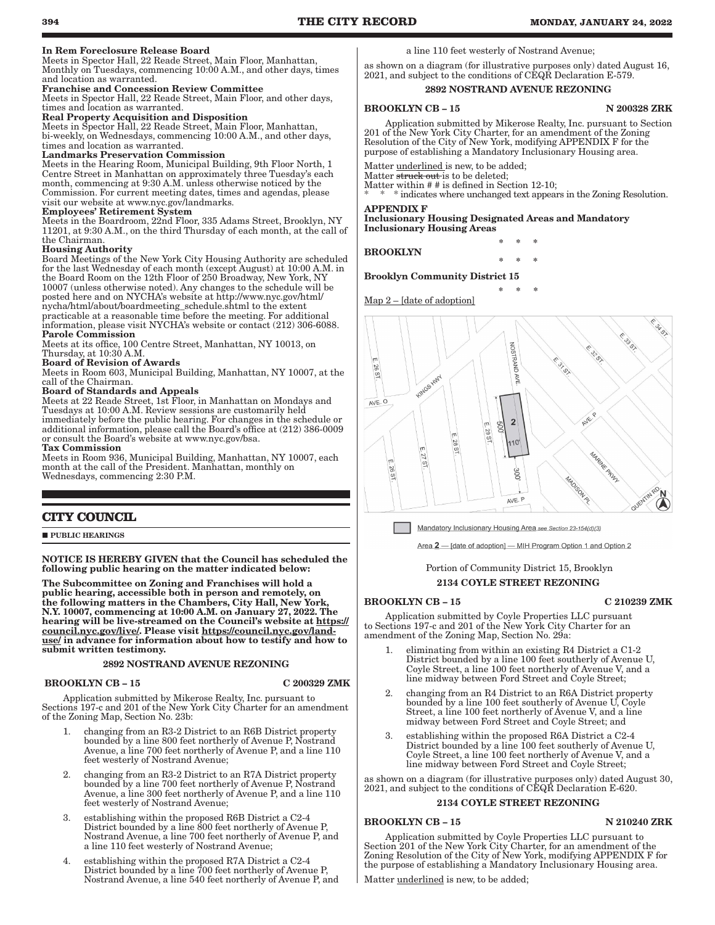#### In Rem Foreclosure Release Board

Meets in Spector Hall, 22 Reade Street, Main Floor, Manhattan, Monthly on Tuesdays, commencing 10:00 A.M., and other days, times and location as warranted.

#### Franchise and Concession Review Committee

Meets in Spector Hall, 22 Reade Street, Main Floor, and other days, times and location as warranted.

#### Real Property Acquisition and Disposition

Meets in Spector Hall, 22 Reade Street, Main Floor, Manhattan, bi-weekly, on Wednesdays, commencing 10:00 A.M., and other days, times and location as warranted.

#### Landmarks Preservation Commission

Meets in the Hearing Room, Municipal Building, 9th Floor North, 1 Centre Street in Manhattan on approximately three Tuesday's each month, commencing at 9:30 A.M. unless otherwise noticed by the Commission. For current meeting dates, times and agendas, please visit our website at www.nyc.gov/landmarks.

#### Employees' Retirement System

Meets in the Boardroom, 22nd Floor, 335 Adams Street, Brooklyn, NY 11201, at 9:30 A.M., on the third Thursday of each month, at the call of the Chairman.

#### Housing Authority

Board Meetings of the New York City Housing Authority are scheduled for the last Wednesday of each month (except August) at 10:00 A.M. in the Board Room on the 12th Floor of 250 Broadway, New York, NY 10007 (unless otherwise noted). Any changes to the schedule will be posted here and on NYCHA's website at http://www.nyc.gov/html/ nycha/html/about/boardmeeting\_schedule.shtml to the extent practicable at a reasonable time before the meeting. For additional information, please visit NYCHA's website or contact (212) 306-6088. Parole Commission

Meets at its office, 100 Centre Street, Manhattan, NY 10013, on Thursday, at 10:30 A.M.

#### Board of Revision of Awards

Meets in Room 603, Municipal Building, Manhattan, NY 10007, at the call of the Chairman.

#### Board of Standards and Appeals

Meets at 22 Reade Street, 1st Floor, in Manhattan on Mondays and Tuesdays at 10:00 A.M. Review sessions are customarily held immediately before the public hearing. For changes in the schedule or additional information, please call the Board's office at (212) 386-0009 or consult the Board's website at www.nyc.gov/bsa. Tax Commission

Meets in Room 936, Municipal Building, Manhattan, NY 10007, each month at the call of the President. Manhattan, monthly on Wednesdays, commencing 2:30 P.M.

#### **CITY COUNCIL**

**PUBLIC HEARINGS** 

#### NOTICE IS HEREBY GIVEN that the Council has scheduled the following public hearing on the matter indicated below:

The Subcommittee on Zoning and Franchises will hold a public hearing, accessible both in person and remotely, on the following matters in the Chambers, City Hall, New York, N.Y. 10007, commencing at 10:00 A.M. on January 27, 2022. The hearing will be live-streamed on the Council's website at https:// council.nyc.gov/live/. Please visit https://council.nyc.gov/landuse/ in advance for information about how to testify and how to submit written testimony.

#### 2892 NOSTRAND AVENUE REZONING

#### BROOKLYN CB – 15 C 200329 ZMK

Application submitted by Mikerose Realty, Inc. pursuant to Sections 197-c and 201 of the New York City Charter for an amendment of the Zoning Map, Section No. 23b:

- 1. changing from an R3-2 District to an R6B District property bounded by a line 800 feet northerly of Avenue P, Nostrand Avenue, a line 700 feet northerly of Avenue P, and a line 110 feet westerly of Nostrand Avenue;
- 2. changing from an R3-2 District to an R7A District property bounded by a line 700 feet northerly of Avenue P, Nostrand Avenue, a line 300 feet northerly of Avenue P, and a line 110 feet westerly of Nostrand Avenue;
- 3. establishing within the proposed R6B District a C2-4 District bounded by a line 800 feet northerly of Avenue P, Nostrand Avenue, a line 700 feet northerly of Avenue P, and a line 110 feet westerly of Nostrand Avenue;
- 4. establishing within the proposed R7A District a C2-4 District bounded by a line 700 feet northerly of Avenue P, Nostrand Avenue, a line 540 feet northerly of Avenue P, and

a line 110 feet westerly of Nostrand Avenue;

as shown on a diagram (for illustrative purposes only) dated August 16, 2021, and subject to the conditions of CEQR Declaration E-579.

#### 2892 NOSTRAND AVENUE REZONING

BROOKLYN CB – 15 N 200328 ZRK

Application submitted by Mikerose Realty, Inc. pursuant to Section 201 of the New York City Charter, for an amendment of the Zoning Resolution of the City of New York, modifying APPENDIX F for the purpose of establishing a Mandatory Inclusionary Housing area.

Matter underlined is new, to be added;

Matter struck out is to be deleted;

Matter within # # is defined in Section 12-10;

\* indicates where unchanged text appears in the Zoning Resolution. APPENDIX F

\* \* \*

\* \* \*

Inclusionary Housing Designated Areas and Mandatory Inclusionary Housing Areas

BROOKLYN

\* \* \*

Brooklyn Community District 15

Map 2 – [date of adoption]



Mandatory Inclusionary Housing Area see Section 23-154(d)(3)

Area 2 - [date of adoption] - MIH Program Option 1 and Option 2

#### Portion of Community District 15, Brooklyn 2134 COYLE STREET REZONING

#### BROOKLYN CB – 15 C 210239 ZMK

Application submitted by Coyle Properties LLC pursuant to Sections 197-c and 201 of the New York City Charter for an amendment of the Zoning Map, Section No. 29a:

- 1. eliminating from within an existing R4 District a C1-2 District bounded by a line 100 feet southerly of Avenue U, Coyle Street, a line 100 feet northerly of Avenue V, and a line midway between Ford Street and Coyle Street;
- 2. changing from an R4 District to an R6A District property bounded by a line 100 feet southerly of Avenue U, Coyle Street, a line 100 feet northerly of Avenue V, and a line midway between Ford Street and Coyle Street; and
- 3. establishing within the proposed R6A District a C2-4 District bounded by a line 100 feet southerly of Avenue U, Coyle Street, a line 100 feet northerly of Avenue V, and a line midway between Ford Street and Coyle Street;

as shown on a diagram (for illustrative purposes only) dated August 30, 2021, and subject to the conditions of CEQR Declaration E-620.

#### 2134 COYLE STREET REZONING

#### BROOKLYN CB - 15 N 210240 ZRK

Application submitted by Coyle Properties LLC pursuant to Section 201 of the New York City Charter, for an amendment of the Zoning Resolution of the City of New York, modifying APPENDIX F for the purpose of establishing a Mandatory Inclusionary Housing area.

Matter underlined is new, to be added;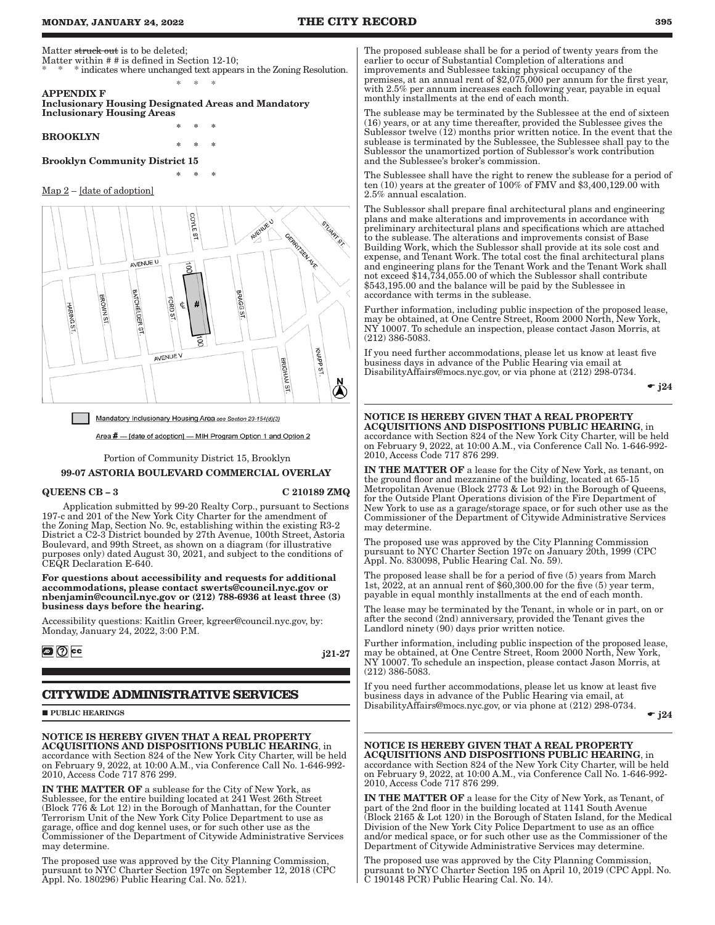Matter struck out is to be deleted;

- Matter within # # is defined in Section 12-10;
- \* indicates where unchanged text appears in the Zoning Resolution. \* \* \* APPENDIX F

\* \* \*

\* \* \*

\* \* \*

Inclusionary Housing Designated Areas and Mandatory Inclusionary Housing Areas

BROOKLYN

## Brooklyn Community District 15

#### Map 2 – [date of adoption]



Mandatory Inclusionary Housing Area see Section 23-154(d)(3)

Area # - [date of adoption] - MIH Program Option 1 and Option 2

Portion of Community District 15, Brooklyn

#### 99-07 ASTORIA BOULEVARD COMMERCIAL OVERLAY

#### QUEENS CB – 3 C 210189 ZMQ

Application submitted by 99-20 Realty Corp., pursuant to Sections 197-c and 201 of the New York City Charter for the amendment of the Zoning Map, Section No. 9c, establishing within the existing R3-2 District a C2-3 District bounded by 27th Avenue, 100th Street, Astoria Boulevard, and 99th Street, as shown on a diagram (for illustrative purposes only) dated August 30, 2021, and subject to the conditions of CEQR Declaration E-640.

For questions about accessibility and requests for additional accommodations, please contact swerts@council.nyc.gov or nbenjamin@council.nyc.gov or (212) 788-6936 at least three (3) business days before the hearing.

Accessibility questions: Kaitlin Greer, kgreer@council.nyc.gov, by: Monday, January 24, 2022, 3:00 P.M.

**a** ⑦ cc

j21-27

## **CITYWIDE ADMINISTRATIVE SERVICES**

**PUBLIC HEARINGS** 

#### NOTICE IS HEREBY GIVEN THAT A REAL PROPERTY ACQUISITIONS AND DISPOSITIONS PUBLIC HEARING, in accordance with Section 824 of the New York City Charter, will be held

on February 9, 2022, at 10:00 A.M., via Conference Call No. 1-646-992- 2010, Access Code 717 876 299.

IN THE MATTER OF a sublease for the City of New York, as Sublessee, for the entire building located at 241 West 26th Street (Block 776 & Lot 12) in the Borough of Manhattan, for the Counter Terrorism Unit of the New York City Police Department to use as garage, office and dog kennel uses, or for such other use as the Commissioner of the Department of Citywide Administrative Services may determine.

The proposed use was approved by the City Planning Commission, pursuant to NYC Charter Section 197c on September 12, 2018 (CPC Appl. No. 180296) Public Hearing Cal. No. 521).

The proposed sublease shall be for a period of twenty years from the earlier to occur of Substantial Completion of alterations and improvements and Sublessee taking physical occupancy of the premises, at an annual rent of \$2,075,000 per annum for the first year, with 2.5% per annum increases each following year, payable in equal monthly installments at the end of each month.

The sublease may be terminated by the Sublessee at the end of sixteen (16) years, or at any time thereafter, provided the Sublessee gives the Sublessor twelve  $(12)$  months prior written notice. In the event that the sublease is terminated by the Sublessee, the Sublessee shall pay to the Sublessor the unamortized portion of Sublessor's work contribution and the Sublessee's broker's commission.

The Sublessee shall have the right to renew the sublease for a period of ten  $(10)$  years at the greater of  $100\%$  of FMV and \$3,400,129.00 with 2.5% annual escalation.

The Sublessor shall prepare final architectural plans and engineering plans and make alterations and improvements in accordance with preliminary architectural plans and specifications which are attached to the sublease. The alterations and improvements consist of Base Building Work, which the Sublessor shall provide at its sole cost and expense, and Tenant Work. The total cost the final architectural plans and engineering plans for the Tenant Work and the Tenant Work shall not exceed \$14,734,055.00 of which the Sublessor shall contribute \$543,195.00 and the balance will be paid by the Sublessee in accordance with terms in the sublease.

Further information, including public inspection of the proposed lease, may be obtained, at One Centre Street, Room 2000 North, New York, NY 10007. To schedule an inspection, please contact Jason Morris, at (212) 386-5083.

If you need further accommodations, please let us know at least five business days in advance of the Public Hearing via email at DisabilityAffairs@mocs.nyc.gov, or via phone at (212) 298-0734.

 $\div j24$ 

## NOTICE IS HEREBY GIVEN THAT A REAL PROPERTY

ACQUISITIONS AND DISPOSITIONS PUBLIC HEARING, in accordance with Section 824 of the New York City Charter, will be held on February 9, 2022, at 10:00 A.M., via Conference Call No. 1-646-992- 2010, Access Code 717 876 299.

IN THE MATTER OF a lease for the City of New York, as tenant, on the ground floor and mezzanine of the building, located at 65-15 Metropolitan Avenue (Block 2773 & Lot 92) in the Borough of Queens, for the Outside Plant Operations division of the Fire Department of New York to use as a garage/storage space, or for such other use as the Commissioner of the Department of Citywide Administrative Services may determine.

The proposed use was approved by the City Planning Commission pursuant to NYC Charter Section 197c on January 20th, 1999 (CPC Appl. No. 830098, Public Hearing Cal. No. 59).

The proposed lease shall be for a period of five (5) years from March 1st, 2022, at an annual rent of \$60,300.00 for the five (5) year term, payable in equal monthly installments at the end of each month.

The lease may be terminated by the Tenant, in whole or in part, on or after the second (2nd) anniversary, provided the Tenant gives the Landlord ninety (90) days prior written notice.

Further information, including public inspection of the proposed lease, may be obtained, at One Centre Street, Room 2000 North, New York, NY 10007. To schedule an inspection, please contact Jason Morris, at (212) 386-5083.

If you need further accommodations, please let us know at least five business days in advance of the Public Hearing via email, at DisabilityAffairs@mocs.nyc.gov, or via phone at (212) 298-0734.

 $\bullet$  j24

#### NOTICE IS HEREBY GIVEN THAT A REAL PROPERTY ACQUISITIONS AND DISPOSITIONS PUBLIC HEARING, in

accordance with Section 824 of the New York City Charter, will be held on February 9, 2022, at 10:00 A.M., via Conference Call No. 1-646-992- 2010, Access Code 717 876 299.

IN THE MATTER OF a lease for the City of New York, as Tenant, of part of the 2nd floor in the building located at 1141 South Avenue (Block 2165 & Lot 120) in the Borough of Staten Island, for the Medical Division of the New York City Police Department to use as an office and/or medical space, or for such other use as the Commissioner of the Department of Citywide Administrative Services may determine.

The proposed use was approved by the City Planning Commission, pursuant to NYC Charter Section 195 on April 10, 2019 (CPC Appl. No. C 190148 PCR) Public Hearing Cal. No. 14).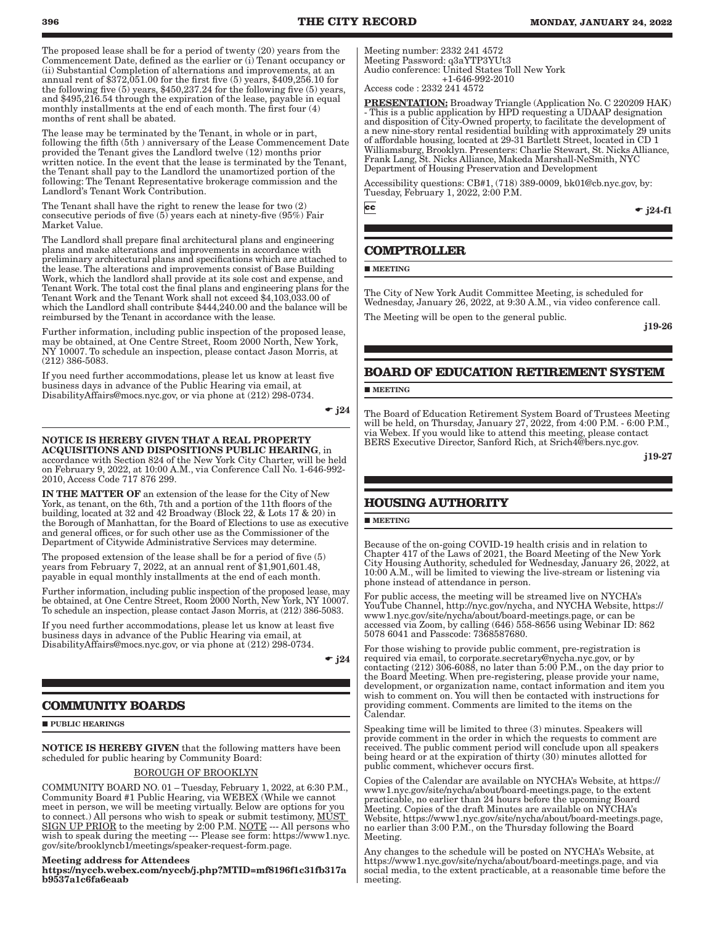The proposed lease shall be for a period of twenty (20) years from the Commencement Date, defined as the earlier or (i) Tenant occupancy or (ii) Substantial Completion of alternations and improvements, at an annual rent of \$372,051.00 for the first five (5) years, \$409,256.10 for the following five (5) years, \$450,237.24 for the following five (5) years, and \$495,216.54 through the expiration of the lease, payable in equal monthly installments at the end of each month. The first four (4) months of rent shall be abated.

The lease may be terminated by the Tenant, in whole or in part, following the fifth (5th ) anniversary of the Lease Commencement Date provided the Tenant gives the Landlord twelve (12) months prior written notice. In the event that the lease is terminated by the Tenant, the Tenant shall pay to the Landlord the unamortized portion of the following: The Tenant Representative brokerage commission and the Landlord's Tenant Work Contribution.

The Tenant shall have the right to renew the lease for two (2) consecutive periods of five  $(5)$  years each at ninety-five  $(95%)$  Fair Market Value.

The Landlord shall prepare final architectural plans and engineering plans and make alterations and improvements in accordance with preliminary architectural plans and specifications which are attached to the lease. The alterations and improvements consist of Base Building Work, which the landlord shall provide at its sole cost and expense, and Tenant Work. The total cost the final plans and engineering plans for the Tenant Work and the Tenant Work shall not exceed \$4,103,033.00 of which the Landlord shall contribute \$444,240.00 and the balance will be reimbursed by the Tenant in accordance with the lease.

Further information, including public inspection of the proposed lease, may be obtained, at One Centre Street, Room 2000 North, New York, NY 10007. To schedule an inspection, please contact Jason Morris, at (212) 386-5083.

If you need further accommodations, please let us know at least five business days in advance of the Public Hearing via email, at DisabilityAffairs@mocs.nyc.gov, or via phone at (212) 298-0734.

 $\bullet$  j24

#### NOTICE IS HEREBY GIVEN THAT A REAL PROPERTY ACQUISITIONS AND DISPOSITIONS PUBLIC HEARING, in

accordance with Section 824 of the New York City Charter, will be held on February 9, 2022, at 10:00 A.M., via Conference Call No. 1-646-992- 2010, Access Code 717 876 299.

IN THE MATTER OF an extension of the lease for the City of New York, as tenant, on the 6th, 7th and a portion of the 11th floors of the building, located at 32 and 42 Broadway (Block 22, & Lots 17 & 20) in the Borough of Manhattan, for the Board of Elections to use as executive and general offices, or for such other use as the Commissioner of the Department of Citywide Administrative Services may determine.

The proposed extension of the lease shall be for a period of five (5) years from February 7, 2022, at an annual rent of \$1,901,601.48, payable in equal monthly installments at the end of each month.

Further information, including public inspection of the proposed lease, may be obtained, at One Centre Street, Room 2000 North, New York, NY 10007. To schedule an inspection, please contact Jason Morris, at (212) 386-5083.

If you need further accommodations, please let us know at least five business days in advance of the Public Hearing via email, at DisabilityAffairs@mocs.nyc.gov, or via phone at (212) 298-0734.

 $\bullet$  j24

## **COMMUNITY BOARDS**

**PUBLIC HEARINGS** 

NOTICE IS HEREBY GIVEN that the following matters have been scheduled for public hearing by Community Board:

#### BOROUGH OF BROOKLYN

COMMUNITY BOARD NO. 01 – Tuesday, February 1, 2022, at 6:30 P.M., Community Board #1 Public Hearing, via WEBEX (While we cannot meet in person, we will be meeting virtually. Below are options for you to connect.) All persons who wish to speak or submit testimony, MUST SIGN UP PRIOR to the meeting by 2:00 P.M. NOTE --- All persons who wish to speak during the meeting --- Please see form: https://www1.nyc. gov/site/brooklyncb1/meetings/speaker-request-form.page.

#### Meeting address for Attendees

https://nyccb.webex.com/nyccb/j.php?MTID=mf8196f1c31fb317a b9537a1c6fa6eaab

Meeting number: 2332 241 4572 Meeting Password: q3aYTP3YUt3 Audio conference: United States Toll New York +1-646-992-2010

Access code : 2332 241 4572

PRESENTATION: Broadway Triangle (Application No. C 220209 HAK) - This is a public application by HPD requesting a UDAAP designation and disposition of City-Owned property, to facilitate the development of a new nine-story rental residential building with approximately 29 units of affordable housing, located at 29-31 Bartlett Street, located in CD 1 Williamsburg, Brooklyn. Presenters: Charlie Stewart, St. Nicks Alliance, Frank Lang, St. Nicks Alliance, Makeda Marshall-NeSmith, NYC Department of Housing Preservation and Development

Accessibility questions: CB#1, (718) 389-0009, bk01@cb.nyc.gov, by: Tuesday, February 1, 2022, 2:00 P.M.

 $\overline{\mathbf{c}}$ 

 $\div$  i24-f1

## **COMPTROLLER**

**MEETING** 

The City of New York Audit Committee Meeting, is scheduled for Wednesday, January 26, 2022, at 9:30 A.M., via video conference call. The Meeting will be open to the general public.

j19-26

## **BOARD OF EDUCATION RETIREMENT SYSTEM**

**MEETING** 

The Board of Education Retirement System Board of Trustees Meeting will be held, on Thursday, January 27, 2022, from 4:00 P.M. - 6:00 P.M., via Webex. If you would like to attend this meeting, please contact BERS Executive Director, Sanford Rich, at Srich4@bers.nyc.gov.

j19-27

## **HOUSING AUTHORITY**

#### **MEETING**

Because of the on-going COVID-19 health crisis and in relation to Chapter 417 of the Laws of 2021, the Board Meeting of the New York City Housing Authority, scheduled for Wednesday, January 26, 2022, at 10:00 A.M., will be limited to viewing the live-stream or listening via phone instead of attendance in person.

For public access, the meeting will be streamed live on NYCHA's YouTube Channel, http://nyc.gov/nycha, and NYCHA Website, https:// www1.nyc.gov/site/nycha/about/board-meetings.page, or can be accessed via Zoom, by calling (646) 558-8656 using Webinar ID: 862 5078 6041 and Passcode: 7368587680.

For those wishing to provide public comment, pre-registration is required via email, to corporate.secretary@nycha.nyc.gov, or by contacting (212) 306-6088, no later than 5:00 P.M., on the day prior to the Board Meeting. When pre-registering, please provide your name, development, or organization name, contact information and item you wish to comment on. You will then be contacted with instructions for providing comment. Comments are limited to the items on the Calendar.

Speaking time will be limited to three (3) minutes. Speakers will provide comment in the order in which the requests to comment are received. The public comment period will conclude upon all speakers being heard or at the expiration of thirty (30) minutes allotted for public comment, whichever occurs first.

Copies of the Calendar are available on NYCHA's Website, at https:// www1.nyc.gov/site/nycha/about/board-meetings.page, to the extent practicable, no earlier than 24 hours before the upcoming Board Meeting. Copies of the draft Minutes are available on NYCHA's Website, https://www1.nyc.gov/site/nycha/about/board-meetings.page, no earlier than 3:00 P.M., on the Thursday following the Board Meeting.

Any changes to the schedule will be posted on NYCHA's Website, at https://www1.nyc.gov/site/nycha/about/board-meetings.page, and via social media, to the extent practicable, at a reasonable time before the meeting.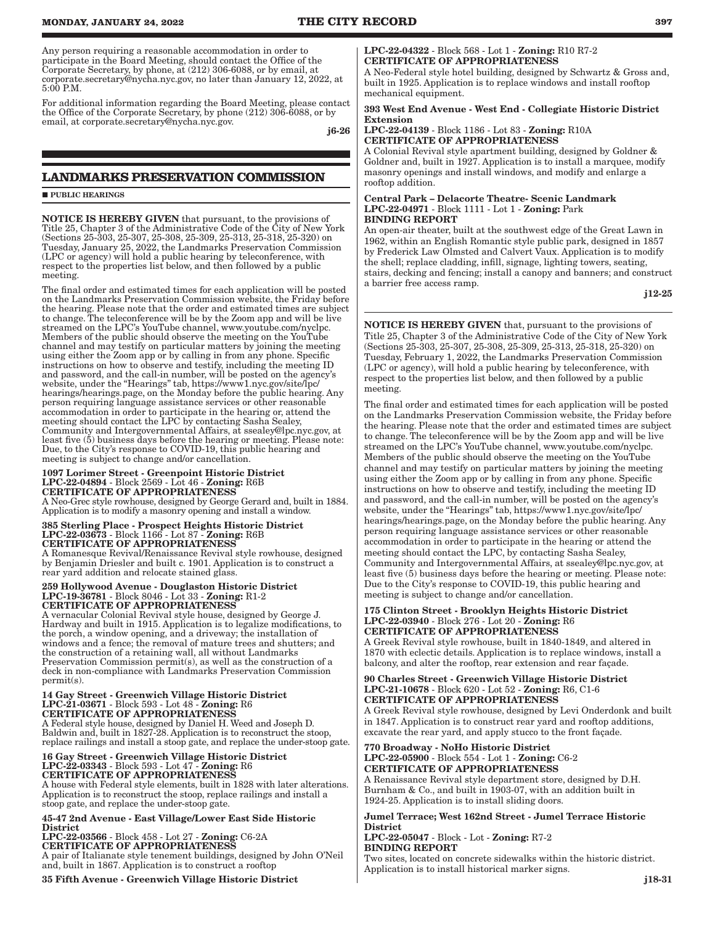Any person requiring a reasonable accommodation in order to participate in the Board Meeting, should contact the Office of the Corporate Secretary, by phone, at (212) 306-6088, or by email, at corporate.secretary@nycha.nyc.gov, no later than January 12, 2022, at 5:00 P.M.

For additional information regarding the Board Meeting, please contact the Office of the Corporate Secretary, by phone (212) 306-6088, or by email, at corporate.secretary@nycha.nyc.gov.

j6-26

### **LANDMARKS PRESERVATION COMMISSION**

#### **PUBLIC HEARINGS**

NOTICE IS HEREBY GIVEN that pursuant, to the provisions of Title 25, Chapter 3 of the Administrative Code of the City of New York (Sections 25-303, 25-307, 25-308, 25-309, 25-313, 25-318, 25-320) on Tuesday, January 25, 2022, the Landmarks Preservation Commission (LPC or agency) will hold a public hearing by teleconference, with respect to the properties list below, and then followed by a public meeting.

The final order and estimated times for each application will be posted on the Landmarks Preservation Commission website, the Friday before the hearing. Please note that the order and estimated times are subject to change. The teleconference will be by the Zoom app and will be live streamed on the LPC's YouTube channel, www.youtube.com/nyclpc. Members of the public should observe the meeting on the YouTube channel and may testify on particular matters by joining the meeting using either the Zoom app or by calling in from any phone. Specific instructions on how to observe and testify, including the meeting ID and password, and the call-in number, will be posted on the agency's website, under the "Hearings" tab, https://www1.nyc.gov/site/lpc/ hearings/hearings.page, on the Monday before the public hearing. Any person requiring language assistance services or other reasonable accommodation in order to participate in the hearing or, attend the meeting should contact the LPC by contacting Sasha Sealey, Community and Intergovernmental Affairs, at ssealey@lpc.nyc.gov, at least five (5) business days before the hearing or meeting. Please note: Due, to the City's response to COVID-19, this public hearing and meeting is subject to change and/or cancellation.

## 1097 Lorimer Street - Greenpoint Historic District LPC-22-04894 - Block 2569 - Lot 46 - Zoning: R6B CERTIFICATE OF APPROPRIATENESS

A Neo-Grec style rowhouse, designed by George Gerard and, built in 1884. Application is to modify a masonry opening and install a window.

## 385 Sterling Place - Prospect Heights Historic District LPC-22-03673 - Block 1166 - Lot 87 - Zoning: R6B CERTIFICATE OF APPROPRIATENESS

A Romanesque Revival/Renaissance Revival style rowhouse, designed by Benjamin Driesler and built c. 1901. Application is to construct a rear yard addition and relocate stained glass.

## 259 Hollywood Avenue - Douglaston Historic District LPC-19-36781 - Block 8046 - Lot 33 - Zoning: R1-2 CERTIFICATE OF APPROPRIATENESS

A vernacular Colonial Revival style house, designed by George J. Hardway and built in 1915. Application is to legalize modifications, to the porch, a window opening, and a driveway; the installation of windows and a fence; the removal of mature trees and shutters; and the construction of a retaining wall, all without Landmarks Preservation Commission permit(s), as well as the construction of a deck in non-compliance with Landmarks Preservation Commission permit(s).

#### 14 Gay Street - Greenwich Village Historic District LPC-21-03671 - Block 593 - Lot 48 - Zoning: R6 CERTIFICATE OF APPROPRIATENESS

A Federal style house, designed by Daniel H. Weed and Joseph D. Baldwin and, built in 1827-28. Application is to reconstruct the stoop, replace railings and install a stoop gate, and replace the under-stoop gate.

## 16 Gay Street - Greenwich Village Historic District LPC-22-03343 - Block 593 - Lot 47 - Zoning: R6 CERTIFICATE OF APPROPRIATENESS

A house with Federal style elements, built in 1828 with later alterations. Application is to reconstruct the stoop, replace railings and install a stoop gate, and replace the under-stoop gate.

#### 45-47 2nd Avenue - East Village/Lower East Side Historic District

LPC-22-03566 - Block 458 - Lot 27 - Zoning: C6-2A CERTIFICATE OF APPROPRIATENESS A pair of Italianate style tenement buildings, designed by John O'Neil and, built in 1867. Application is to construct a rooftop

35 Fifth Avenue - Greenwich Village Historic District

#### LPC-22-04322 - Block 568 - Lot 1 - Zoning: R10 R7-2 CERTIFICATE OF APPROPRIATENESS

A Neo-Federal style hotel building, designed by Schwartz & Gross and, built in 1925. Application is to replace windows and install rooftop mechanical equipment.

#### 393 West End Avenue - West End - Collegiate Historic District Extension

#### LPC-22-04139 - Block 1186 - Lot 83 - Zoning: R10A CERTIFICATE OF APPROPRIATENESS

A Colonial Revival style apartment building, designed by Goldner & Goldner and, built in 1927. Application is to install a marquee, modify masonry openings and install windows, and modify and enlarge a rooftop addition.

#### Central Park – Delacorte Theatre- Scenic Landmark LPC-22-04971 - Block 1111 - Lot 1 - Zoning: Park BINDING REPORT

An open-air theater, built at the southwest edge of the Great Lawn in 1962, within an English Romantic style public park, designed in 1857 by Frederick Law Olmsted and Calvert Vaux. Application is to modify the shell; replace cladding, infill, signage, lighting towers, seating, stairs, decking and fencing; install a canopy and banners; and construct a barrier free access ramp.

j12-25

NOTICE IS HEREBY GIVEN that, pursuant to the provisions of Title 25, Chapter 3 of the Administrative Code of the City of New York (Sections 25-303, 25-307, 25-308, 25-309, 25-313, 25-318, 25-320) on Tuesday, February 1, 2022, the Landmarks Preservation Commission (LPC or agency), will hold a public hearing by teleconference, with respect to the properties list below, and then followed by a public meeting.

The final order and estimated times for each application will be posted on the Landmarks Preservation Commission website, the Friday before the hearing. Please note that the order and estimated times are subject to change. The teleconference will be by the Zoom app and will be live streamed on the LPC's YouTube channel, www.youtube.com/nyclpc. Members of the public should observe the meeting on the YouTube channel and may testify on particular matters by joining the meeting using either the Zoom app or by calling in from any phone. Specific instructions on how to observe and testify, including the meeting ID and password, and the call-in number, will be posted on the agency's website, under the "Hearings" tab, https://www1.nyc.gov/site/lpc/ hearings/hearings.page, on the Monday before the public hearing. Any person requiring language assistance services or other reasonable accommodation in order to participate in the hearing or attend the meeting should contact the LPC, by contacting Sasha Sealey, Community and Intergovernmental Affairs, at ssealey@lpc.nyc.gov, at least five (5) business days before the hearing or meeting. Please note: Due to the City's response to COVID-19, this public hearing and meeting is subject to change and/or cancellation.

#### 175 Clinton Street - Brooklyn Heights Historic District LPC-22-03940 - Block 276 - Lot 20 - Zoning: R6 CERTIFICATE OF APPROPRIATENESS

A Greek Revival style rowhouse, built in 1840-1849, and altered in 1870 with eclectic details. Application is to replace windows, install a balcony, and alter the rooftop, rear extension and rear façade.

#### 90 Charles Street - Greenwich Village Historic District LPC-21-10678 - Block 620 - Lot 52 - Zoning: R6, C1-6 CERTIFICATE OF APPROPRIATENESS

A Greek Revival style rowhouse, designed by Levi Onderdonk and built in 1847. Application is to construct rear yard and rooftop additions, excavate the rear yard, and apply stucco to the front façade.

#### 770 Broadway - NoHo Historic District LPC-22-05900 - Block 554 - Lot 1 - Zoning: C6-2 CERTIFICATE OF APPROPRIATENESS

A Renaissance Revival style department store, designed by D.H. Burnham & Co., and built in 1903-07, with an addition built in 1924-25. Application is to install sliding doors.

#### Jumel Terrace; West 162nd Street - Jumel Terrace Historic **District**

LPC-22-05047 - Block - Lot - Zoning: R7-2 BINDING REPORT

Two sites, located on concrete sidewalks within the historic district. Application is to install historical marker signs.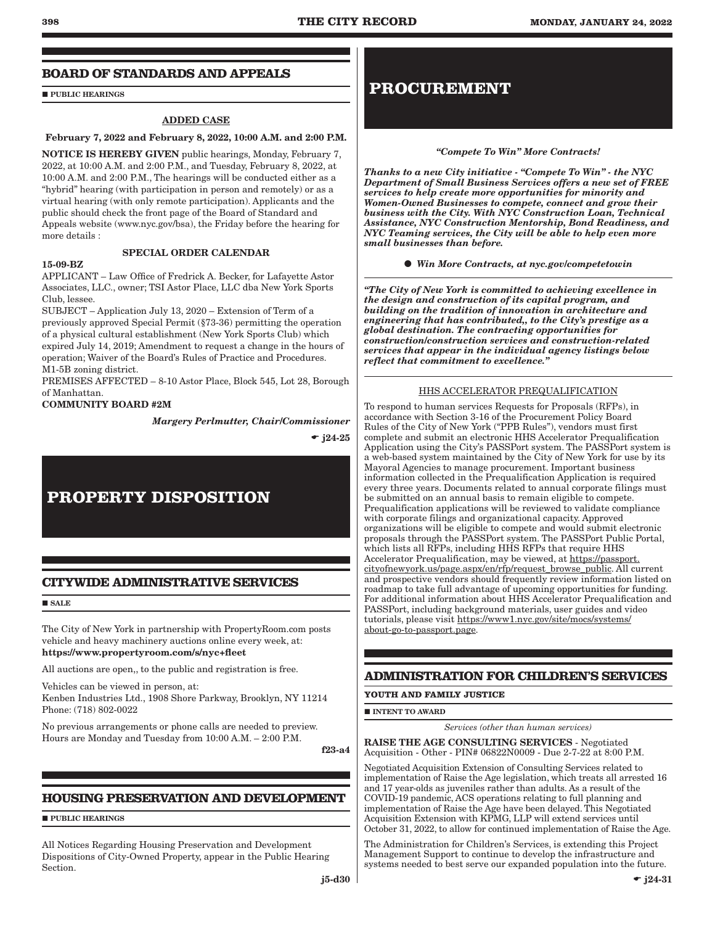### **BOARD OF STANDARDS AND APPEALS**

**PUBLIC HEARINGS** 

#### ADDED CASE

#### February 7, 2022 and February 8, 2022, 10:00 A.M. and 2:00 P.M.

NOTICE IS HEREBY GIVEN public hearings, Monday, February 7, 2022, at 10:00 A.M. and 2:00 P.M., and Tuesday, February 8, 2022, at 10:00 A.M. and 2:00 P.M., The hearings will be conducted either as a "hybrid" hearing (with participation in person and remotely) or as a virtual hearing (with only remote participation). Applicants and the public should check the front page of the Board of Standard and Appeals website (www.nyc.gov/bsa), the Friday before the hearing for more details :

#### SPECIAL ORDER CALENDAR

#### 15-09-BZ

APPLICANT – Law Office of Fredrick A. Becker, for Lafayette Astor Associates, LLC., owner; TSI Astor Place, LLC dba New York Sports Club, lessee.

SUBJECT – Application July 13, 2020 – Extension of Term of a previously approved Special Permit (§73-36) permitting the operation of a physical cultural establishment (New York Sports Club) which expired July 14, 2019; Amendment to request a change in the hours of operation; Waiver of the Board's Rules of Practice and Procedures. M1-5B zoning district.

PREMISES AFFECTED – 8-10 Astor Place, Block 545, Lot 28, Borough of Manhattan.

#### COMMUNITY BOARD #2M

*Margery Perlmutter, Chair/Commissioner*

 $-$  j24-25

## **PROPERTY DISPOSITION**

### **CITYWIDE ADMINISTRATIVE SERVICES**

SALE

The City of New York in partnership with PropertyRoom.com posts vehicle and heavy machinery auctions online every week, at: https://www.propertyroom.com/s/nyc+fleet

All auctions are open,, to the public and registration is free.

Vehicles can be viewed in person, at:

Kenben Industries Ltd., 1908 Shore Parkway, Brooklyn, NY 11214 Phone: (718) 802-0022

No previous arrangements or phone calls are needed to preview. Hours are Monday and Tuesday from 10:00 A.M. – 2:00 P.M.

f23-a4

### **HOUSING PRESERVATION AND DEVELOPMENT**

**PUBLIC HEARINGS** 

All Notices Regarding Housing Preservation and Development Dispositions of City-Owned Property, appear in the Public Hearing Section.

## **PROCUREMENT**

#### *"Compete To Win" More Contracts!*

*Thanks to a new City initiative - "Compete To Win" - the NYC Department of Small Business Services offers a new set of FREE services to help create more opportunities for minority and Women-Owned Businesses to compete, connect and grow their business with the City. With NYC Construction Loan, Technical Assistance, NYC Construction Mentorship, Bond Readiness, and NYC Teaming services, the City will be able to help even more small businesses than before.*

*Win More Contracts, at nyc.gov/competetowin*

*"The City of New York is committed to achieving excellence in the design and construction of its capital program, and building on the tradition of innovation in architecture and engineering that has contributed,, to the City's prestige as a global destination. The contracting opportunities for construction/construction services and construction-related services that appear in the individual agency listings below reflect that commitment to excellence."*

#### HHS ACCELERATOR PREQUALIFICATION

To respond to human services Requests for Proposals (RFPs), in accordance with Section 3-16 of the Procurement Policy Board Rules of the City of New York ("PPB Rules"), vendors must first complete and submit an electronic HHS Accelerator Prequalification Application using the City's PASSPort system. The PASSPort system is a web-based system maintained by the City of New York for use by its Mayoral Agencies to manage procurement. Important business information collected in the Prequalification Application is required every three years. Documents related to annual corporate filings must be submitted on an annual basis to remain eligible to compete. Prequalification applications will be reviewed to validate compliance with corporate filings and organizational capacity. Approved organizations will be eligible to compete and would submit electronic proposals through the PASSPort system. The PASSPort Public Portal, which lists all RFPs, including HHS RFPs that require HHS Accelerator Prequalification, may be viewed, at https://passport. cityofnewyork.us/page.aspx/en/rfp/request\_browse\_public. All current and prospective vendors should frequently review information listed on roadmap to take full advantage of upcoming opportunities for funding. For additional information about HHS Accelerator Prequalification and PASSPort, including background materials, user guides and video tutorials, please visit https://www1.nyc.gov/site/mocs/systems/ about-go-to-passport.page.

### **ADMINISTRATION FOR CHILDREN'S SERVICES**

#### **YOUTH AND FAMILY JUSTICE**

**INTENT TO AWARD** 

*Services (other than human services)*

RAISE THE AGE CONSULTING SERVICES - Negotiated Acquisition - Other - PIN# 06822N0009 - Due 2-7-22 at 8:00 P.M.

Negotiated Acquisition Extension of Consulting Services related to implementation of Raise the Age legislation, which treats all arrested 16 and 17 year-olds as juveniles rather than adults. As a result of the COVID-19 pandemic, ACS operations relating to full planning and implementation of Raise the Age have been delayed. This Negotiated Acquisition Extension with KPMG, LLP will extend services until October 31, 2022, to allow for continued implementation of Raise the Age.

The Administration for Children's Services, is extending this Project Management Support to continue to develop the infrastructure and systems needed to best serve our expanded population into the future.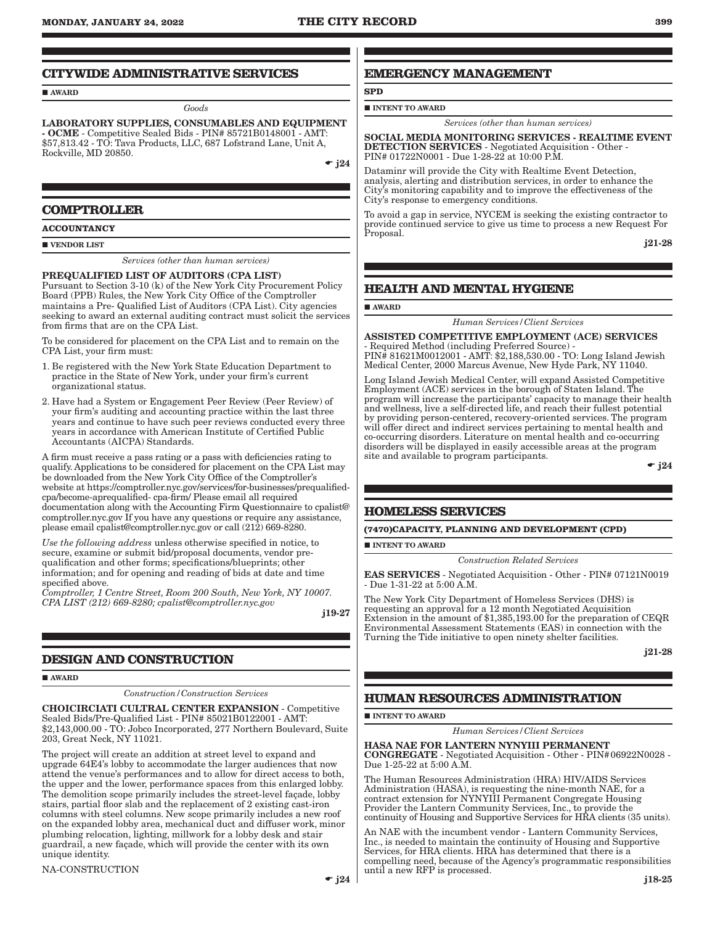#### **CITYWIDE ADMINISTRATIVE SERVICES**

AWARD

*Goods*

LABORATORY SUPPLIES, CONSUMABLES AND EQUIPMENT - OCME - Competitive Sealed Bids - PIN# 85721B0148001 - AMT: \$57,813.42 - TO: Tava Products, LLC, 687 Lofstrand Lane, Unit A, Rockville, MD 20850.

 $\div$  i24

#### **COMPTROLLER**

**ACCOUNTANCY**

#### **VENDOR LIST**

*Services (other than human services)*

#### PREQUALIFIED LIST OF AUDITORS (CPA LIST)

Pursuant to Section 3-10 (k) of the New York City Procurement Policy Board (PPB) Rules, the New York City Office of the Comptroller maintains a Pre- Qualified List of Auditors (CPA List). City agencies seeking to award an external auditing contract must solicit the services from firms that are on the CPA List.

To be considered for placement on the CPA List and to remain on the CPA List, your firm must:

- 1. Be registered with the New York State Education Department to practice in the State of New York, under your firm's current organizational status.
- 2. Have had a System or Engagement Peer Review (Peer Review) of your firm's auditing and accounting practice within the last three years and continue to have such peer reviews conducted every three years in accordance with American Institute of Certified Public Accountants (AICPA) Standards.

A firm must receive a pass rating or a pass with deficiencies rating to qualify. Applications to be considered for placement on the CPA List may be downloaded from the New York City Office of the Comptroller's website at https://comptroller.nyc.gov/services/for-businesses/prequalifiedcpa/become-aprequalified- cpa-firm/ Please email all required documentation along with the Accounting Firm Questionnaire to cpalist@ comptroller.nyc.gov If you have any questions or require any assistance, please email cpalist@comptroller.nyc.gov or call (212) 669-8280.

*Use the following address* unless otherwise specified in notice, to secure, examine or submit bid/proposal documents, vendor prequalification and other forms; specifications/blueprints; other information; and for opening and reading of bids at date and time specified above.

*Comptroller, 1 Centre Street, Room 200 South, New York, NY 10007. CPA LIST (212) 669-8280; cpalist@comptroller.nyc.gov*

j19-27

### **DESIGN AND CONSTRUCTION**

AWARD

*Construction/Construction Services*

CHOICIRCIATI CULTRAL CENTER EXPANSION - Competitive Sealed Bids/Pre-Qualified List - PIN# 85021B0122001 - AMT: \$2,143,000.00 - TO: Jobco Incorporated, 277 Northern Boulevard, Suite 203, Great Neck, NY 11021.

The project will create an addition at street level to expand and upgrade 64E4's lobby to accommodate the larger audiences that now attend the venue's performances and to allow for direct access to both, the upper and the lower, performance spaces from this enlarged lobby. The demolition scope primarily includes the street-level façade, lobby stairs, partial floor slab and the replacement of 2 existing cast-iron columns with steel columns. New scope primarily includes a new roof on the expanded lobby area, mechanical duct and diffuser work, minor plumbing relocation, lighting, millwork for a lobby desk and stair guardrail, a new façade, which will provide the center with its own unique identity.

#### NA-CONSTRUCTION

 $\div$  j24

## **EMERGENCY MANAGEMENT**

 $\blacksquare$  INTENT TO AWARD

**SPD**

*Services (other than human services)*

SOCIAL MEDIA MONITORING SERVICES - REALTIME EVENT DETECTION SERVICES - Negotiated Acquisition - Other - PIN# 01722N0001 - Due 1-28-22 at 10:00 P.M.

Dataminr will provide the City with Realtime Event Detection, analysis, alerting and distribution services, in order to enhance the City's monitoring capability and to improve the effectiveness of the City's response to emergency conditions.

To avoid a gap in service, NYCEM is seeking the existing contractor to provide continued service to give us time to process a new Request For Proposal.

j21-28

## **HEALTH AND MENTAL HYGIENE**

**AWARD** 

*Human Services/Client Services*

ASSISTED COMPETITIVE EMPLOYMENT (ACE) SERVICES - Required Method (including Preferred Source) - PIN# 81621M0012001 - AMT: \$2,188,530.00 - TO: Long Island Jewish Medical Center, 2000 Marcus Avenue, New Hyde Park, NY 11040.

Long Island Jewish Medical Center, will expand Assisted Competitive Employment (ACE) services in the borough of Staten Island. The program will increase the participants' capacity to manage their health and wellness, live a self-directed life, and reach their fullest potential by providing person-centered, recovery-oriented services. The program will offer direct and indirect services pertaining to mental health and co-occurring disorders. Literature on mental health and co-occurring disorders will be displayed in easily accessible areas at the program site and available to program participants.

 $\div$  i24

#### **HOMELESS SERVICES**

**(7470)CAPACITY, PLANNING AND DEVELOPMENT (CPD)**

**INTENT TO AWARD** 

*Construction Related Services*

EAS SERVICES - Negotiated Acquisition - Other - PIN# 07121N0019 - Due 1-31-22 at 5:00 A.M.

The New York City Department of Homeless Services (DHS) is requesting an approval for a 12 month Negotiated Acquisition Extension in the amount of \$1,385,193.00 for the preparation of CEQR Environmental Assessment Statements (EAS) in connection with the Turning the Tide initiative to open ninety shelter facilities.

j21-28

### **HUMAN RESOURCES ADMINISTRATION**

**INTENT TO AWARD** 

*Human Services/Client Services*

#### HASA NAE FOR LANTERN NYNYIII PERMANENT

CONGREGATE - Negotiated Acquisition - Other - PIN#06922N0028 - Due 1-25-22 at 5:00 A.M.

The Human Resources Administration (HRA) HIV/AIDS Services Administration (HASA), is requesting the nine-month NAE, for a contract extension for NYNYIII Permanent Congregate Housing Provider the Lantern Community Services, Inc., to provide the continuity of Housing and Supportive Services for HRA clients (35 units).

An NAE with the incumbent vendor - Lantern Community Services, Inc., is needed to maintain the continuity of Housing and Supportive Services, for HRA clients. HRA has determined that there is a compelling need, because of the Agency's programmatic responsibilities until a new RFP is processed.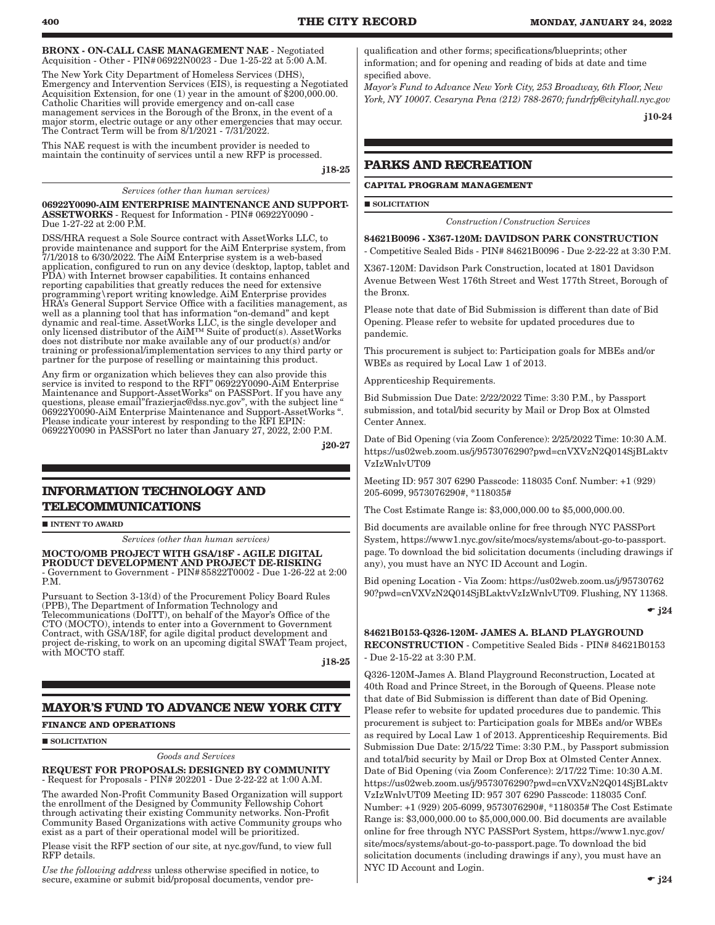BRONX - ON-CALL CASE MANAGEMENT NAE - Negotiated Acquisition - Other - PIN#06922N0023 - Due 1-25-22 at 5:00 A.M.

The New York City Department of Homeless Services (DHS), Emergency and Intervention Services (EIS), is requesting a Negotiated Acquisition Extension, for one (1) year in the amount of \$200,000.00. Catholic Charities will provide emergency and on-call case management services in the Borough of the Bronx, in the event of a major storm, electric outage or any other emergencies that may occur. The Contract Term will be from 8/1/2021 - 7/31/2022.

This NAE request is with the incumbent provider is needed to maintain the continuity of services until a new RFP is processed.

j18-25

#### *Services (other than human services)*

06922Y0090-AIM ENTERPRISE MAINTENANCE AND SUPPORT-ASSETWORKS - Request for Information - PIN# 06922Y0090 - Due 1-27-22 at 2:00 P.M.

DSS/HRA request a Sole Source contract with AssetWorks LLC, to provide maintenance and support for the AiM Enterprise system, from 7/1/2018 to 6/30/2022. The AiM Enterprise system is a web-based application, configured to run on any device (desktop, laptop, tablet and PDA) with Internet browser capabilities. It contains enhanced reporting capabilities that greatly reduces the need for extensive programming\report writing knowledge. AiM Enterprise provides HRA's General Support Service Office with a facilities management, as well as a planning tool that has information "on-demand" and kept dynamic and real-time. AssetWorks LLC, is the single developer and only licensed distributor of the AiM™ Suite of product(s). AssetWorks does not distribute nor make available any of our product(s) and/or training or professional/implementation services to any third party or partner for the purpose of reselling or maintaining this product.

Any firm or organization which believes they can also provide this service is invited to respond to the RFI" 06922Y0090-AiM Enterprise Maintenance and Support-AssetWorks" on PASSPort. If you have any questions, please email"frazierjac@dss.nyc.gov", with the subject line " 06922Y0090-AiM Enterprise Maintenance and Support-AssetWorks ". Please indicate your interest by responding to the RFI EPIN: 06922Y0090 in PASSPort no later than January 27, 2022, 2:00 P.M.

j20-27

## **INFORMATION TECHNOLOGY AND TELECOMMUNICATIONS**

**INTENT TO AWARD** 

*Services (other than human services)*

#### MOCTO/OMB PROJECT WITH GSA/18F - AGILE DIGITAL PRODUCT DEVELOPMENT AND PROJECT DE-RISKING

- Government to Government - PIN#85822T0002 - Due 1-26-22 at 2:00 P.M.

Pursuant to Section 3-13(d) of the Procurement Policy Board Rules (PPB), The Department of Information Technology and Telecommunications (DoITT), on behalf of the Mayor's Office of the CTO (MOCTO), intends to enter into a Government to Government Contract, with GSA/18F, for agile digital product development and project de-risking, to work on an upcoming digital SWAT Team project, with MOCTO staff.

j18-25

## **MAYOR'S FUND TO ADVANCE NEW YORK CITY**

#### **FINANCE AND OPERATIONS**

**SOLICITATION** 

#### *Goods and Services*

REQUEST FOR PROPOSALS: DESIGNED BY COMMUNITY - Request for Proposals - PIN# 202201 - Due 2-22-22 at 1:00 A.M.

The awarded Non-Profit Community Based Organization will support the enrollment of the Designed by Community Fellowship Cohort through activating their existing Community networks. Non-Profit Community Based Organizations with active Community groups who exist as a part of their operational model will be prioritized.

Please visit the RFP section of our site, at nyc.gov/fund, to view full RFP details.

*Use the following address* unless otherwise specified in notice, to secure, examine or submit bid/proposal documents, vendor prequalification and other forms; specifications/blueprints; other information; and for opening and reading of bids at date and time specified above.

*Mayor's Fund to Advance New York City, 253 Broadway, 6th Floor, New York, NY 10007. Cesaryna Pena (212) 788-2670; fundrfp@cityhall.nyc.gov*

j10-24

## **PARKS AND RECREATION**

#### **CAPITAL PROGRAM MANAGEMENT**

**SOLICITATION** 

*Construction/Construction Services*

84621B0096 - X367-120M: DAVIDSON PARK CONSTRUCTION - Competitive Sealed Bids - PIN# 84621B0096 - Due 2-22-22 at 3:30 P.M.

X367-120M: Davidson Park Construction, located at 1801 Davidson Avenue Between West 176th Street and West 177th Street, Borough of the Bronx.

Please note that date of Bid Submission is different than date of Bid Opening. Please refer to website for updated procedures due to pandemic.

This procurement is subject to: Participation goals for MBEs and/or WBEs as required by Local Law 1 of 2013.

Apprenticeship Requirements.

Bid Submission Due Date: 2/22/2022 Time: 3:30 P.M., by Passport submission, and total/bid security by Mail or Drop Box at Olmsted Center Annex.

Date of Bid Opening (via Zoom Conference): 2/25/2022 Time: 10:30 A.M. https://us02web.zoom.us/j/9573076290?pwd=cnVXVzN2Q014SjBLaktv VzIzWnlvUT09

Meeting ID: 957 307 6290 Passcode: 118035 Conf. Number: +1 (929) 205-6099, 9573076290#, \*118035#

The Cost Estimate Range is: \$3,000,000.00 to \$5,000,000.00.

Bid documents are available online for free through NYC PASSPort System, https://www1.nyc.gov/site/mocs/systems/about-go-to-passport. page. To download the bid solicitation documents (including drawings if any), you must have an NYC ID Account and Login.

Bid opening Location - Via Zoom: https://us02web.zoom.us/j/95730762 90?pwd=cnVXVzN2Q014SjBLaktvVzIzWnlvUT09. Flushing, NY 11368.

 $\div$  j24

84621B0153-Q326-120M- JAMES A. BLAND PLAYGROUND RECONSTRUCTION - Competitive Sealed Bids - PIN# 84621B0153 - Due 2-15-22 at 3:30 P.M.

Q326-120M-James A. Bland Playground Reconstruction, Located at 40th Road and Prince Street, in the Borough of Queens. Please note that date of Bid Submission is different than date of Bid Opening. Please refer to website for updated procedures due to pandemic. This procurement is subject to: Participation goals for MBEs and/or WBEs as required by Local Law 1 of 2013. Apprenticeship Requirements. Bid Submission Due Date: 2/15/22 Time: 3:30 P.M., by Passport submission and total/bid security by Mail or Drop Box at Olmsted Center Annex. Date of Bid Opening (via Zoom Conference): 2/17/22 Time: 10:30 A.M. https://us02web.zoom.us/j/9573076290?pwd=cnVXVzN2Q014SjBLaktv VzIzWnlvUT09 Meeting ID: 957 307 6290 Passcode: 118035 Conf. Number: +1 (929) 205-6099, 9573076290#, \*118035# The Cost Estimate Range is: \$3,000,000.00 to \$5,000,000.00. Bid documents are available online for free through NYC PASSPort System, https://www1.nyc.gov/ site/mocs/systems/about-go-to-passport.page. To download the bid solicitation documents (including drawings if any), you must have an NYC ID Account and Login.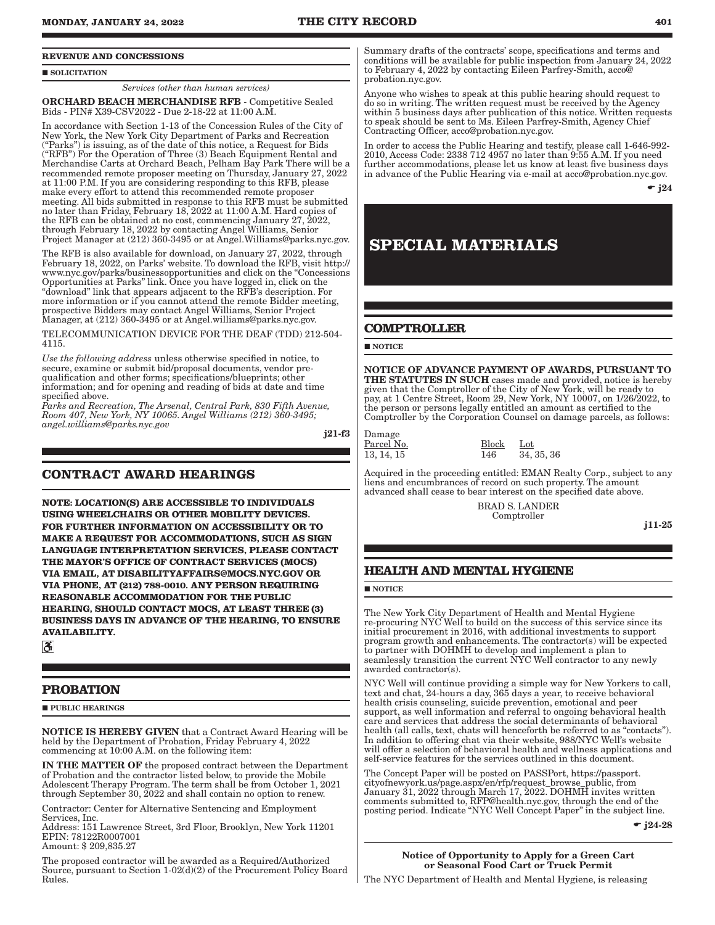#### **REVENUE AND CONCESSIONS**

#### **SOLICITATION**

*Services (other than human services)*

ORCHARD BEACH MERCHANDISE RFB - Competitive Sealed Bids - PIN# X39-CSV2022 - Due 2-18-22 at 11:00 A.M.

In accordance with Section 1-13 of the Concession Rules of the City of New York, the New York City Department of Parks and Recreation ("Parks") is issuing, as of the date of this notice, a Request for Bids ("RFB") For the Operation of Three (3) Beach Equipment Rental and Merchandise Carts at Orchard Beach, Pelham Bay Park There will be a recommended remote proposer meeting on Thursday, January 27, 2022 at 11:00 P.M. If you are considering responding to this RFB, please make every effort to attend this recommended remote proposer meeting. All bids submitted in response to this RFB must be submitted no later than Friday, February 18, 2022 at 11:00 A.M. Hard copies of the RFB can be obtained at no cost, commencing January 27, 2022, through February 18, 2022 by contacting Angel Williams, Senior Project Manager at (212) 360-3495 or at Angel.Williams@parks.nyc.gov.

The RFB is also available for download, on January 27, 2022, through February 18, 2022, on Parks' website. To download the RFB, visit http:// www.nyc.gov/parks/businessopportunities and click on the "Concessions Opportunities at Parks" link. Once you have logged in, click on the "download" link that appears adjacent to the RFB's description. For more information or if you cannot attend the remote Bidder meeting, prospective Bidders may contact Angel Williams, Senior Project Manager, at (212) 360-3495 or at Angel.williams@parks.nyc.gov.

TELECOMMUNICATION DEVICE FOR THE DEAF (TDD) 212-504- 4115.

*Use the following address* unless otherwise specified in notice, to secure, examine or submit bid/proposal documents, vendor prequalification and other forms; specifications/blueprints; other information; and for opening and reading of bids at date and time specified above.

*Parks and Recreation, The Arsenal, Central Park, 830 Fifth Avenue, Room 407, New York, NY 10065. Angel Williams (212) 360-3495; angel.williams@parks.nyc.gov*

j21-f3

### **CONTRACT AWARD HEARINGS**

**NOTE: LOCATION(S) ARE ACCESSIBLE TO INDIVIDUALS USING WHEELCHAIRS OR OTHER MOBILITY DEVICES. FOR FURTHER INFORMATION ON ACCESSIBILITY OR TO MAKE A REQUEST FOR ACCOMMODATIONS, SUCH AS SIGN LANGUAGE INTERPRETATION SERVICES, PLEASE CONTACT THE MAYOR'S OFFICE OF CONTRACT SERVICES (MOCS) VIA EMAIL, AT DISABILITYAFFAIRS@MOCS.NYC.GOV OR VIA PHONE, AT (212) 788-0010. ANY PERSON REQUIRING REASONABLE ACCOMMODATION FOR THE PUBLIC HEARING, SHOULD CONTACT MOCS, AT LEAST THREE (3) BUSINESS DAYS IN ADVANCE OF THE HEARING, TO ENSURE AVAILABILITY.**

 $|\mathcal{S}|$ 

#### **PROBATION**

**PURLIC HEARINGS** 

NOTICE IS HEREBY GIVEN that a Contract Award Hearing will be held by the Department of Probation, Friday February 4, 2022 commencing at 10:00 A.M. on the following item:

IN THE MATTER OF the proposed contract between the Department of Probation and the contractor listed below, to provide the Mobile Adolescent Therapy Program. The term shall be from October 1, 2021 through September 30, 2022 and shall contain no option to renew.

Contractor: Center for Alternative Sentencing and Employment Services, Inc.

Address: 151 Lawrence Street, 3rd Floor, Brooklyn, New York 11201 EPIN: 78122R0007001 Amount: \$ 209,835.27

The proposed contractor will be awarded as a Required/Authorized Source, pursuant to Section 1-02(d)(2) of the Procurement Policy Board Rules.

Summary drafts of the contracts' scope, specifications and terms and conditions will be available for public inspection from January 24, 2022 to February 4, 2022 by contacting Eileen Parfrey-Smith, acco@ probation.nyc.gov.

Anyone who wishes to speak at this public hearing should request to do so in writing. The written request must be received by the Agency within 5 business days after publication of this notice. Written requests to speak should be sent to Ms. Eileen Parfrey-Smith, Agency Chief Contracting Officer, acco@probation.nyc.gov.

In order to access the Public Hearing and testify, please call 1-646-992- 2010, Access Code: 2338 712 4957 no later than 9:55 A.M. If you need further accommodations, please let us know at least five business days in advance of the Public Hearing via e-mail at acco@probation.nyc.gov.

 $\div$  i24

## **SPECIAL MATERIALS**

### **COMPTROLLER**

 $\blacksquare$  NOTICE

NOTICE OF ADVANCE PAYMENT OF AWARDS, PURSUANT TO THE STATUTES IN SUCH cases made and provided, notice is hereby given that the Comptroller of the City of New York, will be ready to pay, at 1 Centre Street, Room 29, New York, NY 10007, on 1/26/2022, to the person or persons legally entitled an amount as certified to the Comptroller by the Corporation Counsel on damage parcels, as follows:

Damage

Parcel No. Block Lot 13, 14, 15 146 34, 35, 36

Acquired in the proceeding entitled: EMAN Realty Corp., subject to any liens and encumbrances of record on such property. The amount advanced shall cease to bear interest on the specified date above.

> BRAD S. LANDER Comptroller

j11-25

### **HEALTH AND MENTAL HYGIENE**

**NOTICE** 

The New York City Department of Health and Mental Hygiene re-procuring NYC Well to build on the success of this service since its initial procurement in 2016, with additional investments to support program growth and enhancements. The contractor(s) will be expected to partner with DOHMH to develop and implement a plan to seamlessly transition the current NYC Well contractor to any newly awarded contractor(s).

NYC Well will continue providing a simple way for New Yorkers to call, text and chat, 24-hours a day, 365 days a year, to receive behavioral health crisis counseling, suicide prevention, emotional and peer support, as well information and referral to ongoing behavioral health care and services that address the social determinants of behavioral health (all calls, text, chats will henceforth be referred to as "contacts"). In addition to offering chat via their website, 988/NYC Well's website will offer a selection of behavioral health and wellness applications and self-service features for the services outlined in this document.

The Concept Paper will be posted on PASSPort, https://passport. cityofnewyork.us/page.aspx/en/rfp/request\_browse\_public, from January 31, 2022 through March 17, 2022. DOHMH invites written comments submitted to, RFP@health.nyc.gov, through the end of the posting period. Indicate "NYC Well Concept Paper" in the subject line.

 $\bullet$  j24-28

Notice of Opportunity to Apply for a Green Cart or Seasonal Food Cart or Truck Permit

The NYC Department of Health and Mental Hygiene, is releasing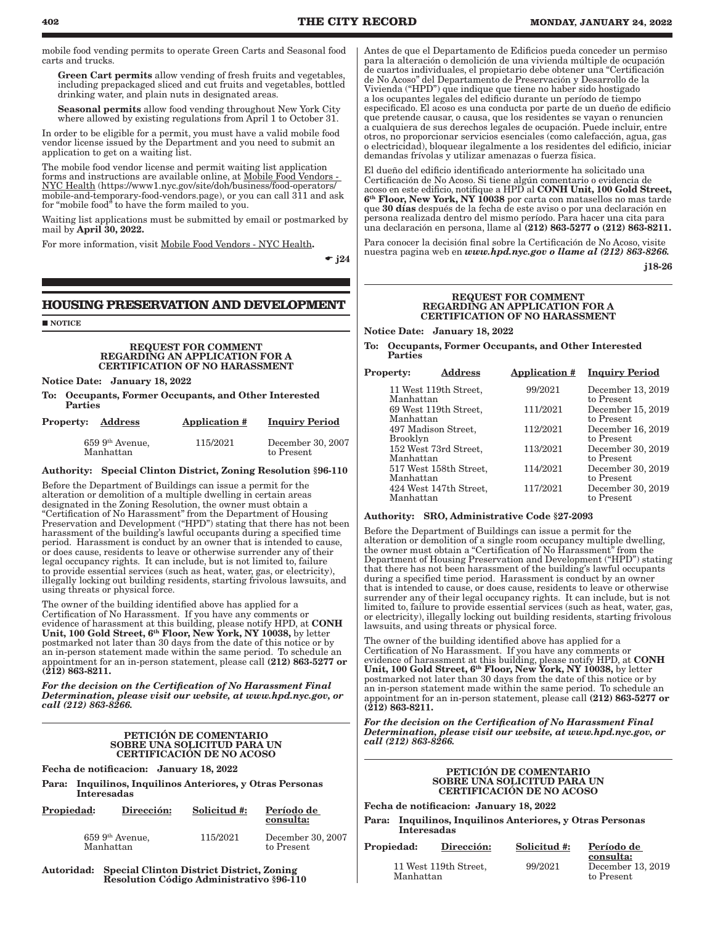mobile food vending permits to operate Green Carts and Seasonal food carts and trucks.

Green Cart permits allow vending of fresh fruits and vegetables including prepackaged sliced and cut fruits and vegetables, bottled drinking water, and plain nuts in designated areas.

Seasonal permits allow food vending throughout New York City where allowed by existing regulations from April 1 to October 31.

In order to be eligible for a permit, you must have a valid mobile food vendor license issued by the Department and you need to submit an application to get on a waiting list.

The mobile food vendor license and permit waiting list application forms and instructions are available online, at Mobile Food Vendors - NYC Health (https://www1.nyc.gov/site/doh/business/food-operators/ mobile-and-temporary-food-vendors.page), or you can call 311 and ask for "mobile food" to have the form mailed to you.

Waiting list applications must be submitted by email or postmarked by mail by April 30, 2022.

For more information, visit Mobile Food Vendors - NYC Health.

 $\div$  i24

### **HOUSING PRESERVATION AND DEVELOPMENT**

**NOTICE** 

#### REQUEST FOR COMMENT REGARDING AN APPLICATION FOR A CERTIFICATION OF NO HARASSMENT

Notice Date: January 18, 2022

To: Occupants, Former Occupants, and Other Interested Parties

| <b>Property:</b><br>Address     | <b>Application #</b> | <b>Inquiry Period</b>           |
|---------------------------------|----------------------|---------------------------------|
| $659\;9th$ Avenue,<br>Manhattan | 115/2021             | December 30, 2007<br>to Present |

#### Authority: Special Clinton District, Zoning Resolution §96-110

Before the Department of Buildings can issue a permit for the alteration or demolition of a multiple dwelling in certain areas designated in the Zoning Resolution, the owner must obtain a "Certification of No Harassment" from the Department of Housing Preservation and Development ("HPD") stating that there has not been harassment of the building's lawful occupants during a specified time period. Harassment is conduct by an owner that is intended to cause, or does cause, residents to leave or otherwise surrender any of their legal occupancy rights. It can include, but is not limited to, failure to provide essential services (such as heat, water, gas, or electricity), illegally locking out building residents, starting frivolous lawsuits, and using threats or physical force.

The owner of the building identified above has applied for a Certification of No Harassment. If you have any comments or evidence of harassment at this building, please notify HPD, at CONH Unit, 100 Gold Street, 6th Floor, New York, NY 10038, by letter postmarked not later than 30 days from the date of this notice or by an in-person statement made within the same period. To schedule an appointment for an in-person statement, please call (212) 863-5277 or (212) 863-8211.

*For the decision on the Certification of No Harassment Final Determination, please visit our website, at www.hpd.nyc.gov, or call (212) 863-8266.*

#### PETICIÓN DE COMENTARIO SOBRE UNA SOLICITUD PARA UN CERTIFICACIÓN DE NO ACOSO

Fecha de notificacion: January 18, 2022

Para: Inquilinos, Inquilinos Anteriores, y Otras Personas Interesadas

| Propiedad: | Dirección:         | Solicitud #: | Período de<br>consulta:         |
|------------|--------------------|--------------|---------------------------------|
| Manhattan  | $659\;9th$ Avenue. | 115/2021     | December 30, 2007<br>to Present |

Autoridad: Special Clinton District District, Zoning Resolution Código Administrativo §96-110 Antes de que el Departamento de Edificios pueda conceder un permiso para la alteración o demolición de una vivienda múltiple de ocupación de cuartos individuales, el propietario debe obtener una "Certificación de No Acoso" del Departamento de Preservación y Desarrollo de la Vivienda ("HPD") que indique que tiene no haber sido hostigado a los ocupantes legales del edificio durante un período de tiempo especificado. El acoso es una conducta por parte de un dueño de edificio que pretende causar, o causa, que los residentes se vayan o renuncien a cualquiera de sus derechos legales de ocupación. Puede incluir, entre otros, no proporcionar servicios esenciales (como calefacción, agua, gas o electricidad), bloquear ilegalmente a los residentes del edificio, iniciar demandas frívolas y utilizar amenazas o fuerza física.

El dueño del edificio identificado anteriormente ha solicitado una Certificación de No Acoso. Si tiene algún comentario o evidencia de acoso en este edificio, notifique a HPD al CONH Unit, 100 Gold Street, 6th Floor, New York, NY 10038 por carta con matasellos no mas tarde que 30 días después de la fecha de este aviso o por una declaración en persona realizada dentro del mismo período. Para hacer una cita para una declaración en persona, llame al (212) 863-5277 o (212) 863-8211.

Para conocer la decisión final sobre la Certificación de No Acoso, visite nuestra pagina web en *www.hpd.nyc.gov o llame al (212) 863-8266.*

j18-26

#### REQUEST FOR COMMENT REGARDING AN APPLICATION FOR A CERTIFICATION OF NO HARASSMENT

Notice Date: January 18, 2022

To: Occupants, Former Occupants, and Other Interested Parties

| <b>Property:</b> | Address                | <b>Application #</b> | <b>Inquiry Period</b>           |
|------------------|------------------------|----------------------|---------------------------------|
| Manhattan        | 11 West 119th Street,  | 99/2021              | December 13, 2019<br>to Present |
| Manhattan        | 69 West 119th Street.  | 111/2021             | December 15, 2019<br>to Present |
| Brooklyn         | 497 Madison Street,    | 112/2021             | December 16, 2019<br>to Present |
| Manhattan        | 152 West 73rd Street.  | 113/2021             | December 30, 2019<br>to Present |
| Manhattan        | 517 West 158th Street, | 114/2021             | December 30, 2019<br>to Present |
| Manhattan        | 424 West 147th Street, | 117/2021             | December 30, 2019<br>to Present |

#### Authority: SRO, Administrative Code §27-2093

Before the Department of Buildings can issue a permit for the alteration or demolition of a single room occupancy multiple dwelling, the owner must obtain a "Certification of No Harassment" from the Department of Housing Preservation and Development ("HPD") stating that there has not been harassment of the building's lawful occupants during a specified time period. Harassment is conduct by an owner that is intended to cause, or does cause, residents to leave or otherwise surrender any of their legal occupancy rights. It can include, but is not limited to, failure to provide essential services (such as heat, water, gas, or electricity), illegally locking out building residents, starting frivolous lawsuits, and using threats or physical force.

The owner of the building identified above has applied for a Certification of No Harassment. If you have any comments or evidence of harassment at this building, please notify HPD, at **CONH** Unit, 100 Gold Street, 6th Floor, New York, NY 10038, by letter postmarked not later than 30 days from the date of this notice or by an in-person statement made within the same period. To schedule an appointment for an in-person statement, please call (212) 863-5277 or (212) 863-8211.

*For the decision on the Certification of No Harassment Final Determination, please visit our website, at www.hpd.nyc.gov, or call (212) 863-8266.*

#### PETICIÓN DE COMENTARIO SOBRE UNA SOLICITUD PARA UN CERTIFICACIÓN DE NO ACOSO

Fecha de notificacion: January 18, 2022

Para: Inquilinos, Inquilinos Anteriores, y Otras Personas Interesadas

| Propiedad: | Dirección:            | Solicitud #: | Período de<br>consulta:         |
|------------|-----------------------|--------------|---------------------------------|
| Manhattan  | 11 West 119th Street, | 99/2021      | December 13, 2019<br>to Present |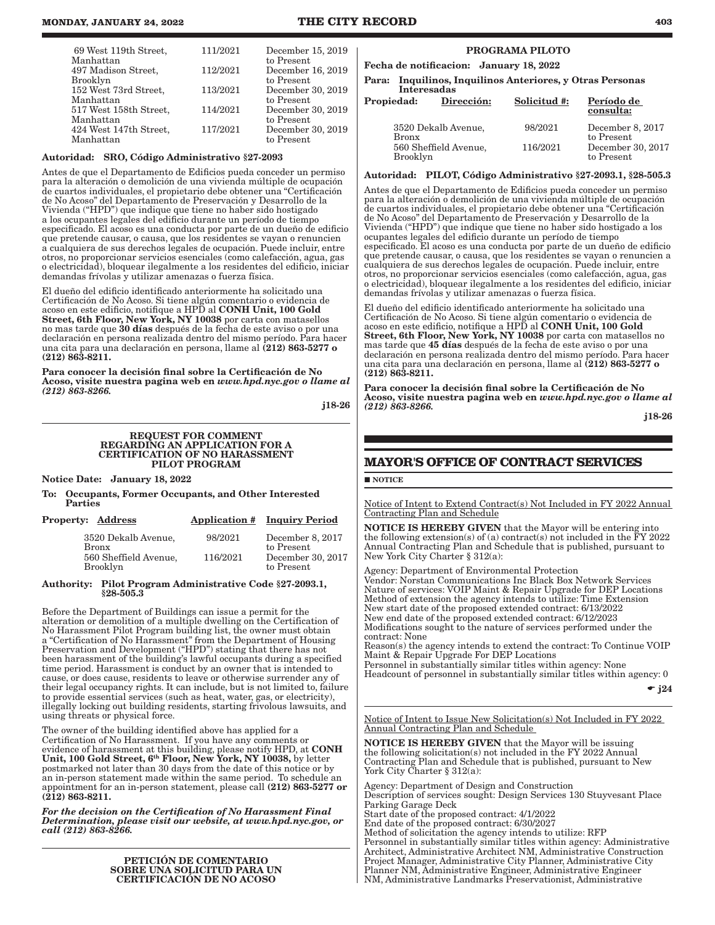| 69 West 119th Street,<br>Manhattan     | 111/2021 | December 15, 2019<br>to Present |
|----------------------------------------|----------|---------------------------------|
| 497 Madison Street.<br><b>Brooklyn</b> | 112/2021 | December 16, 2019<br>to Present |
| 152 West 73rd Street,<br>Manhattan     | 113/2021 | December 30, 2019<br>to Present |
| 517 West 158th Street,<br>Manhattan    | 114/2021 | December 30, 2019<br>to Present |
| 424 West 147th Street.<br>Manhattan    | 117/2021 | December 30, 2019<br>to Present |

#### Autoridad: SRO, Código Administrativo §27-2093

Antes de que el Departamento de Edificios pueda conceder un permiso para la alteración o demolición de una vivienda múltiple de ocupación de cuartos individuales, el propietario debe obtener una "Certificación de No Acoso" del Departamento de Preservación y Desarrollo de la Vivienda ("HPD") que indique que tiene no haber sido hostigado a los ocupantes legales del edificio durante un período de tiempo especificado. El acoso es una conducta por parte de un dueño de edificio que pretende causar, o causa, que los residentes se vayan o renuncien a cualquiera de sus derechos legales de ocupación. Puede incluir, entre otros, no proporcionar servicios esenciales (como calefacción, agua, gas o electricidad), bloquear ilegalmente a los residentes del edificio, iniciar demandas frívolas y utilizar amenazas o fuerza física.

El dueño del edificio identificado anteriormente ha solicitado una Certificación de No Acoso. Si tiene algún comentario o evidencia de acoso en este edificio, notifique a HPD al CONH Unit, 100 Gold Street, 6th Floor, New York, NY 10038 por carta con matasellos no mas tarde que 30 días después de la fecha de este aviso o por una declaración en persona realizada dentro del mismo período. Para hacer una cita para una declaración en persona, llame al (212) 863-5277 o (212) 863-8211.

Para conocer la decisión final sobre la Certificación de No Acoso, visite nuestra pagina web en *www.hpd.nyc.gov o llame al (212) 863-8266.*

j18-26

#### REQUEST FOR COMMENT REGARDING AN APPLICATION FOR A CERTIFICATION OF NO HARASSMENT PILOT PROGRAM

Notice Date: January 18, 2022

To: Occupants, Former Occupants, and Other Interested Parties

| <b>Property: Address</b><br><b>Application # Inquiry Period</b>                 |                                                                                          |
|---------------------------------------------------------------------------------|------------------------------------------------------------------------------------------|
| 3520 Dekalb Avenue,<br><b>Bronx</b><br>560 Sheffield Avenue,<br><b>Brooklyn</b> | 98/2021<br>December 8, 2017<br>to Present<br>December 30, 2017<br>116/2021<br>to Present |

#### Authority: Pilot Program Administrative Code §27-2093.1, §28-505.3

Before the Department of Buildings can issue a permit for the alteration or demolition of a multiple dwelling on the Certification of No Harassment Pilot Program building list, the owner must obtain a "Certification of No Harassment" from the Department of Housing Preservation and Development ("HPD") stating that there has not been harassment of the building's lawful occupants during a specified time period. Harassment is conduct by an owner that is intended to cause, or does cause, residents to leave or otherwise surrender any of their legal occupancy rights. It can include, but is not limited to, failure to provide essential services (such as heat, water, gas, or electricity), illegally locking out building residents, starting frivolous lawsuits, and using threats or physical force.

The owner of the building identified above has applied for a Certification of No Harassment. If you have any comments or evidence of harassment at this building, please notify HPD, at **CONH** Unit, 100 Gold Street, 6<sup>th</sup> Floor, New York, NY 10038, by letter postmarked not later than 30 days from the date of this notice or by an in-person statement made within the same period. To schedule an appointment for an in-person statement, please call (212) 863-5277 or (212) 863-8211.

*For the decision on the Certification of No Harassment Final Determination, please visit our website, at www.hpd.nyc.gov, or call (212) 863-8266.*

> PETICIÓN DE COMENTARIO SOBRE UNA SOLICITUD PARA UN CERTIFICACIÓN DE NO ACOSO

#### PROGRAMA PILOTO

Fecha de notificacion: January 18, 2022

Para: Inquilinos, Inquilinos Anteriores, y Otras Personas Interesadas

| Propiedad:   | Dirección:            | Solicitud #: | Período de<br>consulta:         |
|--------------|-----------------------|--------------|---------------------------------|
| <b>Bronx</b> | 3520 Dekalb Avenue,   | 98/2021      | December 8, 2017<br>to Present  |
| Brooklyn     | 560 Sheffield Avenue, | 116/2021     | December 30, 2017<br>to Present |

#### Autoridad: PILOT, Código Administrativo §27-2093.1, §28-505.3

Antes de que el Departamento de Edificios pueda conceder un permiso para la alteración o demolición de una vivienda múltiple de ocupación de cuartos individuales, el propietario debe obtener una "Certificación de No Acoso" del Departamento de Preservación y Desarrollo de la Vivienda ("HPD") que indique que tiene no haber sido hostigado a los ocupantes legales del edificio durante un período de tiempo especificado. El acoso es una conducta por parte de un dueño de edificio que pretende causar, o causa, que los residentes se vayan o renuncien a cualquiera de sus derechos legales de ocupación. Puede incluir, entre otros, no proporcionar servicios esenciales (como calefacción, agua, gas o electricidad), bloquear ilegalmente a los residentes del edificio, iniciar demandas frívolas y utilizar amenazas o fuerza física.

El dueño del edificio identificado anteriormente ha solicitado una Certificación de No Acoso. Si tiene algún comentario o evidencia de acoso en este edificio, notifique a HPD al CONH Unit, 100 Gold Street, 6th Floor, New York, NY 10038 por carta con matasellos no mas tarde que 45 días después de la fecha de este aviso o por una declaración en persona realizada dentro del mismo período. Para hacer una cita para una declaración en persona, llame al (212) 863-5277 o (212) 863-8211.

Para conocer la decisión final sobre la Certificación de No Acoso, visite nuestra pagina web en *www.hpd.nyc.gov o llame al (212) 863-8266.*

j18-26

## **MAYOR'S OFFICE OF CONTRACT SERVICES**

NOTICE

Notice of Intent to Extend Contract(s) Not Included in FY 2022 Annual Contracting Plan and Schedule

NOTICE IS HEREBY GIVEN that the Mayor will be entering into the following extension(s) of (a) contract(s) not included in the FY 2022 Annual Contracting Plan and Schedule that is published, pursuant to New York City Charter § 312(a):

Agency: Department of Environmental Protection Vendor: Norstan Communications Inc Black Box Network Services Nature of services: VOIP Maint & Repair Upgrade for DEP Locations Method of extension the agency intends to utilize: Time Extension New start date of the proposed extended contract: 6/13/2022 New end date of the proposed extended contract: 6/12/2023 Modifications sought to the nature of services performed under the contract: None Reason(s) the agency intends to extend the contract: To Continue VOIP Maint & Repair Upgrade For DEP Locations Personnel in substantially similar titles within agency: None Headcount of personnel in substantially similar titles within agency: 0

 $\bullet$  j24

Notice of Intent to Issue New Solicitation(s) Not Included in FY 2022 Annual Contracting Plan and Schedule

NOTICE IS HEREBY GIVEN that the Mayor will be issuing the following solicitation(s) not included in the FY 2022 Annual Contracting Plan and Schedule that is published, pursuant to New York City Charter § 312(a):

Agency: Department of Design and Construction Description of services sought: Design Services 130 Stuyvesant Place Parking Garage Deck Start date of the proposed contract: 4/1/2022 End date of the proposed contract: 6/30/2027 Method of solicitation the agency intends to utilize: RFP Personnel in substantially similar titles within agency: Administrative Architect, Administrative Architect NM, Administrative Construction Project Manager, Administrative City Planner, Administrative City Planner NM, Administrative Engineer, Administrative Engineer NM, Administrative Landmarks Preservationist, Administrative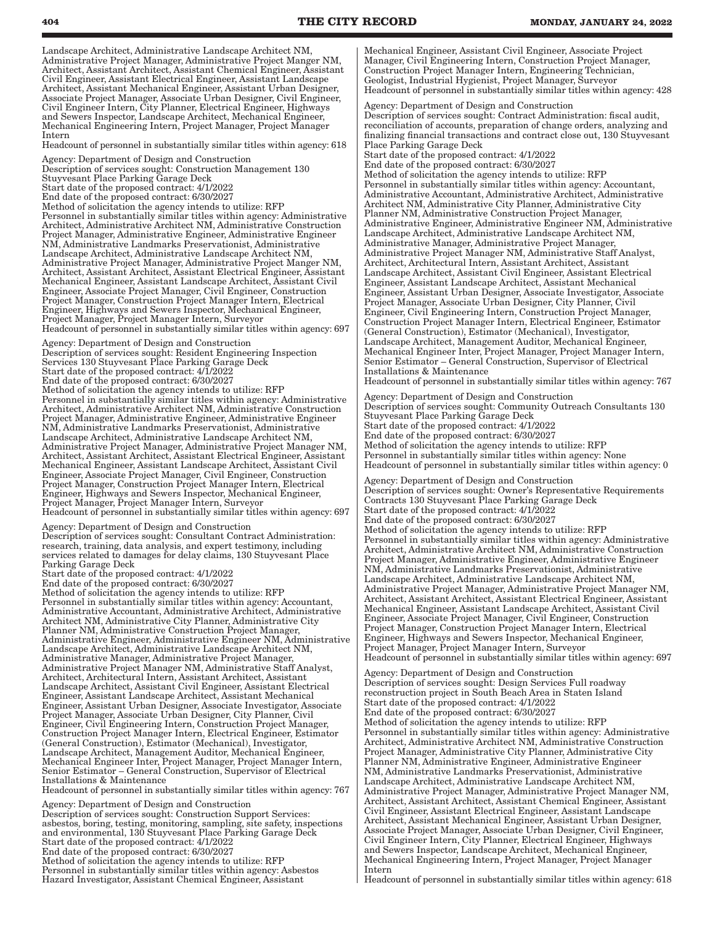Landscape Architect, Administrative Landscape Architect NM, Administrative Project Manager, Administrative Project Manger NM, Architect, Assistant Architect, Assistant Chemical Engineer, Assistant Civil Engineer, Assistant Electrical Engineer, Assistant Landscape Architect, Assistant Mechanical Engineer, Assistant Urban Designer, Associate Project Manager, Associate Urban Designer, Civil Engineer, Civil Engineer Intern, City Planner, Electrical Engineer, Highways and Sewers Inspector, Landscape Architect, Mechanical Engineer, Mechanical Engineering Intern, Project Manager, Project Manager Intern

Headcount of personnel in substantially similar titles within agency: 618

Agency: Department of Design and Construction Description of services sought: Construction Management 130

Stuyvesant Place Parking Garage Deck

Start date of the proposed contract: 4/1/2022

End date of the proposed contract: 6/30/2027

Method of solicitation the agency intends to utilize: RFP Personnel in substantially similar titles within agency: Administrative Architect, Administrative Architect NM, Administrative Construction Project Manager, Administrative Engineer, Administrative Engineer NM, Administrative Landmarks Preservationist, Administrative Landscape Architect, Administrative Landscape Architect NM, Administrative Project Manager, Administrative Project Manger NM, Architect, Assistant Architect, Assistant Electrical Engineer, Assistant Mechanical Engineer, Assistant Landscape Architect, Assistant Civil Engineer, Associate Project Manager, Civil Engineer, Construction Project Manager, Construction Project Manager Intern, Electrical Engineer, Highways and Sewers Inspector, Mechanical Engineer, Project Manager, Project Manager Intern, Surveyor

Headcount of personnel in substantially similar titles within agency: 697

Agency: Department of Design and Construction Description of services sought: Resident Engineering Inspection Services 130 Stuyvesant Place Parking Garage Deck Start date of the proposed contract: 4/1/2022 End date of the proposed contract: 6/30/2027 Method of solicitation the agency intends to utilize: RFP Personnel in substantially similar titles within agency: Administrative Architect, Administrative Architect NM, Administrative Construction Project Manager, Administrative Engineer, Administrative Engineer NM, Administrative Landmarks Preservationist, Administrative Landscape Architect, Administrative Landscape Architect NM, Administrative Project Manager, Administrative Project Manager NM, Architect, Assistant Architect, Assistant Electrical Engineer, Assistant Mechanical Engineer, Assistant Landscape Architect, Assistant Civil Engineer, Associate Project Manager, Civil Engineer, Construction Project Manager, Construction Project Manager Intern, Electrical Engineer, Highways and Sewers Inspector, Mechanical Engineer, Project Manager, Project Manager Intern, Surveyor

Headcount of personnel in substantially similar titles within agency: 697 Agency: Department of Design and Construction

Description of services sought: Consultant Contract Administration: research, training, data analysis, and expert testimony, including services related to damages for delay claims, 130 Stuyvesant Place Parking Garage Deck

Start date of the proposed contract: 4/1/2022

End date of the proposed contract: 6/30/2027 Method of solicitation the agency intends to utilize: RFP Personnel in substantially similar titles within agency: Accountant, Administrative Accountant, Administrative Architect, Administrative Architect NM, Administrative City Planner, Administrative City Planner NM, Administrative Construction Project Manager, Administrative Engineer, Administrative Engineer NM, Administrative Landscape Architect, Administrative Landscape Architect NM, Administrative Manager, Administrative Project Manager, Administrative Project Manager NM, Administrative Staff Analyst, Architect, Architectural Intern, Assistant Architect, Assistant Landscape Architect, Assistant Civil Engineer, Assistant Electrical Engineer, Assistant Landscape Architect, Assistant Mechanical Engineer, Assistant Urban Designer, Associate Investigator, Associate Project Manager, Associate Urban Designer, City Planner, Civil Engineer, Civil Engineering Intern, Construction Project Manager, Construction Project Manager Intern, Electrical Engineer, Estimator (General Construction), Estimator (Mechanical), Investigator, Landscape Architect, Management Auditor, Mechanical Engineer, Mechanical Engineer Inter, Project Manager, Project Manager Intern, Senior Estimator – General Construction, Supervisor of Electrical Installations & Maintenance

Headcount of personnel in substantially similar titles within agency: 767

Agency: Department of Design and Construction Description of services sought: Construction Support Services: asbestos, boring, testing, monitoring, sampling, site safety, inspections and environmental, 130 Stuyvesant Place Parking Garage Deck Start date of the proposed contract: 4/1/2022 End date of the proposed contract: 6/30/2027 Method of solicitation the agency intends to utilize: RFP Personnel in substantially similar titles within agency: Asbestos Hazard Investigator, Assistant Chemical Engineer, Assistant

Mechanical Engineer, Assistant Civil Engineer, Associate Project Manager, Civil Engineering Intern, Construction Project Manager, Construction Project Manager Intern, Engineering Technician, Geologist, Industrial Hygienist, Project Manager, Surveyor Headcount of personnel in substantially similar titles within agency: 428

Agency: Department of Design and Construction Description of services sought: Contract Administration: fiscal audit, reconciliation of accounts, preparation of change orders, analyzing and finalizing financial transactions and contract close out, 130 Stuyvesant Place Parking Garage Deck

Start date of the proposed contract: 4/1/2022

End date of the proposed contract: 6/30/2027 Method of solicitation the agency intends to utilize: RFP Personnel in substantially similar titles within agency: Accountant, Administrative Accountant, Administrative Architect, Administrative Architect NM, Administrative City Planner, Administrative City Planner NM, Administrative Construction Project Manager, Administrative Engineer, Administrative Engineer NM, Administrative Landscape Architect, Administrative Landscape Architect NM, Administrative Manager, Administrative Project Manager, Administrative Project Manager NM, Administrative Staff Analyst, Architect, Architectural Intern, Assistant Architect, Assistant Landscape Architect, Assistant Civil Engineer, Assistant Electrical Engineer, Assistant Landscape Architect, Assistant Mechanical Engineer, Assistant Urban Designer, Associate Investigator, Associate Project Manager, Associate Urban Designer, City Planner, Civil Engineer, Civil Engineering Intern, Construction Project Manager, Construction Project Manager Intern, Electrical Engineer, Estimator (General Construction), Estimator (Mechanical), Investigator, Landscape Architect, Management Auditor, Mechanical Engineer, Mechanical Engineer Inter, Project Manager, Project Manager Intern, Senior Estimator – General Construction, Supervisor of Electrical Installations & Maintenance

Headcount of personnel in substantially similar titles within agency: 767

Agency: Department of Design and Construction Description of services sought: Community Outreach Consultants 130 Stuyvesant Place Parking Garage Deck Start date of the proposed contract: 4/1/2022 End date of the proposed contract: 6/30/2027 Method of solicitation the agency intends to utilize: RFP Personnel in substantially similar titles within agency: None Headcount of personnel in substantially similar titles within agency: 0

Agency: Department of Design and Construction Description of services sought: Owner's Representative Requirements Contracts 130 Stuyvesant Place Parking Garage Deck Start date of the proposed contract: 4/1/2022 End date of the proposed contract: 6/30/2027 Method of solicitation the agency intends to utilize: RFP Personnel in substantially similar titles within agency: Administrative Architect, Administrative Architect NM, Administrative Construction Project Manager, Administrative Engineer, Administrative Engineer NM, Administrative Landmarks Preservationist, Administrative Landscape Architect, Administrative Landscape Architect NM, Administrative Project Manager, Administrative Project Manager NM, Architect, Assistant Architect, Assistant Electrical Engineer, Assistant Mechanical Engineer, Assistant Landscape Architect, Assistant Civil Engineer, Associate Project Manager, Civil Engineer, Construction Project Manager, Construction Project Manager Intern, Electrical Engineer, Highways and Sewers Inspector, Mechanical Engineer, Project Manager, Project Manager Intern, Surveyor Headcount of personnel in substantially similar titles within agency: 697

Agency: Department of Design and Construction Description of services sought: Design Services Full roadway reconstruction project in South Beach Area in Staten Island Start date of the proposed contract: 4/1/2022 End date of the proposed contract: 6/30/2027 Method of solicitation the agency intends to utilize: RFP Personnel in substantially similar titles within agency: Administrative Architect, Administrative Architect NM, Administrative Construction Project Manager, Administrative City Planner, Administrative City Planner NM, Administrative Engineer, Administrative Engineer NM, Administrative Landmarks Preservationist, Administrative Landscape Architect, Administrative Landscape Architect NM, Administrative Project Manager, Administrative Project Manager NM, Architect, Assistant Architect, Assistant Chemical Engineer, Assistant Civil Engineer, Assistant Electrical Engineer, Assistant Landscape Architect, Assistant Mechanical Engineer, Assistant Urban Designer, Associate Project Manager, Associate Urban Designer, Civil Engineer, Civil Engineer Intern, City Planner, Electrical Engineer, Highways and Sewers Inspector, Landscape Architect, Mechanical Engineer, Mechanical Engineering Intern, Project Manager, Project Manager Intern

Headcount of personnel in substantially similar titles within agency: 618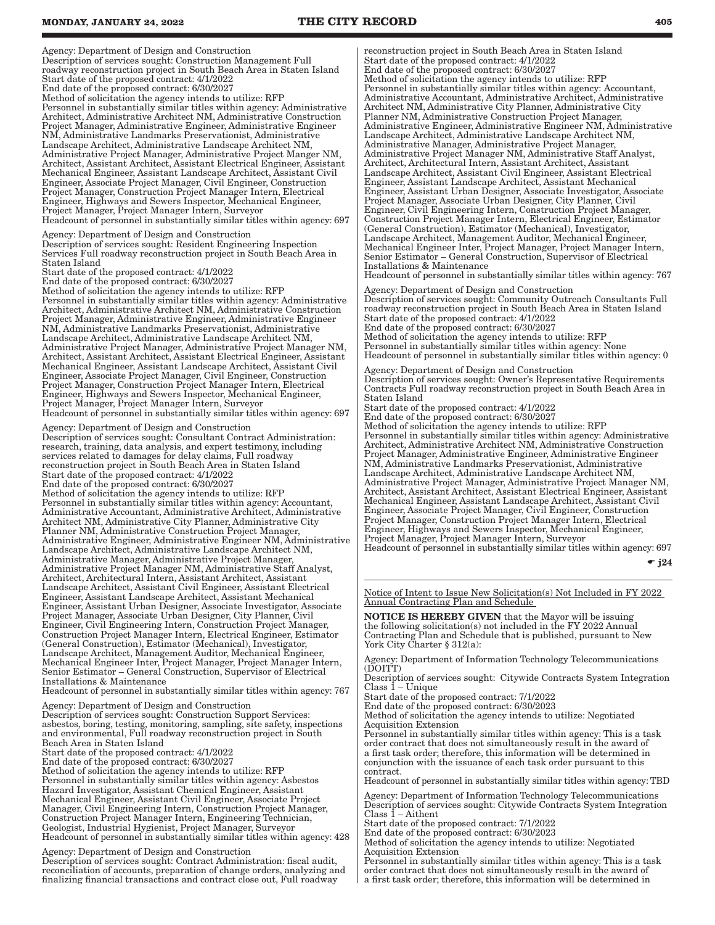#### **MONDAY, JANUARY 24, 2022 THE CITY RECORD 405**

Agency: Department of Design and Construction

Description of services sought: Construction Management Full roadway reconstruction project in South Beach Area in Staten Island Start date of the proposed contract: 4/1/2022

End date of the proposed contract: 6/30/2027 Method of solicitation the agency intends to utilize: RFP Personnel in substantially similar titles within agency: Administrative Architect, Administrative Architect NM, Administrative Construction Project Manager, Administrative Engineer, Administrative Engineer NM, Administrative Landmarks Preservationist, Administrative Landscape Architect, Administrative Landscape Architect NM, Administrative Project Manager, Administrative Project Manger NM, Architect, Assistant Architect, Assistant Electrical Engineer, Assistant Mechanical Engineer, Assistant Landscape Architect, Assistant Civil Engineer, Associate Project Manager, Civil Engineer, Construction Project Manager, Construction Project Manager Intern, Electrical Engineer, Highways and Sewers Inspector, Mechanical Engineer, Project Manager, Project Manager Intern, Surveyor

Headcount of personnel in substantially similar titles within agency: 697

Agency: Department of Design and Construction Description of services sought: Resident Engineering Inspection Services Full roadway reconstruction project in South Beach Area in Staten Island

Start date of the proposed contract: 4/1/2022

End date of the proposed contract: 6/30/2027

Method of solicitation the agency intends to utilize: RFP Personnel in substantially similar titles within agency: Administrative Architect, Administrative Architect NM, Administrative Construction Project Manager, Administrative Engineer, Administrative Engineer NM, Administrative Landmarks Preservationist, Administrative Landscape Architect, Administrative Landscape Architect NM, Administrative Project Manager, Administrative Project Manager NM, Architect, Assistant Architect, Assistant Electrical Engineer, Assistant Mechanical Engineer, Assistant Landscape Architect, Assistant Civil Engineer, Associate Project Manager, Civil Engineer, Construction Project Manager, Construction Project Manager Intern, Electrical Engineer, Highways and Sewers Inspector, Mechanical Engineer, Project Manager, Project Manager Intern, Surveyor Headcount of personnel in substantially similar titles within agency: 697

Agency: Department of Design and Construction

Description of services sought: Consultant Contract Administration: research, training, data analysis, and expert testimony, including services related to damages for delay claims, Full roadway reconstruction project in South Beach Area in Staten Island Start date of the proposed contract: 4/1/2022 End date of the proposed contract: 6/30/2027 Method of solicitation the agency intends to utilize: RFP Personnel in substantially similar titles within agency: Accountant, Administrative Accountant, Administrative Architect, Administrative Architect NM, Administrative City Planner, Administrative City Planner NM, Administrative Construction Project Manager, Administrative Engineer, Administrative Engineer NM, Administrative Landscape Architect, Administrative Landscape Architect NM, Administrative Manager, Administrative Project Manager, Administrative Project Manager NM, Administrative Staff Analyst, Architect, Architectural Intern, Assistant Architect, Assistant Landscape Architect, Assistant Civil Engineer, Assistant Electrical Engineer, Assistant Landscape Architect, Assistant Mechanical Engineer, Assistant Urban Designer, Associate Investigator, Associate Project Manager, Associate Urban Designer, City Planner, Civil Engineer, Civil Engineering Intern, Construction Project Manager, Construction Project Manager Intern, Electrical Engineer, Estimator (General Construction), Estimator (Mechanical), Investigator, Landscape Architect, Management Auditor, Mechanical Engineer, Mechanical Engineer Inter, Project Manager, Project Manager Intern, Senior Estimator – General Construction, Supervisor of Electrical Installations & Maintenance

Headcount of personnel in substantially similar titles within agency: 767

Agency: Department of Design and Construction Description of services sought: Construction Support Services: asbestos, boring, testing, monitoring, sampling, site safety, inspections and environmental, Full roadway reconstruction project in South Beach Area in Staten Island

Start date of the proposed contract: 4/1/2022

End date of the proposed contract: 6/30/2027

Method of solicitation the agency intends to utilize: RFP Personnel in substantially similar titles within agency: Asbestos Hazard Investigator, Assistant Chemical Engineer, Assistant Mechanical Engineer, Assistant Civil Engineer, Associate Project Manager, Civil Engineering Intern, Construction Project Manager, Construction Project Manager Intern, Engineering Technician, Geologist, Industrial Hygienist, Project Manager, Surveyor Headcount of personnel in substantially similar titles within agency: 428

Agency: Department of Design and Construction

Description of services sought: Contract Administration: fiscal audit, reconciliation of accounts, preparation of change orders, analyzing and finalizing financial transactions and contract close out, Full roadway

reconstruction project in South Beach Area in Staten Island Start date of the proposed contract: 4/1/2022 End date of the proposed contract: 6/30/2027 Method of solicitation the agency intends to utilize: RFP Personnel in substantially similar titles within agency: Accountant, Administrative Accountant, Administrative Architect, Administrative Architect NM, Administrative City Planner, Administrative City Planner NM, Administrative Construction Project Manager, Administrative Engineer, Administrative Engineer NM, Administrative Landscape Architect, Administrative Landscape Architect NM, Administrative Manager, Administrative Project Manager, Administrative Project Manager NM, Administrative Staff Analyst, Architect, Architectural Intern, Assistant Architect, Assistant Landscape Architect, Assistant Civil Engineer, Assistant Electrical Engineer, Assistant Landscape Architect, Assistant Mechanical Engineer, Assistant Urban Designer, Associate Investigator, Associate Project Manager, Associate Urban Designer, City Planner, Civil Engineer, Civil Engineering Intern, Construction Project Manager, Construction Project Manager Intern, Electrical Engineer, Estimator (General Construction), Estimator (Mechanical), Investigator, Landscape Architect, Management Auditor, Mechanical Engineer, Mechanical Engineer Inter, Project Manager, Project Manager Intern, Senior Estimator – General Construction, Supervisor of Electrical Installations & Maintenance Headcount of personnel in substantially similar titles within agency: 767

Agency: Department of Design and Construction Description of services sought: Community Outreach Consultants Full roadway reconstruction project in South Beach Area in Staten Island Start date of the proposed contract: 4/1/2022 End date of the proposed contract: 6/30/2027 Method of solicitation the agency intends to utilize: RFP Personnel in substantially similar titles within agency: None Headcount of personnel in substantially similar titles within agency: 0

Agency: Department of Design and Construction Description of services sought: Owner's Representative Requirements Contracts Full roadway reconstruction project in South Beach Area in Staten Island

Start date of the proposed contract: 4/1/2022 End date of the proposed contract: 6/30/2027 Method of solicitation the agency intends to utilize: RFP Personnel in substantially similar titles within agency: Administrative Architect, Administrative Architect NM, Administrative Construction Project Manager, Administrative Engineer, Administrative Engineer NM, Administrative Landmarks Preservationist, Administrative Landscape Architect, Administrative Landscape Architect NM, Administrative Project Manager, Administrative Project Manager NM, Architect, Assistant Architect, Assistant Electrical Engineer, Assistant Mechanical Engineer, Assistant Landscape Architect, Assistant Civil Engineer, Associate Project Manager, Civil Engineer, Construction Project Manager, Construction Project Manager Intern, Electrical Engineer, Highways and Sewers Inspector, Mechanical Engineer, Project Manager, Project Manager Intern, Surveyor Headcount of personnel in substantially similar titles within agency: 697

 $\bullet$  j24

Notice of Intent to Issue New Solicitation(s) Not Included in FY 2022 Annual Contracting Plan and Schedule

NOTICE IS HEREBY GIVEN that the Mayor will be issuing the following solicitation(s) not included in the FY 2022 Annual Contracting Plan and Schedule that is published, pursuant to New York City Charter § 312(a):

Agency: Department of Information Technology Telecommunications (DOITT)

Description of services sought: Citywide Contracts System Integration Class 1 – Unique

Start date of the proposed contract: 7/1/2022

End date of the proposed contract: 6/30/2023

Method of solicitation the agency intends to utilize: Negotiated Acquisition Extension

Personnel in substantially similar titles within agency: This is a task order contract that does not simultaneously result in the award of a first task order; therefore, this information will be determined in conjunction with the issuance of each task order pursuant to this

contract. Headcount of personnel in substantially similar titles within agency: TBD

Agency: Department of Information Technology Telecommunications Description of services sought: Citywide Contracts System Integration Class 1 – Aithent

Start date of the proposed contract: 7/1/2022

End date of the proposed contract: 6/30/2023 Method of solicitation the agency intends to utilize: Negotiated Acquisition Extension

Personnel in substantially similar titles within agency: This is a task order contract that does not simultaneously result in the award of a first task order; therefore, this information will be determined in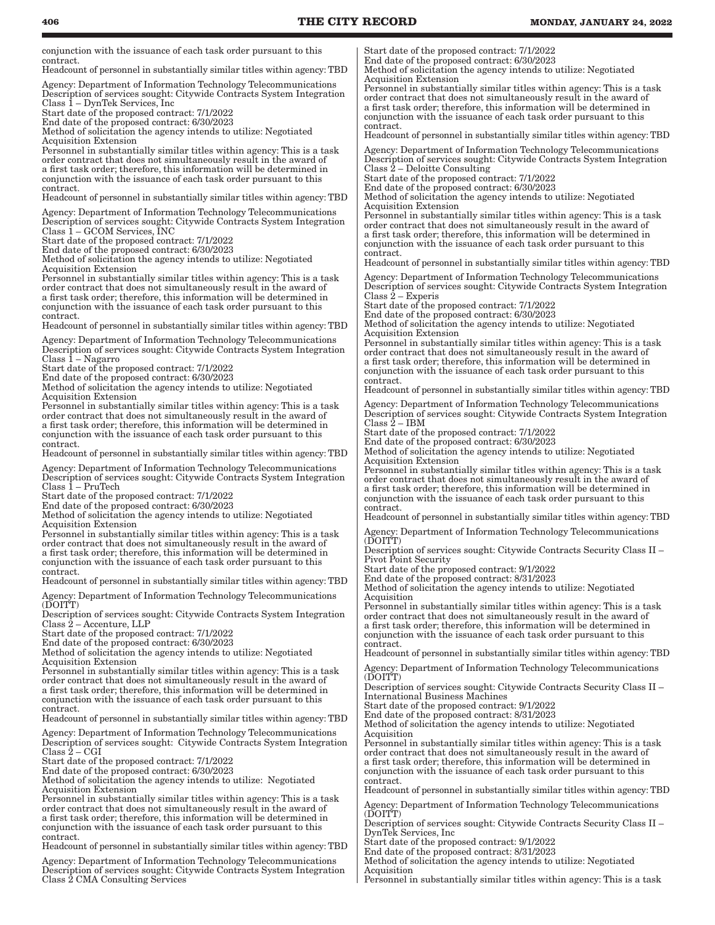conjunction with the issuance of each task order pursuant to this contract.

Headcount of personnel in substantially similar titles within agency: TBD

Agency: Department of Information Technology Telecommunications Description of services sought: Citywide Contracts System Integration Class 1 – DynTek Services, Inc

Start date of the proposed contract: 7/1/2022

End date of the proposed contract: 6/30/2023 Method of solicitation the agency intends to utilize: Negotiated

Acquisition Extension

Personnel in substantially similar titles within agency: This is a task order contract that does not simultaneously result in the award of a first task order; therefore, this information will be determined in conjunction with the issuance of each task order pursuant to this contract.

Headcount of personnel in substantially similar titles within agency: TBD

Agency: Department of Information Technology Telecommunications Description of services sought: Citywide Contracts System Integration Class 1 – GCOM Services, INC

Start date of the proposed contract: 7/1/2022

End date of the proposed contract: 6/30/2023

Method of solicitation the agency intends to utilize: Negotiated Acquisition Extension

Personnel in substantially similar titles within agency: This is a task order contract that does not simultaneously result in the award of a first task order; therefore, this information will be determined in conjunction with the issuance of each task order pursuant to this contract.

Headcount of personnel in substantially similar titles within agency: TBD

Agency: Department of Information Technology Telecommunications

Description of services sought: Citywide Contracts System Integration Class 1 – Nagarro

Start date of the proposed contract: 7/1/2022

End date of the proposed contract: 6/30/2023

Method of solicitation the agency intends to utilize: Negotiated Acquisition Extension

Personnel in substantially similar titles within agency: This is a task order contract that does not simultaneously result in the award of a first task order; therefore, this information will be determined in conjunction with the issuance of each task order pursuant to this contract.

Headcount of personnel in substantially similar titles within agency: TBD

Agency: Department of Information Technology Telecommunications Description of services sought: Citywide Contracts System Integration Class 1 – PruTech

Start date of the proposed contract: 7/1/2022

End date of the proposed contract: 6/30/2023

Method of solicitation the agency intends to utilize: Negotiated Acquisition Extension

Personnel in substantially similar titles within agency: This is a task order contract that does not simultaneously result in the award of a first task order; therefore, this information will be determined in conjunction with the issuance of each task order pursuant to this contract.

Headcount of personnel in substantially similar titles within agency: TBD

Agency: Department of Information Technology Telecommunications (DOITT)

Description of services sought: Citywide Contracts System Integration Class 2 – Accenture, LLP

Start date of the proposed contract: 7/1/2022

End date of the proposed contract: 6/30/2023

Method of solicitation the agency intends to utilize: Negotiated Acquisition Extension

Personnel in substantially similar titles within agency: This is a task order contract that does not simultaneously result in the award of a first task order; therefore, this information will be determined in conjunction with the issuance of each task order pursuant to this contract.

Headcount of personnel in substantially similar titles within agency: TBD

Agency: Department of Information Technology Telecommunications Description of services sought: Citywide Contracts System Integration  $Class 2 - CGI$ 

Start date of the proposed contract: 7/1/2022

End date of the proposed contract: 6/30/2023

Method of solicitation the agency intends to utilize: Negotiated Acquisition Extension

Personnel in substantially similar titles within agency: This is a task order contract that does not simultaneously result in the award of a first task order; therefore, this information will be determined in conjunction with the issuance of each task order pursuant to this contract.

Headcount of personnel in substantially similar titles within agency: TBD

Agency: Department of Information Technology Telecommunications Description of services sought: Citywide Contracts System Integration Class 2 CMA Consulting Services

Start date of the proposed contract: 7/1/2022

End date of the proposed contract: 6/30/2023 Method of solicitation the agency intends to utilize: Negotiated Acquisition Extension

Personnel in substantially similar titles within agency: This is a task order contract that does not simultaneously result in the award of a first task order; therefore, this information will be determined in conjunction with the issuance of each task order pursuant to this contract.

Headcount of personnel in substantially similar titles within agency: TBD

Agency: Department of Information Technology Telecommunications Description of services sought: Citywide Contracts System Integration Class  $2$  – Deloitte Consulting

Start date of the proposed contract: 7/1/2022

End date of the proposed contract: 6/30/2023

Method of solicitation the agency intends to utilize: Negotiated Acquisition Extension

Personnel in substantially similar titles within agency: This is a task order contract that does not simultaneously result in the award of a first task order; therefore, this information will be determined in conjunction with the issuance of each task order pursuant to this contract.

Headcount of personnel in substantially similar titles within agency: TBD

Agency: Department of Information Technology Telecommunications Description of services sought: Citywide Contracts System Integration Class 2 – Experis

Start date of the proposed contract: 7/1/2022

End date of the proposed contract: 6/30/2023

Method of solicitation the agency intends to utilize: Negotiated Acquisition Extension

Personnel in substantially similar titles within agency: This is a task order contract that does not simultaneously result in the award of a first task order; therefore, this information will be determined in conjunction with the issuance of each task order pursuant to this contract.

Headcount of personnel in substantially similar titles within agency: TBD

Agency: Department of Information Technology Telecommunications Description of services sought: Citywide Contracts System Integration Class 2 – IBM

Start date of the proposed contract: 7/1/2022

End date of the proposed contract: 6/30/2023

Method of solicitation the agency intends to utilize: Negotiated Acquisition Extension

Personnel in substantially similar titles within agency: This is a task order contract that does not simultaneously result in the award of a first task order; therefore, this information will be determined in conjunction with the issuance of each task order pursuant to this contract.

Headcount of personnel in substantially similar titles within agency: TBD

Agency: Department of Information Technology Telecommunications (DOITT)

Description of services sought: Citywide Contracts Security Class II – Pivot Point Security

Start date of the proposed contract: 9/1/2022

End date of the proposed contract: 8/31/2023

Method of solicitation the agency intends to utilize: Negotiated Acquisition

Personnel in substantially similar titles within agency: This is a task order contract that does not simultaneously result in the award of a first task order; therefore, this information will be determined in conjunction with the issuance of each task order pursuant to this contract.

Headcount of personnel in substantially similar titles within agency: TBD Agency: Department of Information Technology Telecommunications

 $(DOITT)$ Description of services sought: Citywide Contracts Security Class II –

International Business Machines

Start date of the proposed contract: 9/1/2022 End date of the proposed contract: 8/31/2023

Method of solicitation the agency intends to utilize: Negotiated Acquisition

Personnel in substantially similar titles within agency: This is a task order contract that does not simultaneously result in the award of a first task order; therefore, this information will be determined in conjunction with the issuance of each task order pursuant to this contract.

Headcount of personnel in substantially similar titles within agency: TBD Agency: Department of Information Technology Telecommunications

(DOITT) Description of services sought: Citywide Contracts Security Class II –

DynTek Services, Inc Start date of the proposed contract: 9/1/2022

End date of the proposed contract: 8/31/2023

Method of solicitation the agency intends to utilize: Negotiated Acquisition

Personnel in substantially similar titles within agency: This is a task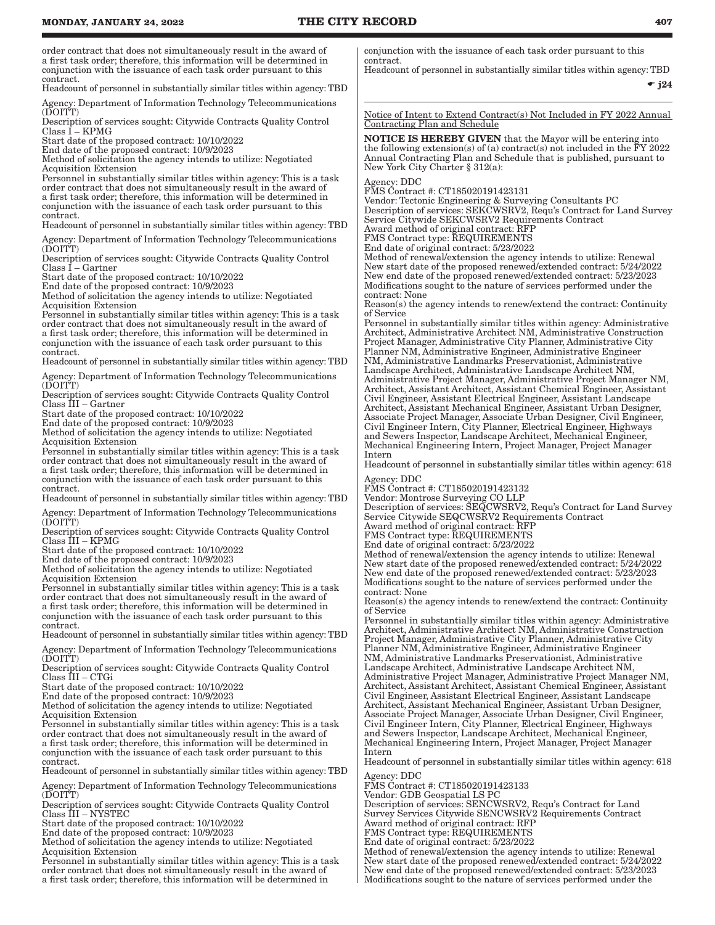order contract that does not simultaneously result in the award of a first task order; therefore, this information will be determined in conjunction with the issuance of each task order pursuant to this contract.

Headcount of personnel in substantially similar titles within agency: TBD

Agency: Department of Information Technology Telecommunications  $(DOIT^{\mathsf{v}}T)$ 

Description of services sought: Citywide Contracts Quality Control Class I – KPMG

Start date of the proposed contract: 10/10/2022

End date of the proposed contract: 10/9/2023 Method of solicitation the agency intends to utilize: Negotiated Acquisition Extension

Personnel in substantially similar titles within agency: This is a task order contract that does not simultaneously result in the award of a first task order; therefore, this information will be determined in conjunction with the issuance of each task order pursuant to this contract.

Headcount of personnel in substantially similar titles within agency: TBD

Agency: Department of Information Technology Telecommunications  $(DOIT^{\dagger}T)$ 

Description of services sought: Citywide Contracts Quality Control Class I – Gartner

Start date of the proposed contract: 10/10/2022 End date of the proposed contract: 10/9/2023

Method of solicitation the agency intends to utilize: Negotiated Acquisition Extension

Personnel in substantially similar titles within agency: This is a task order contract that does not simultaneously result in the award of a first task order; therefore, this information will be determined in conjunction with the issuance of each task order pursuant to this contract.

Headcount of personnel in substantially similar titles within agency: TBD

Agency: Department of Information Technology Telecommunications  $(DOITT)$ 

Description of services sought: Citywide Contracts Quality Control Class III – Gartner

Start date of the proposed contract: 10/10/2022

End date of the proposed contract: 10/9/2023

Method of solicitation the agency intends to utilize: Negotiated Acquisition Extension

Personnel in substantially similar titles within agency: This is a task order contract that does not simultaneously result in the award of a first task order; therefore, this information will be determined in conjunction with the issuance of each task order pursuant to this contract.

Headcount of personnel in substantially similar titles within agency: TBD Agency: Department of Information Technology Telecommunications

(DOITT)

Description of services sought: Citywide Contracts Quality Control Class III – KPMG

Start date of the proposed contract: 10/10/2022

End date of the proposed contract: 10/9/2023 Method of solicitation the agency intends to utilize: Negotiated

Acquisition Extension

Personnel in substantially similar titles within agency: This is a task order contract that does not simultaneously result in the award of a first task order; therefore, this information will be determined in conjunction with the issuance of each task order pursuant to this contract.

Headcount of personnel in substantially similar titles within agency: TBD

Agency: Department of Information Technology Telecommunications (DOITT)

Description of services sought: Citywide Contracts Quality Control Class III – CTGi

Start date of the proposed contract: 10/10/2022

End date of the proposed contract: 10/9/2023

Method of solicitation the agency intends to utilize: Negotiated Acquisition Extension

Personnel in substantially similar titles within agency: This is a task order contract that does not simultaneously result in the award of a first task order; therefore, this information will be determined in conjunction with the issuance of each task order pursuant to this contract.

Headcount of personnel in substantially similar titles within agency: TBD

Agency: Department of Information Technology Telecommunications  $(DOIT^{\dagger}T)$ 

Description of services sought: Citywide Contracts Quality Control Class III – NYSTEC

Start date of the proposed contract: 10/10/2022

End date of the proposed contract: 10/9/2023

Method of solicitation the agency intends to utilize: Negotiated Acquisition Extension

Personnel in substantially similar titles within agency: This is a task order contract that does not simultaneously result in the award of a first task order; therefore, this information will be determined in

conjunction with the issuance of each task order pursuant to this contract.

Headcount of personnel in substantially similar titles within agency: TBD

 $\bullet$  j24

Notice of Intent to Extend Contract(s) Not Included in FY 2022 Annual Contracting Plan and Schedule

NOTICE IS HEREBY GIVEN that the Mayor will be entering into the following extension(s) of (a) contract(s) not included in the  $\overline{y}Y$  2022 Annual Contracting Plan and Schedule that is published, pursuant to New York City Charter § 312(a):

#### Agency: DDC

FMS Contract #: CT185020191423131

Vendor: Tectonic Engineering & Surveying Consultants PC Description of services: SEKCWSRV2, Requ's Contract for Land Survey Service Citywide SEKCWSRV2 Requirements Contract Award method of original contract: RFP

FMS Contract type: REQUIREMENTS

End date of original contract: 5/23/2022

Method of renewal/extension the agency intends to utilize: Renewal New start date of the proposed renewed/extended contract: 5/24/2022 New end date of the proposed renewed/extended contract: 5/23/2023 Modifications sought to the nature of services performed under the contract: None

Reason(s) the agency intends to renew/extend the contract: Continuity of Service

Personnel in substantially similar titles within agency: Administrative Architect, Administrative Architect NM, Administrative Construction Project Manager, Administrative City Planner, Administrative City Planner NM, Administrative Engineer, Administrative Engineer NM, Administrative Landmarks Preservationist, Administrative Landscape Architect, Administrative Landscape Architect NM, Administrative Project Manager, Administrative Project Manager NM, Architect, Assistant Architect, Assistant Chemical Engineer, Assistant Civil Engineer, Assistant Electrical Engineer, Assistant Landscape Architect, Assistant Mechanical Engineer, Assistant Urban Designer, Associate Project Manager, Associate Urban Designer, Civil Engineer, Civil Engineer Intern, City Planner, Electrical Engineer, Highways and Sewers Inspector, Landscape Architect, Mechanical Engineer, Mechanical Engineering Intern, Project Manager, Project Manager Intern

Headcount of personnel in substantially similar titles within agency: 618 Agency: DDC

FMS Contract #: CT185020191423132

Vendor: Montrose Surveying CO LLP Description of services: SEQCWSRV2, Requ's Contract for Land Survey Service Citywide SEQCWSRV2 Requirements Contract Award method of original contract: RFP

FMS Contract type: REQUIREMENTS

End date of original contract: 5/23/2022

Method of renewal/extension the agency intends to utilize: Renewal New start date of the proposed renewed/extended contract: 5/24/2022 New end date of the proposed renewed/extended contract: 5/23/2023 Modifications sought to the nature of services performed under the contract: None

Reason(s) the agency intends to renew/extend the contract: Continuity of Service

Personnel in substantially similar titles within agency: Administrative Architect, Administrative Architect NM, Administrative Construction Project Manager, Administrative City Planner, Administrative City Planner NM, Administrative Engineer, Administrative Engineer NM, Administrative Landmarks Preservationist, Administrative Landscape Architect, Administrative Landscape Architect NM, Administrative Project Manager, Administrative Project Manager NM, Architect, Assistant Architect, Assistant Chemical Engineer, Assistant Civil Engineer, Assistant Electrical Engineer, Assistant Landscape Architect, Assistant Mechanical Engineer, Assistant Urban Designer, Associate Project Manager, Associate Urban Designer, Civil Engineer, Civil Engineer Intern, City Planner, Electrical Engineer, Highways and Sewers Inspector, Landscape Architect, Mechanical Engineer, Mechanical Engineering Intern, Project Manager, Project Manager Intern

Headcount of personnel in substantially similar titles within agency: 618 Agency: DDC

FMS Contract #: CT185020191423133

Vendor: GDB Geospatial LS PC

Description of services: SENCWSRV2, Requ's Contract for Land Survey Services Citywide SENCWSRV2 Requirements Contract Award method of original contract: RFP

FMS Contract type: REQUIREMENTS

End date of original contract: 5/23/2022

Method of renewal/extension the agency intends to utilize: Renewal New start date of the proposed renewed/extended contract: 5/24/2022 New end date of the proposed renewed/extended contract: 5/23/2023 Modifications sought to the nature of services performed under the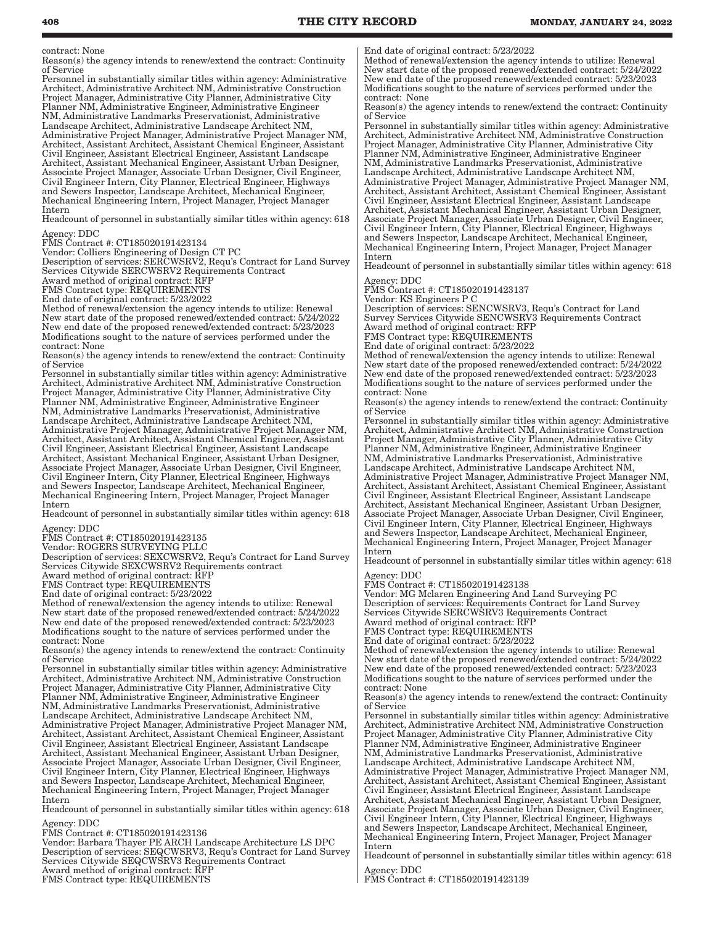contract: None

Reason(s) the agency intends to renew/extend the contract: Continuity of Service

Personnel in substantially similar titles within agency: Administrative Architect, Administrative Architect NM, Administrative Construction Project Manager, Administrative City Planner, Administrative City Planner NM, Administrative Engineer, Administrative Engineer NM, Administrative Landmarks Preservationist, Administrative Landscape Architect, Administrative Landscape Architect NM, Administrative Project Manager, Administrative Project Manager NM, Architect, Assistant Architect, Assistant Chemical Engineer, Assistant Civil Engineer, Assistant Electrical Engineer, Assistant Landscape Architect, Assistant Mechanical Engineer, Assistant Urban Designer, Associate Project Manager, Associate Urban Designer, Civil Engineer, Civil Engineer Intern, City Planner, Electrical Engineer, Highways and Sewers Inspector, Landscape Architect, Mechanical Engineer, Mechanical Engineering Intern, Project Manager, Project Manager Intern

Headcount of personnel in substantially similar titles within agency: 618 Agency: DDC

FMS Contract #: CT185020191423134

Vendor: Colliers Engineering of Design CT PC

Description of services: SERCWSRV2, Requ's Contract for Land Survey Services Citywide SERCWSRV2 Requirements Contract

Award method of original contract: RFP

FMS Contract type: REQUIREMENTS

End date of original contract: 5/23/2022

Method of renewal/extension the agency intends to utilize: Renewal New start date of the proposed renewed/extended contract: 5/24/2022 New end date of the proposed renewed/extended contract: 5/23/2023 Modifications sought to the nature of services performed under the contract: None

Reason(s) the agency intends to renew/extend the contract: Continuity of Service

Personnel in substantially similar titles within agency: Administrative Architect, Administrative Architect NM, Administrative Construction Project Manager, Administrative City Planner, Administrative City Planner NM, Administrative Engineer, Administrative Engineer NM, Administrative Landmarks Preservationist, Administrative Landscape Architect, Administrative Landscape Architect NM, Administrative Project Manager, Administrative Project Manager NM, Architect, Assistant Architect, Assistant Chemical Engineer, Assistant Civil Engineer, Assistant Electrical Engineer, Assistant Landscape Architect, Assistant Mechanical Engineer, Assistant Urban Designer, Associate Project Manager, Associate Urban Designer, Civil Engineer, Civil Engineer Intern, City Planner, Electrical Engineer, Highways and Sewers Inspector, Landscape Architect, Mechanical Engineer, Mechanical Engineering Intern, Project Manager, Project Manager Intern

Headcount of personnel in substantially similar titles within agency: 618

Agency: DDC

FMS Contract #: CT185020191423135 Vendor: ROGERS SURVEYING PLLC

Description of services: SEXCWSRV2, Requ's Contract for Land Survey Services Citywide SEXCWSRV2 Requirements contract

Award method of original contract: RFP

FMS Contract type: REQUIREMENTS

End date of original contract: 5/23/2022

Method of renewal/extension the agency intends to utilize: Renewal New start date of the proposed renewed/extended contract: 5/24/2022 New end date of the proposed renewed/extended contract: 5/23/2023 Modifications sought to the nature of services performed under the contract: None

Reason(s) the agency intends to renew/extend the contract: Continuity of Service

Personnel in substantially similar titles within agency: Administrative Architect, Administrative Architect NM, Administrative Construction Project Manager, Administrative City Planner, Administrative City Planner NM, Administrative Engineer, Administrative Engineer NM, Administrative Landmarks Preservationist, Administrative Landscape Architect, Administrative Landscape Architect NM, Administrative Project Manager, Administrative Project Manager NM, Architect, Assistant Architect, Assistant Chemical Engineer, Assistant Civil Engineer, Assistant Electrical Engineer, Assistant Landscape Architect, Assistant Mechanical Engineer, Assistant Urban Designer, Associate Project Manager, Associate Urban Designer, Civil Engineer, Civil Engineer Intern, City Planner, Electrical Engineer, Highways and Sewers Inspector, Landscape Architect, Mechanical Engineer, Mechanical Engineering Intern, Project Manager, Project Manager Intern

Headcount of personnel in substantially similar titles within agency: 618 Agency: DDC

FMS Contract #: CT185020191423136

Vendor: Barbara Thayer PE ARCH Landscape Architecture LS DPC Description of services: SEQCWSRV3, Requ's Contract for Land Survey Services Citywide SEQCWSRV3 Requirements Contract Award method of original contract: RFP FMS Contract type: REQUIREMENTS

End date of original contract: 5/23/2022

Method of renewal/extension the agency intends to utilize: Renewal New start date of the proposed renewed/extended contract: 5/24/2022 New end date of the proposed renewed/extended contract: 5/23/2023 Modifications sought to the nature of services performed under the contract: None

Reason(s) the agency intends to renew/extend the contract: Continuity of Service

Personnel in substantially similar titles within agency: Administrative Architect, Administrative Architect NM, Administrative Construction Project Manager, Administrative City Planner, Administrative City Planner NM, Administrative Engineer, Administrative Engineer NM, Administrative Landmarks Preservationist, Administrative Landscape Architect, Administrative Landscape Architect NM, Administrative Project Manager, Administrative Project Manager NM, Architect, Assistant Architect, Assistant Chemical Engineer, Assistant Civil Engineer, Assistant Electrical Engineer, Assistant Landscape Architect, Assistant Mechanical Engineer, Assistant Urban Designer, Associate Project Manager, Associate Urban Designer, Civil Engineer, Civil Engineer Intern, City Planner, Electrical Engineer, Highways and Sewers Inspector, Landscape Architect, Mechanical Engineer, Mechanical Engineering Intern, Project Manager, Project Manager Intern

Headcount of personnel in substantially similar titles within agency: 618 Agency: DDC

FMS Contract #: CT185020191423137

Vendor: KS Engineers P C

Description of services: SENCWSRV3, Requ's Contract for Land Survey Services Citywide SENCWSRV3 Requirements Contract Award method of original contract: RFP FMS Contract type: REQUIREMENTS

End date of original contract: 5/23/2022

Method of renewal/extension the agency intends to utilize: Renewal New start date of the proposed renewed/extended contract: 5/24/2022 New end date of the proposed renewed/extended contract: 5/23/2023 Modifications sought to the nature of services performed under the contract: None

Reason(s) the agency intends to renew/extend the contract: Continuity of Service

Personnel in substantially similar titles within agency: Administrative Architect, Administrative Architect NM, Administrative Construction Project Manager, Administrative City Planner, Administrative City Planner NM, Administrative Engineer, Administrative Engineer NM, Administrative Landmarks Preservationist, Administrative Landscape Architect, Administrative Landscape Architect NM, Administrative Project Manager, Administrative Project Manager NM, Architect, Assistant Architect, Assistant Chemical Engineer, Assistant Civil Engineer, Assistant Electrical Engineer, Assistant Landscape Architect, Assistant Mechanical Engineer, Assistant Urban Designer, Associate Project Manager, Associate Urban Designer, Civil Engineer, Civil Engineer Intern, City Planner, Electrical Engineer, Highways and Sewers Inspector, Landscape Architect, Mechanical Engineer, Mechanical Engineering Intern, Project Manager, Project Manager Intern

Headcount of personnel in substantially similar titles within agency: 618 Agency: DDC

FMS Contract #: CT185020191423138

Vendor: MG Mclaren Engineering And Land Surveying PC Description of services: Requirements Contract for Land Survey Services Citywide SERCWSRV3 Requirements Contract Award method of original contract: RFP FMS Contract type: REQUIREMENTS

End date of original contract: 5/23/2022

Method of renewal/extension the agency intends to utilize: Renewal New start date of the proposed renewed/extended contract: 5/24/2022 New end date of the proposed renewed/extended contract: 5/23/2023 Modifications sought to the nature of services performed under the contract: None

Reason(s) the agency intends to renew/extend the contract: Continuity of Service

Personnel in substantially similar titles within agency: Administrative Architect, Administrative Architect NM, Administrative Construction Project Manager, Administrative City Planner, Administrative City Planner NM, Administrative Engineer, Administrative Engineer NM, Administrative Landmarks Preservationist, Administrative Landscape Architect, Administrative Landscape Architect NM, Administrative Project Manager, Administrative Project Manager NM, Architect, Assistant Architect, Assistant Chemical Engineer, Assistant Civil Engineer, Assistant Electrical Engineer, Assistant Landscape Architect, Assistant Mechanical Engineer, Assistant Urban Designer, Associate Project Manager, Associate Urban Designer, Civil Engineer, Civil Engineer Intern, City Planner, Electrical Engineer, Highways and Sewers Inspector, Landscape Architect, Mechanical Engineer, Mechanical Engineering Intern, Project Manager, Project Manager Intern

Headcount of personnel in substantially similar titles within agency: 618 Agency: DDC

FMS Contract #: CT185020191423139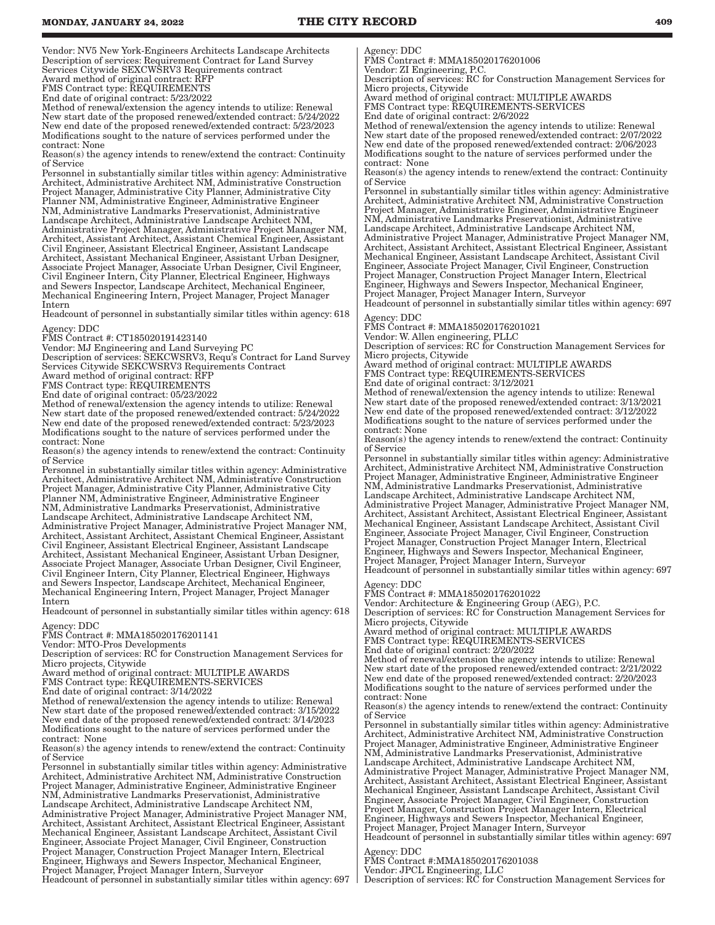Vendor: NV5 New York-Engineers Architects Landscape Architects Description of services: Requirement Contract for Land Survey Services Citywide SEXCWSRV3 Requirements contract Award method of original contract: RFP

FMS Contract type: REQUIREMENTS

End date of original contract: 5/23/2022

Method of renewal/extension the agency intends to utilize: Renewal New start date of the proposed renewed/extended contract: 5/24/2022 New end date of the proposed renewed/extended contract: 5/23/2023 Modifications sought to the nature of services performed under the contract: None

Reason(s) the agency intends to renew/extend the contract: Continuity of Service

Personnel in substantially similar titles within agency: Administrative Architect, Administrative Architect NM, Administrative Construction Project Manager, Administrative City Planner, Administrative City Planner NM, Administrative Engineer, Administrative Engineer NM, Administrative Landmarks Preservationist, Administrative Landscape Architect, Administrative Landscape Architect NM, Administrative Project Manager, Administrative Project Manager NM, Architect, Assistant Architect, Assistant Chemical Engineer, Assistant Civil Engineer, Assistant Electrical Engineer, Assistant Landscape Architect, Assistant Mechanical Engineer, Assistant Urban Designer, Associate Project Manager, Associate Urban Designer, Civil Engineer, Civil Engineer Intern, City Planner, Electrical Engineer, Highways and Sewers Inspector, Landscape Architect, Mechanical Engineer, Mechanical Engineering Intern, Project Manager, Project Manager Intern

Headcount of personnel in substantially similar titles within agency: 618 Agency: DDC

FMS Contract #: CT185020191423140

Vendor: MJ Engineering and Land Surveying PC

Description of services: SEKCWSRV3, Requ's Contract for Land Survey Services Citywide SEKCWSRV3 Requirements Contract

Award method of original contract: RFP

FMS Contract type: REQUIREMENTS

End date of original contract: 05/23/2022

Method of renewal/extension the agency intends to utilize: Renewal New start date of the proposed renewed/extended contract: 5/24/2022 New end date of the proposed renewed/extended contract: 5/23/2023 Modifications sought to the nature of services performed under the contract: None

Reason(s) the agency intends to renew/extend the contract: Continuity of Service

Personnel in substantially similar titles within agency: Administrative Architect, Administrative Architect NM, Administrative Construction Project Manager, Administrative City Planner, Administrative City Planner NM, Administrative Engineer, Administrative Engineer NM, Administrative Landmarks Preservationist, Administrative Landscape Architect, Administrative Landscape Architect NM, Administrative Project Manager, Administrative Project Manager NM, Architect, Assistant Architect, Assistant Chemical Engineer, Assistant Civil Engineer, Assistant Electrical Engineer, Assistant Landscape Architect, Assistant Mechanical Engineer, Assistant Urban Designer, Associate Project Manager, Associate Urban Designer, Civil Engineer, Civil Engineer Intern, City Planner, Electrical Engineer, Highways and Sewers Inspector, Landscape Architect, Mechanical Engineer, Mechanical Engineering Intern, Project Manager, Project Manager Intern

Headcount of personnel in substantially similar titles within agency: 618 Agency: DDC

FMS Contract #: MMA185020176201141

Vendor: MTO-Pros Developments

Description of services: RC for Construction Management Services for Micro projects, Citywide

Award method of original contract: MULTIPLE AWARDS

FMS Contract type: REQUIREMENTS-SERVICES

End date of original contract: 3/14/2022

Method of renewal/extension the agency intends to utilize: Renewal New start date of the proposed renewed/extended contract: 3/15/2022 New end date of the proposed renewed/extended contract: 3/14/2023 Modifications sought to the nature of services performed under the contract: None

Reason(s) the agency intends to renew/extend the contract: Continuity of Service

Personnel in substantially similar titles within agency: Administrative Architect, Administrative Architect NM, Administrative Construction Project Manager, Administrative Engineer, Administrative Engineer NM, Administrative Landmarks Preservationist, Administrative Landscape Architect, Administrative Landscape Architect NM, Administrative Project Manager, Administrative Project Manager NM, Architect, Assistant Architect, Assistant Electrical Engineer, Assistant Mechanical Engineer, Assistant Landscape Architect, Assistant Civil Engineer, Associate Project Manager, Civil Engineer, Construction Project Manager, Construction Project Manager Intern, Electrical Engineer, Highways and Sewers Inspector, Mechanical Engineer, Project Manager, Project Manager Intern, Surveyor

Headcount of personnel in substantially similar titles within agency: 697 |

Agency: DDC

FMS Contract #: MMA185020176201006 Vendor: ZI Engineering, P.C.

Description of services: RC for Construction Management Services for Micro projects, Citywide

Award method of original contract: MULTIPLE AWARDS FMS Contract type: REQUIREMENTS-SERVICES

End date of original contract: 2/6/2022

Method of renewal/extension the agency intends to utilize: Renewal New start date of the proposed renewed/extended contract: 2/07/2022 New end date of the proposed renewed/extended contract: 2/06/2023 Modifications sought to the nature of services performed under the contract: None

Reason(s) the agency intends to renew/extend the contract: Continuity of Service

Personnel in substantially similar titles within agency: Administrative Architect, Administrative Architect NM, Administrative Construction Project Manager, Administrative Engineer, Administrative Engineer NM, Administrative Landmarks Preservationist, Administrative Landscape Architect, Administrative Landscape Architect NM, Administrative Project Manager, Administrative Project Manager NM, Architect, Assistant Architect, Assistant Electrical Engineer, Assistant Mechanical Engineer, Assistant Landscape Architect, Assistant Civil Engineer, Associate Project Manager, Civil Engineer, Construction Project Manager, Construction Project Manager Intern, Electrical Engineer, Highways and Sewers Inspector, Mechanical Engineer, Project Manager, Project Manager Intern, Surveyor

Headcount of personnel in substantially similar titles within agency: 697

Agency: DDC

FMS Contract #: MMA185020176201021 Vendor: W. Allen engineering, PLLC

Description of services: RC for Construction Management Services for Micro projects, Citywide

Award method of original contract: MULTIPLE AWARDS

FMS Contract type: REQUIREMENTS-SERVICES

End date of original contract: 3/12/2021

Method of renewal/extension the agency intends to utilize: Renewal New start date of the proposed renewed/extended contract: 3/13/2021 New end date of the proposed renewed/extended contract: 3/12/2022 Modifications sought to the nature of services performed under the contract: None

Reason(s) the agency intends to renew/extend the contract: Continuity of Service

Personnel in substantially similar titles within agency: Administrative Architect, Administrative Architect NM, Administrative Construction Project Manager, Administrative Engineer, Administrative Engineer NM, Administrative Landmarks Preservationist, Administrative Landscape Architect, Administrative Landscape Architect NM, Administrative Project Manager, Administrative Project Manager NM, Architect, Assistant Architect, Assistant Electrical Engineer, Assistant Mechanical Engineer, Assistant Landscape Architect, Assistant Civil Engineer, Associate Project Manager, Civil Engineer, Construction Project Manager, Construction Project Manager Intern, Electrical Engineer, Highways and Sewers Inspector, Mechanical Engineer, Project Manager, Project Manager Intern, Surveyor

Headcount of personnel in substantially similar titles within agency: 697

Agency: DDC FMS Contract #: MMA185020176201022

Vendor: Architecture & Engineering Group (AEG), P.C.

Description of services: RC for Construction Management Services for Micro projects, Citywide

Award method of original contract: MULTIPLE AWARDS FMS Contract type: REQUIREMENTS-SERVICES

End date of original contract: 2/20/2022

Method of renewal/extension the agency intends to utilize: Renewal New start date of the proposed renewed/extended contract: 2/21/2022 New end date of the proposed renewed/extended contract: 2/20/2023 Modifications sought to the nature of services performed under the contract: None

Reason(s) the agency intends to renew/extend the contract: Continuity of Service

Personnel in substantially similar titles within agency: Administrative Architect, Administrative Architect NM, Administrative Construction Project Manager, Administrative Engineer, Administrative Engineer NM, Administrative Landmarks Preservationist, Administrative Landscape Architect, Administrative Landscape Architect NM, Administrative Project Manager, Administrative Project Manager NM, Architect, Assistant Architect, Assistant Electrical Engineer, Assistant Mechanical Engineer, Assistant Landscape Architect, Assistant Civil Engineer, Associate Project Manager, Civil Engineer, Construction Project Manager, Construction Project Manager Intern, Electrical Engineer, Highways and Sewers Inspector, Mechanical Engineer, Project Manager, Project Manager Intern, Surveyor Headcount of personnel in substantially similar titles within agency: 697

Agency: DDC

FMS Contract #:MMA185020176201038

Vendor: JPCL Engineering, LLC

Description of services: RC for Construction Management Services for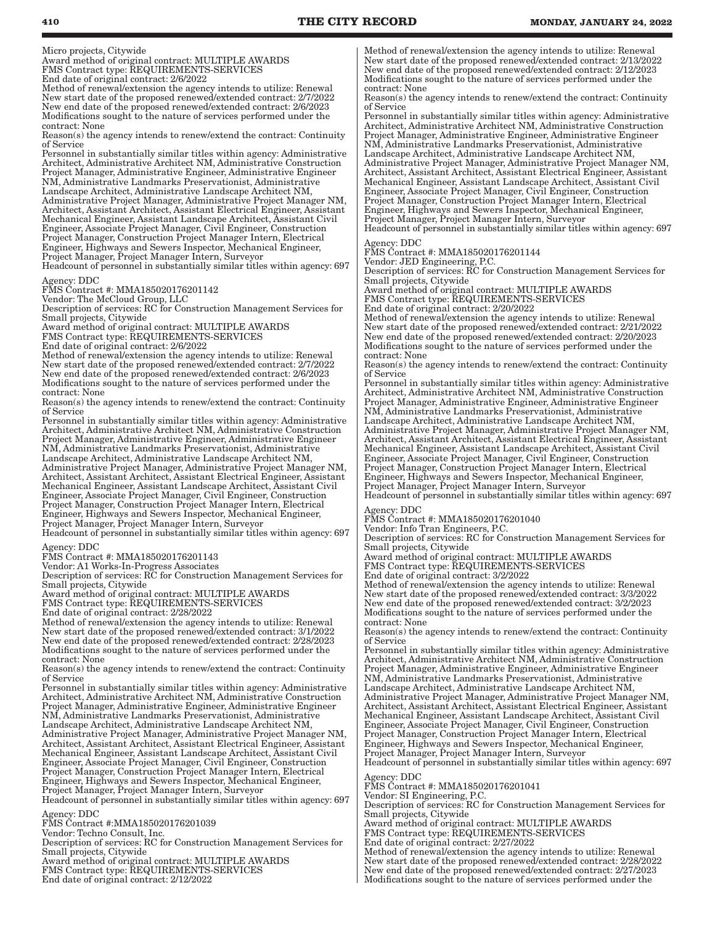Micro projects, Citywide

Award method of original contract: MULTIPLE AWARDS FMS Contract type: REQUIREMENTS-SERVICES End date of original contract: 2/6/2022

Method of renewal/extension the agency intends to utilize: Renewal New start date of the proposed renewed/extended contract: 2/7/2022 New end date of the proposed renewed/extended contract: 2/6/2023 Modifications sought to the nature of services performed under the contract: None

Reason(s) the agency intends to renew/extend the contract: Continuity of Service

Personnel in substantially similar titles within agency: Administrative Architect, Administrative Architect NM, Administrative Construction Project Manager, Administrative Engineer, Administrative Engineer NM, Administrative Landmarks Preservationist, Administrative Landscape Architect, Administrative Landscape Architect NM, Administrative Project Manager, Administrative Project Manager NM, Architect, Assistant Architect, Assistant Electrical Engineer, Assistant Mechanical Engineer, Assistant Landscape Architect, Assistant Civil Engineer, Associate Project Manager, Civil Engineer, Construction Project Manager, Construction Project Manager Intern, Electrical Engineer, Highways and Sewers Inspector, Mechanical Engineer, Project Manager, Project Manager Intern, Surveyor

Headcount of personnel in substantially similar titles within agency: 697

Agency: DDC FMS Contract #: MMA185020176201142 Vendor: The McCloud Group, LLC

Description of services: RC for Construction Management Services for Small projects, Citywide

Award method of original contract: MULTIPLE AWARDS

FMS Contract type: REQUIREMENTS-SERVICES

End date of original contract: 2/6/2022

Method of renewal/extension the agency intends to utilize: Renewal New start date of the proposed renewed/extended contract: 2/7/2022 New end date of the proposed renewed/extended contract: 2/6/2023 Modifications sought to the nature of services performed under the contract: None

Reason(s) the agency intends to renew/extend the contract: Continuity of Service

Personnel in substantially similar titles within agency: Administrative Architect, Administrative Architect NM, Administrative Construction Project Manager, Administrative Engineer, Administrative Engineer NM, Administrative Landmarks Preservationist, Administrative Landscape Architect, Administrative Landscape Architect NM, Administrative Project Manager, Administrative Project Manager NM, Architect, Assistant Architect, Assistant Electrical Engineer, Assistant Mechanical Engineer, Assistant Landscape Architect, Assistant Civil Engineer, Associate Project Manager, Civil Engineer, Construction Project Manager, Construction Project Manager Intern, Electrical Engineer, Highways and Sewers Inspector, Mechanical Engineer, Project Manager, Project Manager Intern, Surveyor

Headcount of personnel in substantially similar titles within agency: 697

Agency: DDC

FMS Contract #: MMA185020176201143 Vendor: A1 Works-In-Progress Associates

Description of services: RC for Construction Management Services for Small projects, Citywide

Award method of original contract: MULTIPLE AWARDS FMS Contract type: REQUIREMENTS-SERVICES

End date of original contract: 2/28/2022

Method of renewal/extension the agency intends to utilize: Renewal New start date of the proposed renewed/extended contract: 3/1/2022 New end date of the proposed renewed/extended contract: 2/28/2023 Modifications sought to the nature of services performed under the contract: None

Reason(s) the agency intends to renew/extend the contract: Continuity of Service

Personnel in substantially similar titles within agency: Administrative Architect, Administrative Architect NM, Administrative Construction Project Manager, Administrative Engineer, Administrative Engineer NM, Administrative Landmarks Preservationist, Administrative Landscape Architect, Administrative Landscape Architect NM, Administrative Project Manager, Administrative Project Manager NM, Architect, Assistant Architect, Assistant Electrical Engineer, Assistant Mechanical Engineer, Assistant Landscape Architect, Assistant Civil Engineer, Associate Project Manager, Civil Engineer, Construction Project Manager, Construction Project Manager Intern, Electrical Engineer, Highways and Sewers Inspector, Mechanical Engineer, Project Manager, Project Manager Intern, Surveyor

Headcount of personnel in substantially similar titles within agency: 697 Agency: DDC

FMS Contract #:MMA185020176201039

Vendor: Techno Consult, Inc.

Description of services: RC for Construction Management Services for Small projects, Citywide

Award method of original contract: MULTIPLE AWARDS FMS Contract type: REQUIREMENTS-SERVICES End date of original contract: 2/12/2022

Method of renewal/extension the agency intends to utilize: Renewal New start date of the proposed renewed/extended contract: 2/13/2022 New end date of the proposed renewed/extended contract: 2/12/2023 Modifications sought to the nature of services performed under the contract: None

Reason(s) the agency intends to renew/extend the contract: Continuity of Service

Personnel in substantially similar titles within agency: Administrative Architect, Administrative Architect NM, Administrative Construction Project Manager, Administrative Engineer, Administrative Engineer NM, Administrative Landmarks Preservationist, Administrative Landscape Architect, Administrative Landscape Architect NM, Administrative Project Manager, Administrative Project Manager NM, Architect, Assistant Architect, Assistant Electrical Engineer, Assistant Mechanical Engineer, Assistant Landscape Architect, Assistant Civil Engineer, Associate Project Manager, Civil Engineer, Construction Project Manager, Construction Project Manager Intern, Electrical Engineer, Highways and Sewers Inspector, Mechanical Engineer, Project Manager, Project Manager Intern, Surveyor

Headcount of personnel in substantially similar titles within agency: 697 Agency: DDC

FMS Contract #: MMA185020176201144

Vendor: JED Engineering, P.C.

Description of services: RC for Construction Management Services for Small projects, Citywide

Award method of original contract: MULTIPLE AWARDS FMS Contract type: REQUIREMENTS-SERVICES

End date of original contract: 2/20/2022

Method of renewal/extension the agency intends to utilize: Renewal New start date of the proposed renewed/extended contract: 2/21/2022 New end date of the proposed renewed/extended contract: 2/20/2023 Modifications sought to the nature of services performed under the contract: None

Reason(s) the agency intends to renew/extend the contract: Continuity of Service

Personnel in substantially similar titles within agency: Administrative Architect, Administrative Architect NM, Administrative Construction Project Manager, Administrative Engineer, Administrative Engineer NM, Administrative Landmarks Preservationist, Administrative Landscape Architect, Administrative Landscape Architect NM, Administrative Project Manager, Administrative Project Manager NM, Architect, Assistant Architect, Assistant Electrical Engineer, Assistant Mechanical Engineer, Assistant Landscape Architect, Assistant Civil Engineer, Associate Project Manager, Civil Engineer, Construction Project Manager, Construction Project Manager Intern, Electrical Engineer, Highways and Sewers Inspector, Mechanical Engineer, Project Manager, Project Manager Intern, Surveyor Headcount of personnel in substantially similar titles within agency: 697

Agency: DDC

FMS Contract #: MMA185020176201040 Vendor: Info Tran Engineers, P.C.

Description of services: RC for Construction Management Services for Small projects, Citywide

Award method of original contract: MULTIPLE AWARDS FMS Contract type: REQUIREMENTS-SERVICES

End date of original contract: 3/2/2022

Method of renewal/extension the agency intends to utilize: Renewal New start date of the proposed renewed/extended contract: 3/3/2022 New end date of the proposed renewed/extended contract: 3/2/2023 Modifications sought to the nature of services performed under the contract: None

Reason(s) the agency intends to renew/extend the contract: Continuity of Service

Personnel in substantially similar titles within agency: Administrative Architect, Administrative Architect NM, Administrative Construction Project Manager, Administrative Engineer, Administrative Engineer NM, Administrative Landmarks Preservationist, Administrative Landscape Architect, Administrative Landscape Architect NM, Administrative Project Manager, Administrative Project Manager NM, Architect, Assistant Architect, Assistant Electrical Engineer, Assistant Mechanical Engineer, Assistant Landscape Architect, Assistant Civil Engineer, Associate Project Manager, Civil Engineer, Construction Project Manager, Construction Project Manager Intern, Electrical Engineer, Highways and Sewers Inspector, Mechanical Engineer, Project Manager, Project Manager Intern, Surveyor Headcount of personnel in substantially similar titles within agency: 697

Agency: DDC

FMS Contract #: MMA185020176201041

Vendor: SI Engineering, P.C.

Description of services: RC for Construction Management Services for Small projects, Citywide

Award method of original contract: MULTIPLE AWARDS

FMS Contract type: REQUIREMENTS-SERVICES

End date of original contract: 2/27/2022

Method of renewal/extension the agency intends to utilize: Renewal New start date of the proposed renewed/extended contract: 2/28/2022 New end date of the proposed renewed/extended contract: 2/27/2023 Modifications sought to the nature of services performed under the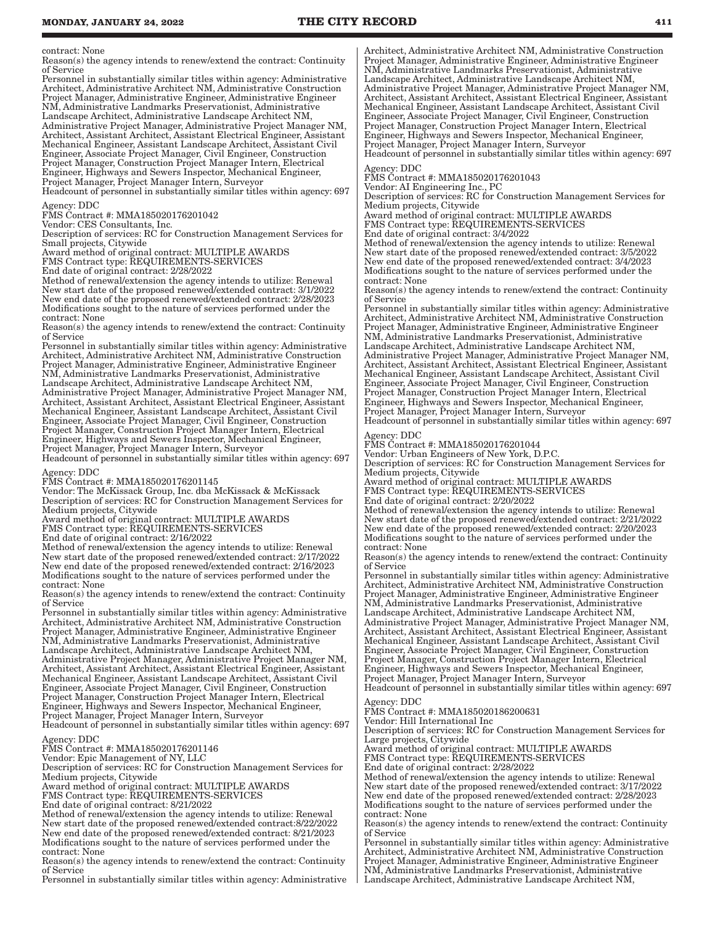contract: None

Reason(s) the agency intends to renew/extend the contract: Continuity of Service

Personnel in substantially similar titles within agency: Administrative Architect, Administrative Architect NM, Administrative Construction Project Manager, Administrative Engineer, Administrative Engineer NM, Administrative Landmarks Preservationist, Administrative Landscape Architect, Administrative Landscape Architect NM, Administrative Project Manager, Administrative Project Manager NM, Architect, Assistant Architect, Assistant Electrical Engineer, Assistant Mechanical Engineer, Assistant Landscape Architect, Assistant Civil Engineer, Associate Project Manager, Civil Engineer, Construction Project Manager, Construction Project Manager Intern, Electrical Engineer, Highways and Sewers Inspector, Mechanical Engineer, Project Manager, Project Manager Intern, Surveyor

Headcount of personnel in substantially similar titles within agency: 697 Agency: DDC

FMS Contract #: MMA185020176201042

Vendor: CES Consultants, Inc.

Description of services: RC for Construction Management Services for Small projects, Citywide

Award method of original contract: MULTIPLE AWARDS

FMS Contract type: REQUIREMENTS-SERVICES

End date of original contract: 2/28/2022

Method of renewal/extension the agency intends to utilize: Renewal New start date of the proposed renewed/extended contract: 3/1/2022 New end date of the proposed renewed/extended contract: 2/28/2023 Modifications sought to the nature of services performed under the contract: None

Reason(s) the agency intends to renew/extend the contract: Continuity of Service

Personnel in substantially similar titles within agency: Administrative Architect, Administrative Architect NM, Administrative Construction Project Manager, Administrative Engineer, Administrative Engineer NM, Administrative Landmarks Preservationist, Administrative Landscape Architect, Administrative Landscape Architect NM, Administrative Project Manager, Administrative Project Manager NM, Architect, Assistant Architect, Assistant Electrical Engineer, Assistant Mechanical Engineer, Assistant Landscape Architect, Assistant Civil Engineer, Associate Project Manager, Civil Engineer, Construction Project Manager, Construction Project Manager Intern, Electrical Engineer, Highways and Sewers Inspector, Mechanical Engineer, Project Manager, Project Manager Intern, Surveyor Headcount of personnel in substantially similar titles within agency: 697

Agency: DDC

FMS Contract #: MMA185020176201145

Vendor: The McKissack Group, Inc. dba McKissack & McKissack Description of services: RC for Construction Management Services for Medium projects, Citywide

Award method of original contract: MULTIPLE AWARDS

FMS Contract type: REQUIREMENTS-SERVICES

End date of original contract: 2/16/2022

Method of renewal/extension the agency intends to utilize: Renewal New start date of the proposed renewed/extended contract: 2/17/2022 New end date of the proposed renewed/extended contract: 2/16/2023 Modifications sought to the nature of services performed under the contract: None

Reason(s) the agency intends to renew/extend the contract: Continuity of Service

Personnel in substantially similar titles within agency: Administrative Architect, Administrative Architect NM, Administrative Construction Project Manager, Administrative Engineer, Administrative Engineer NM, Administrative Landmarks Preservationist, Administrative Landscape Architect, Administrative Landscape Architect NM, Administrative Project Manager, Administrative Project Manager NM, Architect, Assistant Architect, Assistant Electrical Engineer, Assistant Mechanical Engineer, Assistant Landscape Architect, Assistant Civil Engineer, Associate Project Manager, Civil Engineer, Construction Project Manager, Construction Project Manager Intern, Electrical Engineer, Highways and Sewers Inspector, Mechanical Engineer, Project Manager, Project Manager Intern, Surveyor Headcount of personnel in substantially similar titles within agency: 697

Agency: DDC

FMS Contract #: MMA185020176201146

Vendor: Epic Management of NY, LLC

Description of services: RC for Construction Management Services for Medium projects, Citywide

Award method of original contract: MULTIPLE AWARDS

FMS Contract type: REQUIREMENTS-SERVICES

End date of original contract: 8/21/2022

Method of renewal/extension the agency intends to utilize: Renewal New start date of the proposed renewed/extended contract:8/22/2022 New end date of the proposed renewed/extended contract: 8/21/2023 Modifications sought to the nature of services performed under the contract: None

Reason(s) the agency intends to renew/extend the contract: Continuity of Service

Personnel in substantially similar titles within agency: Administrative

Architect, Administrative Architect NM, Administrative Construction Project Manager, Administrative Engineer, Administrative Engineer NM, Administrative Landmarks Preservationist, Administrative Landscape Architect, Administrative Landscape Architect NM, Administrative Project Manager, Administrative Project Manager NM, Architect, Assistant Architect, Assistant Electrical Engineer, Assistant Mechanical Engineer, Assistant Landscape Architect, Assistant Civil Engineer, Associate Project Manager, Civil Engineer, Construction Project Manager, Construction Project Manager Intern, Electrical Engineer, Highways and Sewers Inspector, Mechanical Engineer, Project Manager, Project Manager Intern, Surveyor Headcount of personnel in substantially similar titles within agency: 697

Agency: DDC

FMS Contract #: MMA185020176201043

Vendor: AI Engineering Inc., PC

Description of services: RC for Construction Management Services for Medium projects, Citywide

Award method of original contract: MULTIPLE AWARDS FMS Contract type: REQUIREMENTS-SERVICES

End date of original contract: 3/4/2022

Method of renewal/extension the agency intends to utilize: Renewal New start date of the proposed renewed/extended contract: 3/5/2022 New end date of the proposed renewed/extended contract: 3/4/2023 Modifications sought to the nature of services performed under the contract: None

Reason(s) the agency intends to renew/extend the contract: Continuity of Service

Personnel in substantially similar titles within agency: Administrative Architect, Administrative Architect NM, Administrative Construction Project Manager, Administrative Engineer, Administrative Engineer NM, Administrative Landmarks Preservationist, Administrative Landscape Architect, Administrative Landscape Architect NM, Administrative Project Manager, Administrative Project Manager NM, Architect, Assistant Architect, Assistant Electrical Engineer, Assistant Mechanical Engineer, Assistant Landscape Architect, Assistant Civil Engineer, Associate Project Manager, Civil Engineer, Construction Project Manager, Construction Project Manager Intern, Electrical Engineer, Highways and Sewers Inspector, Mechanical Engineer, Project Manager, Project Manager Intern, Surveyor Headcount of personnel in substantially similar titles within agency: 697

gency: DDC

FMS Contract #: MMA185020176201044

Vendor: Urban Engineers of New York, D.P.C.

Description of services: RC for Construction Management Services for Medium projects, Citywide

Award method of original contract: MULTIPLE AWARDS FMS Contract type: REQUIREMENTS-SERVICES

End date of original contract: 2/20/2022

Method of renewal/extension the agency intends to utilize: Renewal New start date of the proposed renewed/extended contract: 2/21/2022 New end date of the proposed renewed/extended contract: 2/20/2023 Modifications sought to the nature of services performed under the contract: None

Reason(s) the agency intends to renew/extend the contract: Continuity of Service

Personnel in substantially similar titles within agency: Administrative Architect, Administrative Architect NM, Administrative Construction Project Manager, Administrative Engineer, Administrative Engineer NM, Administrative Landmarks Preservationist, Administrative Landscape Architect, Administrative Landscape Architect NM, Administrative Project Manager, Administrative Project Manager NM, Architect, Assistant Architect, Assistant Electrical Engineer, Assistant Mechanical Engineer, Assistant Landscape Architect, Assistant Civil Engineer, Associate Project Manager, Civil Engineer, Construction

Project Manager, Construction Project Manager Intern, Electrical Engineer, Highways and Sewers Inspector, Mechanical Engineer, Project Manager, Project Manager Intern, Surveyor

Headcount of personnel in substantially similar titles within agency: 697 Agency: DDC

FMS Contract #: MMA185020186200631

Vendor: Hill International Inc

Description of services: RC for Construction Management Services for Large projects, Citywide

Award method of original contract: MULTIPLE AWARDS

FMS Contract type: REQUIREMENTS-SERVICES End date of original contract: 2/28/2022

Method of renewal/extension the agency intends to utilize: Renewal New start date of the proposed renewed/extended contract: 3/17/2022 New end date of the proposed renewed/extended contract: 2/28/2023 Modifications sought to the nature of services performed under the contract: None

Reason(s) the agency intends to renew/extend the contract: Continuity of Service

Personnel in substantially similar titles within agency: Administrative Architect, Administrative Architect NM, Administrative Construction Project Manager, Administrative Engineer, Administrative Engineer NM, Administrative Landmarks Preservationist, Administrative Landscape Architect, Administrative Landscape Architect NM,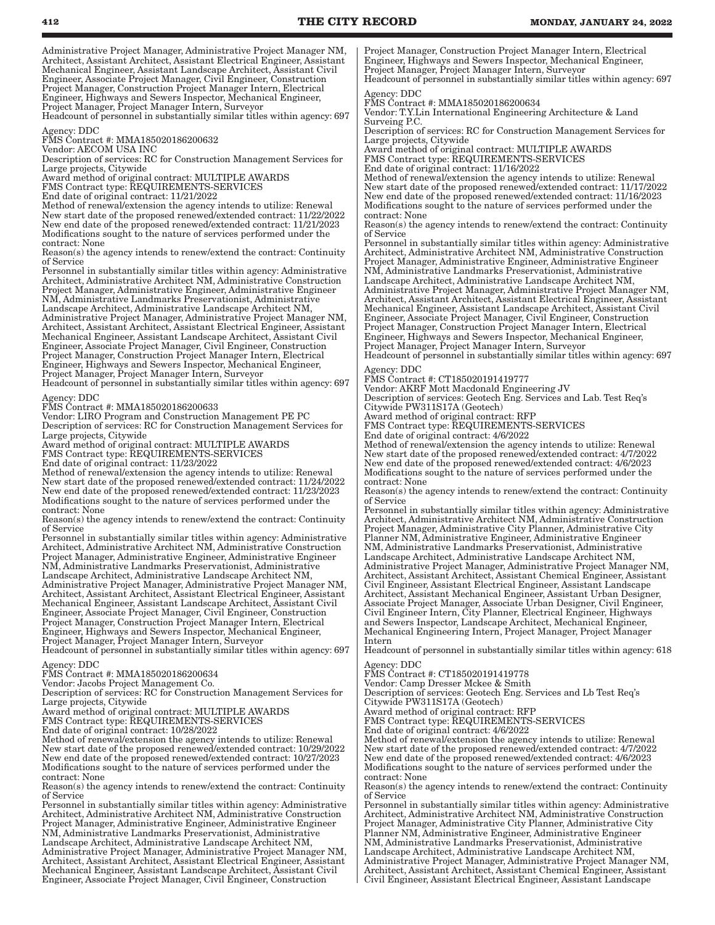Administrative Project Manager, Administrative Project Manager NM, Architect, Assistant Architect, Assistant Electrical Engineer, Assistant Mechanical Engineer, Assistant Landscape Architect, Assistant Civil Engineer, Associate Project Manager, Civil Engineer, Construction Project Manager, Construction Project Manager Intern, Electrical Engineer, Highways and Sewers Inspector, Mechanical Engineer, Project Manager, Project Manager Intern, Surveyor

Headcount of personnel in substantially similar titles within agency: 697 Agency: DDC

FMS Contract #: MMA185020186200632

Vendor: AECOM USA INC Description of services: RC for Construction Management Services for

Large projects, Citywide Award method of original contract: MULTIPLE AWARDS

FMS Contract type: REQUIREMENTS-SERVICES

End date of original contract: 11/21/2022

Method of renewal/extension the agency intends to utilize: Renewal New start date of the proposed renewed/extended contract: 11/22/2022 New end date of the proposed renewed/extended contract: 11/21/2023 Modifications sought to the nature of services performed under the contract: None

Reason(s) the agency intends to renew/extend the contract: Continuity of Service

Personnel in substantially similar titles within agency: Administrative Architect, Administrative Architect NM, Administrative Construction Project Manager, Administrative Engineer, Administrative Engineer NM, Administrative Landmarks Preservationist, Administrative Landscape Architect, Administrative Landscape Architect NM, Administrative Project Manager, Administrative Project Manager NM, Architect, Assistant Architect, Assistant Electrical Engineer, Assistant Mechanical Engineer, Assistant Landscape Architect, Assistant Civil Engineer, Associate Project Manager, Civil Engineer, Construction Project Manager, Construction Project Manager Intern, Electrical Engineer, Highways and Sewers Inspector, Mechanical Engineer, Project Manager, Project Manager Intern, Surveyor

Headcount of personnel in substantially similar titles within agency: 697 Agency: DDC

FMS Contract #: MMA185020186200633

Vendor: LIRO Program and Construction Management PE PC

Description of services: RC for Construction Management Services for Large projects, Citywide

Award method of original contract: MULTIPLE AWARDS

FMS Contract type: REQUIREMENTS-SERVICES

End date of original contract: 11/23/2022 Method of renewal/extension the agency intends to utilize: Renewal New start date of the proposed renewed/extended contract: 11/24/2022 New end date of the proposed renewed/extended contract: 11/23/2023 Modifications sought to the nature of services performed under the contract: None

Reason(s) the agency intends to renew/extend the contract: Continuity of Service

Personnel in substantially similar titles within agency: Administrative Architect, Administrative Architect NM, Administrative Construction Project Manager, Administrative Engineer, Administrative Engineer NM, Administrative Landmarks Preservationist, Administrative Landscape Architect, Administrative Landscape Architect NM, Administrative Project Manager, Administrative Project Manager NM, Architect, Assistant Architect, Assistant Electrical Engineer, Assistant Mechanical Engineer, Assistant Landscape Architect, Assistant Civil Engineer, Associate Project Manager, Civil Engineer, Construction Project Manager, Construction Project Manager Intern, Electrical Engineer, Highways and Sewers Inspector, Mechanical Engineer, Project Manager, Project Manager Intern, Surveyor

Headcount of personnel in substantially similar titles within agency: 697

Agency: DDC FMS Contract #: MMA185020186200634

Vendor: Jacobs Project Management Co.

Description of services: RC for Construction Management Services for Large projects, Citywide

Award method of original contract: MULTIPLE AWARDS

FMS Contract type: REQUIREMENTS-SERVICES

End date of original contract: 10/28/2022

Method of renewal/extension the agency intends to utilize: Renewal New start date of the proposed renewed/extended contract: 10/29/2022 New end date of the proposed renewed/extended contract: 10/27/2023 Modifications sought to the nature of services performed under the contract: None

Reason(s) the agency intends to renew/extend the contract: Continuity of Service

Personnel in substantially similar titles within agency: Administrative Architect, Administrative Architect NM, Administrative Construction Project Manager, Administrative Engineer, Administrative Engineer NM, Administrative Landmarks Preservationist, Administrative Landscape Architect, Administrative Landscape Architect NM, Administrative Project Manager, Administrative Project Manager NM, Architect, Assistant Architect, Assistant Electrical Engineer, Assistant Mechanical Engineer, Assistant Landscape Architect, Assistant Civil Engineer, Associate Project Manager, Civil Engineer, Construction

Project Manager, Construction Project Manager Intern, Electrical Engineer, Highways and Sewers Inspector, Mechanical Engineer, Project Manager, Project Manager Intern, Surveyor Headcount of personnel in substantially similar titles within agency: 697

Agency: DDC FMS Contract #: MMA185020186200634

Vendor: T.Y.Lin International Engineering Architecture & Land Surveing P.C.

Description of services: RC for Construction Management Services for Large projects, Citywide

Award method of original contract: MULTIPLE AWARDS

FMS Contract type: REQUIREMENTS-SERVICES

End date of original contract: 11/16/2022

Method of renewal/extension the agency intends to utilize: Renewal New start date of the proposed renewed/extended contract: 11/17/2022 New end date of the proposed renewed/extended contract: 11/16/2023 Modifications sought to the nature of services performed under the contract: None

Reason(s) the agency intends to renew/extend the contract: Continuity of Service

Personnel in substantially similar titles within agency: Administrative Architect, Administrative Architect NM, Administrative Construction Project Manager, Administrative Engineer, Administrative Engineer NM, Administrative Landmarks Preservationist, Administrative Landscape Architect, Administrative Landscape Architect NM, Administrative Project Manager, Administrative Project Manager NM, Architect, Assistant Architect, Assistant Electrical Engineer, Assistant Mechanical Engineer, Assistant Landscape Architect, Assistant Civil Engineer, Associate Project Manager, Civil Engineer, Construction Project Manager, Construction Project Manager Intern, Electrical Engineer, Highways and Sewers Inspector, Mechanical Engineer, Project Manager, Project Manager Intern, Surveyor Headcount of personnel in substantially similar titles within agency: 697

Agency: DDC

FMS Contract #: CT185020191419777

Vendor: AKRF Mott Macdonald Engineering JV Description of services: Geotech Eng. Services and Lab. Test Req's Citywide PW311S17A (Geotech)

Award method of original contract: RFP

FMS Contract type: REQUIREMENTS-SERVICES

End date of original contract: 4/6/2022

Method of renewal/extension the agency intends to utilize: Renewal New start date of the proposed renewed/extended contract: 4/7/2022 New end date of the proposed renewed/extended contract: 4/6/2023 Modifications sought to the nature of services performed under the contract: None

Reason(s) the agency intends to renew/extend the contract: Continuity of Service

Personnel in substantially similar titles within agency: Administrative Architect, Administrative Architect NM, Administrative Construction Project Manager, Administrative City Planner, Administrative City Planner NM, Administrative Engineer, Administrative Engineer NM, Administrative Landmarks Preservationist, Administrative Landscape Architect, Administrative Landscape Architect NM, Administrative Project Manager, Administrative Project Manager NM, Architect, Assistant Architect, Assistant Chemical Engineer, Assistant Civil Engineer, Assistant Electrical Engineer, Assistant Landscape Architect, Assistant Mechanical Engineer, Assistant Urban Designer, Associate Project Manager, Associate Urban Designer, Civil Engineer, Civil Engineer Intern, City Planner, Electrical Engineer, Highways and Sewers Inspector, Landscape Architect, Mechanical Engineer, Mechanical Engineering Intern, Project Manager, Project Manager Intern

Headcount of personnel in substantially similar titles within agency: 618

Agency: DDC

Agency: DDC<br>FMS Contract #: CT185020191419778 Vendor: Camp Dresser Mckee & Smith

Description of services: Geotech Eng. Services and Lb Test Req's

Citywide PW311S17A (Geotech)

Award method of original contract: RFP FMS Contract type: REQUIREMENTS-SERVICES

End date of original contract: 4/6/2022

Method of renewal/extension the agency intends to utilize: Renewal New start date of the proposed renewed/extended contract: 4/7/2022 New end date of the proposed renewed/extended contract: 4/6/2023 Modifications sought to the nature of services performed under the contract: None

Reason(s) the agency intends to renew/extend the contract: Continuity of Service

Personnel in substantially similar titles within agency: Administrative Architect, Administrative Architect NM, Administrative Construction Project Manager, Administrative City Planner, Administrative City Planner NM, Administrative Engineer, Administrative Engineer NM, Administrative Landmarks Preservationist, Administrative Landscape Architect, Administrative Landscape Architect NM, Administrative Project Manager, Administrative Project Manager NM, Architect, Assistant Architect, Assistant Chemical Engineer, Assistant Civil Engineer, Assistant Electrical Engineer, Assistant Landscape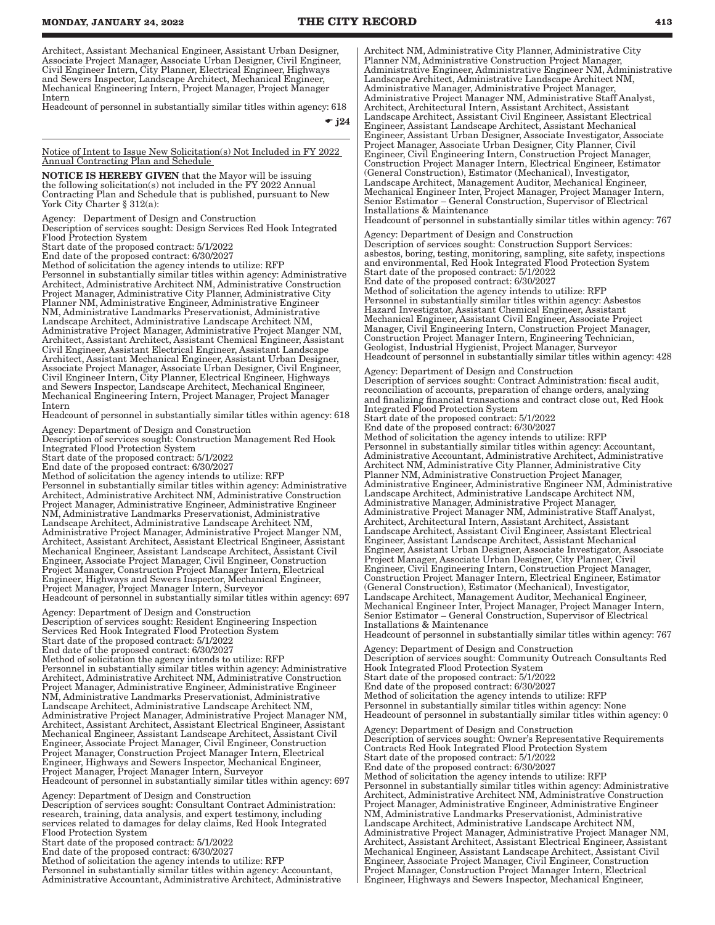Architect, Assistant Mechanical Engineer, Assistant Urban Designer, Associate Project Manager, Associate Urban Designer, Civil Engineer, Civil Engineer Intern, City Planner, Electrical Engineer, Highways and Sewers Inspector, Landscape Architect, Mechanical Engineer, Mechanical Engineering Intern, Project Manager, Project Manager Intern

Headcount of personnel in substantially similar titles within agency: 618

 $\bullet$  j24

Notice of Intent to Issue New Solicitation(s) Not Included in FY 2022 Annual Contracting Plan and Schedule

NOTICE IS HEREBY GIVEN that the Mayor will be issuing the following solicitation(s) not included in the FY 2022 Annual Contracting Plan and Schedule that is published, pursuant to New York City Charter § 312(a):

Agency: Department of Design and Construction Description of services sought: Design Services Red Hook Integrated

Flood Protection System Start date of the proposed contract: 5/1/2022

End date of the proposed contract: 6/30/2027

Method of solicitation the agency intends to utilize: RFP Personnel in substantially similar titles within agency: Administrative Architect, Administrative Architect NM, Administrative Construction Project Manager, Administrative City Planner, Administrative City Planner NM, Administrative Engineer, Administrative Engineer NM, Administrative Landmarks Preservationist, Administrative Landscape Architect, Administrative Landscape Architect NM, Administrative Project Manager, Administrative Project Manger NM, Architect, Assistant Architect, Assistant Chemical Engineer, Assistant Civil Engineer, Assistant Electrical Engineer, Assistant Landscape Architect, Assistant Mechanical Engineer, Assistant Urban Designer, Associate Project Manager, Associate Urban Designer, Civil Engineer, Civil Engineer Intern, City Planner, Electrical Engineer, Highways and Sewers Inspector, Landscape Architect, Mechanical Engineer, Mechanical Engineering Intern, Project Manager, Project Manager Intern

Headcount of personnel in substantially similar titles within agency: 618

Agency: Department of Design and Construction Description of services sought: Construction Management Red Hook Integrated Flood Protection System Start date of the proposed contract: 5/1/2022 End date of the proposed contract: 6/30/2027 Method of solicitation the agency intends to utilize: RFP

Personnel in substantially similar titles within agency: Administrative Architect, Administrative Architect NM, Administrative Construction Project Manager, Administrative Engineer, Administrative Engineer NM, Administrative Landmarks Preservationist, Administrative Landscape Architect, Administrative Landscape Architect NM, Administrative Project Manager, Administrative Project Manger NM, Architect, Assistant Architect, Assistant Electrical Engineer, Assistant Mechanical Engineer, Assistant Landscape Architect, Assistant Civil Engineer, Associate Project Manager, Civil Engineer, Construction Project Manager, Construction Project Manager Intern, Electrical Engineer, Highways and Sewers Inspector, Mechanical Engineer, Project Manager, Project Manager Intern, Surveyor

Headcount of personnel in substantially similar titles within agency: 697

Agency: Department of Design and Construction Description of services sought: Resident Engineering Inspection Services Red Hook Integrated Flood Protection System Start date of the proposed contract: 5/1/2022 End date of the proposed contract: 6/30/2027 Method of solicitation the agency intends to utilize: RFP Personnel in substantially similar titles within agency: Administrative Architect, Administrative Architect NM, Administrative Construction Project Manager, Administrative Engineer, Administrative Engineer NM, Administrative Landmarks Preservationist, Administrative Landscape Architect, Administrative Landscape Architect NM, Administrative Project Manager, Administrative Project Manager NM, Architect, Assistant Architect, Assistant Electrical Engineer, Assistant Mechanical Engineer, Assistant Landscape Architect, Assistant Civil Engineer, Associate Project Manager, Civil Engineer, Construction Project Manager, Construction Project Manager Intern, Electrical Engineer, Highways and Sewers Inspector, Mechanical Engineer, Project Manager, Project Manager Intern, Surveyor Headcount of personnel in substantially similar titles within agency: 697

Agency: Department of Design and Construction Description of services sought: Consultant Contract Administration: research, training, data analysis, and expert testimony, including services related to damages for delay claims, Red Hook Integrated Flood Protection System

Start date of the proposed contract: 5/1/2022

End date of the proposed contract: 6/30/2027

Method of solicitation the agency intends to utilize: RFP Personnel in substantially similar titles within agency: Accountant, Administrative Accountant, Administrative Architect, Administrative Architect NM, Administrative City Planner, Administrative City Planner NM, Administrative Construction Project Manager, Administrative Engineer, Administrative Engineer NM, Administrative Landscape Architect, Administrative Landscape Architect NM, Administrative Manager, Administrative Project Manager, Administrative Project Manager NM, Administrative Staff Analyst, Architect, Architectural Intern, Assistant Architect, Assistant Landscape Architect, Assistant Civil Engineer, Assistant Electrical Engineer, Assistant Landscape Architect, Assistant Mechanical Engineer, Assistant Urban Designer, Associate Investigator, Associate Project Manager, Associate Urban Designer, City Planner, Civil Engineer, Civil Engineering Intern, Construction Project Manager, Construction Project Manager Intern, Electrical Engineer, Estimator (General Construction), Estimator (Mechanical), Investigator, Landscape Architect, Management Auditor, Mechanical Engineer, Mechanical Engineer Inter, Project Manager, Project Manager Intern, Senior Estimator – General Construction, Supervisor of Electrical Installations & Maintenance Headcount of personnel in substantially similar titles within agency: 767

Agency: Department of Design and Construction Description of services sought: Construction Support Services: asbestos, boring, testing, monitoring, sampling, site safety, inspections and environmental, Red Hook Integrated Flood Protection System Start date of the proposed contract: 5/1/2022 End date of the proposed contract: 6/30/2027 Method of solicitation the agency intends to utilize: RFP Personnel in substantially similar titles within agency: Asbestos

Hazard Investigator, Assistant Chemical Engineer, Assistant Mechanical Engineer, Assistant Civil Engineer, Associate Project Manager, Civil Engineering Intern, Construction Project Manager, Construction Project Manager Intern, Engineering Technician, Geologist, Industrial Hygienist, Project Manager, Surveyor Headcount of personnel in substantially similar titles within agency: 428

Agency: Department of Design and Construction Description of services sought: Contract Administration: fiscal audit, reconciliation of accounts, preparation of change orders, analyzing and finalizing financial transactions and contract close out, Red Hook Integrated Flood Protection System

Start date of the proposed contract: 5/1/2022 End date of the proposed contract: 6/30/2027 Method of solicitation the agency intends to utilize: RFP Personnel in substantially similar titles within agency: Accountant, Administrative Accountant, Administrative Architect, Administrative Architect NM, Administrative City Planner, Administrative City Planner NM, Administrative Construction Project Manager, Administrative Engineer, Administrative Engineer NM, Administrative Landscape Architect, Administrative Landscape Architect NM, Administrative Manager, Administrative Project Manager, Administrative Project Manager NM, Administrative Staff Analyst, Architect, Architectural Intern, Assistant Architect, Assistant Landscape Architect, Assistant Civil Engineer, Assistant Electrical Engineer, Assistant Landscape Architect, Assistant Mechanical Engineer, Assistant Urban Designer, Associate Investigator, Associate Project Manager, Associate Urban Designer, City Planner, Civil Engineer, Civil Engineering Intern, Construction Project Manager, Construction Project Manager Intern, Electrical Engineer, Estimator (General Construction), Estimator (Mechanical), Investigator, Landscape Architect, Management Auditor, Mechanical Engineer, Mechanical Engineer Inter, Project Manager, Project Manager Intern, Senior Estimator – General Construction, Supervisor of Electrical Installations & Maintenance Headcount of personnel in substantially similar titles within agency: 767

Agency: Department of Design and Construction Description of services sought: Community Outreach Consultants Red Hook Integrated Flood Protection System Start date of the proposed contract: 5/1/2022 End date of the proposed contract: 6/30/2027 Method of solicitation the agency intends to utilize: RFP Personnel in substantially similar titles within agency: None Headcount of personnel in substantially similar titles within agency: 0 Agency: Department of Design and Construction

Description of services sought: Owner's Representative Requirements Contracts Red Hook Integrated Flood Protection System Start date of the proposed contract: 5/1/2022 End date of the proposed contract: 6/30/2027 Method of solicitation the agency intends to utilize: RFP Personnel in substantially similar titles within agency: Administrative Architect, Administrative Architect NM, Administrative Construction Project Manager, Administrative Engineer, Administrative Engineer NM, Administrative Landmarks Preservationist, Administrative Landscape Architect, Administrative Landscape Architect NM, Administrative Project Manager, Administrative Project Manager NM, Architect, Assistant Architect, Assistant Electrical Engineer, Assistant Mechanical Engineer, Assistant Landscape Architect, Assistant Civil Engineer, Associate Project Manager, Civil Engineer, Construction Project Manager, Construction Project Manager Intern, Electrical Engineer, Highways and Sewers Inspector, Mechanical Engineer,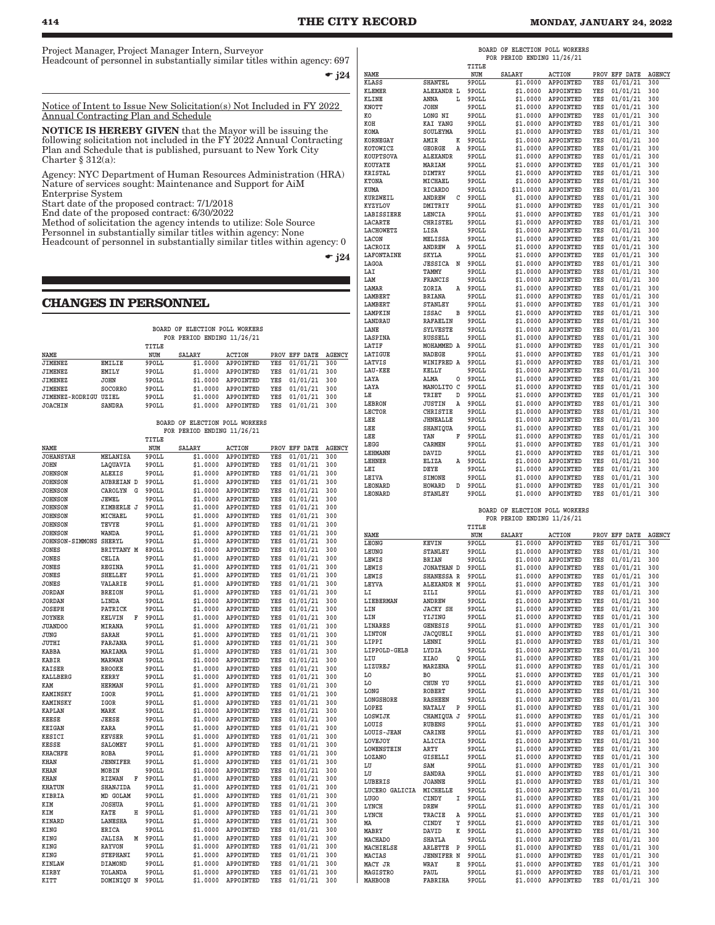Project Manager, Project Manager Intern, Surveyor Headcount of personnel in substantially similar titles within agency: 697

 $\bullet$  j24

Notice of Intent to Issue New Solicitation(s) Not Included in FY 2022 Annual Contracting Plan and Schedule

NOTICE IS HEREBY GIVEN that the Mayor will be issuing the following solicitation not included in the FY 2022 Annual Contracting Plan and Schedule that is published, pursuant to New York City Charter § 312(a):

Agency: NYC Department of Human Resources Administration (HRA) Nature of services sought: Maintenance and Support for AiM Enterprise System

Start date of the proposed contract: 7/1/2018

End date of the proposed contract: 6/30/2022

Method of solicitation the agency intends to utilize: Sole Source

Personnel in substantially similar titles within agency: None Headcount of personnel in substantially similar titles within agency: 0

 $\div$  j24

#### **CHANGES IN PERSONNEL**

| BOARD OF ELECTION POLL WORKERS<br>FOR PERIOD ENDING 11/26/21 |                |       |               |           |     |               |               |
|--------------------------------------------------------------|----------------|-------|---------------|-----------|-----|---------------|---------------|
|                                                              |                | TITLE |               |           |     |               |               |
| NAME                                                         |                | NUM   | <b>SALARY</b> | ACTION    |     | PROV EFF DATE | <b>AGENCY</b> |
| <b>JIMENEZ</b>                                               | <b>EMILIE</b>  | 9POLL | \$1,0000      | APPOINTED | YES | 01/01/21      | 300           |
| <b>JIMENEZ</b>                                               | <b>EMILY</b>   | 9POLL | \$1,0000      | APPOINTED | YES | 01/01/21      | 300           |
| <b>JIMENEZ</b>                                               | <b>JOHN</b>    | 9POLL | \$1,0000      | APPOINTED | YES | 01/01/21      | 300           |
| JIMENEZ                                                      | <b>SOCORRO</b> | 9POLL | \$1,0000      | APPOINTED | YES | 01/01/21      | 300           |
| JIMENEZ-RODRIGU                                              | UZIEL          | 9POLL | \$1,0000      | APPOINTED | YES | 01/01/21      | 300           |
| <b>JOACHIN</b>                                               | <b>SANDRA</b>  | 9POLL | \$1.0000      | APPOINTED | YES | 01/01/21      | 300           |

#### **BOARD OF ELECTION POLL WORKERS FOR PERIOD ENDING 11/26/21**

|                        |                   |   | TITLE |          |                  |     |               |               |
|------------------------|-------------------|---|-------|----------|------------------|-----|---------------|---------------|
| NAME                   |                   |   | NUM   | SALARY   | <b>ACTION</b>    |     | PROV EFF DATE | <b>AGENCY</b> |
| <b>JOHANSYAH</b>       | MELANISA          |   | 9POLL | \$1,0000 | APPOINTED        | YES | 01/01/21      | 300           |
| <b>JOHN</b>            | LAQUAVIA          |   | 9POLL | \$1.0000 | APPOINTED        | YES | 01/01/21      | 300           |
| <b>JOHNSON</b>         | ALEXIS            |   | 9POLL | \$1.0000 | APPOINTED        | YES | 01/01/21      | 300           |
| <b>JOHNSON</b>         | <b>AUBREIAN D</b> |   | 9POLL | \$1.0000 | APPOINTED        | YES | 01/01/21      | 300           |
| <b>JOHNSON</b>         | CAROLYN           | G | 9POLL | \$1.0000 | APPOINTED        | YES | 01/01/21      | 300           |
| <b>JOHNSON</b>         | JEWEL             |   | 9POLL | \$1.0000 | APPOINTED        | YES | 01/01/21      | 300           |
| <b>JOHNSON</b>         | KIMBERLE J        |   | 9POLL | \$1.0000 | APPOINTED        | YES | 01/01/21      | 300           |
| <b>JOHNSON</b>         | MICHAEL           |   | 9POLL | \$1.0000 | APPOINTED        | YES | 01/01/21      | 300           |
| <b>JOHNSON</b>         | TEVYE             |   | 9POLL | \$1,0000 | APPOINTED        | YES | 01/01/21      | 300           |
| <b>JOHNSON</b>         | WANDA             |   | 9POLL | \$1.0000 | APPOINTED        | YES | 01/01/21      | 300           |
| <b>JOHNSON-SIMMONS</b> | SHERYL            |   | 9POLL | \$1.0000 | APPOINTED        | YES | 01/01/21      | 300           |
| JONES                  | BRITTANY M        |   | 8POLL | \$1,0000 | APPOINTED        | YES | 01/01/21      | 300           |
| JONES                  | CELIA             |   | 9POLL | \$1.0000 | APPOINTED        | YES | 01/01/21      | 300           |
| JONES                  | <b>REGINA</b>     |   | 9POLL | \$1.0000 | APPOINTED        | YES | 01/01/21      | 300           |
| JONES                  | <b>SHELLEY</b>    |   | 9POLL | \$1.0000 | APPOINTED        | YES | 01/01/21      | 300           |
| JONES                  | VALARIE           |   | 9POLL | \$1.0000 | APPOINTED        | YES | 01/01/21      | 300           |
| <b>JORDAN</b>          | <b>BREION</b>     |   | 9POLL | \$1,0000 | APPOINTED        | YES | 01/01/21      | 300           |
| <b>JORDAN</b>          | LINDA             |   | 9POLL | \$1.0000 | APPOINTED        | YES | 01/01/21      | 300           |
| <b>JOSEPH</b>          | PATRICK           |   | 9POLL | \$1.0000 | APPOINTED        | YES | 01/01/21      | 300           |
| <b>JOYNER</b>          | <b>KELVIN</b>     | F | 9POLL | \$1,0000 | APPOINTED        | YES | 01/01/21      | 300           |
| <b>JUANDOO</b>         | MIRANA            |   | 9POLL | \$1.0000 | APPOINTED        | YES | 01/01/21      | 300           |
| JUNG                   | SARAH             |   | 9POLL | \$1.0000 | APPOINTED        | YES | 01/01/21      | 300           |
| <b>JUTHI</b>           | FARJANA           |   | 9POLL | \$1.0000 | APPOINTED        | YES | 01/01/21      | 300           |
| KABBA                  | MARIAMA           |   | 9POLL | \$1.0000 | APPOINTED        | YES | 01/01/21      | 300           |
| KABIR                  | <b>MARWAN</b>     |   | 9POLL | \$1,0000 | APPOINTED        | YES | 01/01/21      | 300           |
| <b>KAISER</b>          | <b>BROOKE</b>     |   | 9POLL | \$1.0000 | APPOINTED        | YES | 01/01/21      | 300           |
| KALLBERG               | <b>KERRY</b>      |   | 9POLL | \$1.0000 | APPOINTED        | YES | 01/01/21      | 300           |
| KAM                    | <b>HERMAN</b>     |   | 9POLL | \$1.0000 | APPOINTED        | YES | 01/01/21      | 300           |
| <b>KAMINSKY</b>        | IGOR              |   | 9POLL | \$1.0000 | APPOINTED        | YES | 01/01/21      | 300           |
| KAMINSKY               | IGOR              |   | 9POLL | \$1.0000 | APPOINTED        | YES | 01/01/21      | 300           |
| <b>KAPLAN</b>          | MARK              |   | 9POLL | \$1,0000 | APPOINTED        | YES | 01/01/21      | 300           |
| KEESE                  | JEESE             |   | 9POLL | \$1.0000 | APPOINTED        | YES | 01/01/21      | 300           |
| <b>KEIGAN</b>          | KARA              |   | 9POLL | \$1.0000 | APPOINTED        | YES | 01/01/21      | 300           |
| KESICI                 | <b>KEVSER</b>     |   | 9POLL | \$1.0000 | APPOINTED        | YES | 01/01/21      | 300           |
| KESSE                  | SALOMEY           |   | 9POLL | \$1.0000 | APPOINTED        | YES | 01/01/21      | 300           |
| <b>KHACHFE</b>         | <b>ROBA</b>       |   | 9POLL | \$1,0000 | APPOINTED        | YES | 01/01/21      | 300           |
| <b>KHAN</b>            | <b>JENNIFER</b>   |   | 9POLL | \$1.0000 | APPOINTED        | YES | 01/01/21      | 300           |
| <b>KHAN</b>            | MOBIN             |   | 9POLL | \$1.0000 | APPOINTED        | YES | 01/01/21      | 300           |
| KHAN                   | <b>RIZWAN</b>     | F | 9POLL | \$1,0000 | APPOINTED        | YES | 01/01/21      | 300           |
| <b>KHATUN</b>          | SHANJIDA          |   | 9POLL | \$1.0000 | APPOINTED        | YES | 01/01/21      | 300           |
| KIBRIA                 | MD GOLAM          |   | 9POLL | \$1.0000 | APPOINTED        | YES | 01/01/21      | 300           |
| KIM                    | <b>JOSHUA</b>     |   | 9POLL | \$1.0000 | APPOINTED        | YES | 01/01/21      | 300           |
| KIM                    | KATE              | н | 9POLL | \$1.0000 | APPOINTED        | YES | 01/01/21      | 300           |
| KINARD                 | LANESHA           |   | 9POLL | \$1.0000 | APPOINTED        | YES | 01/01/21      | 300           |
| KING                   | <b>ERICA</b>      |   | 9POLL | \$1.0000 | APPOINTED        | YES | 01/01/21      | 300           |
| KING                   | JALISA            | М | 9POLL | \$1.0000 | APPOINTED        | YES | 01/01/21      | 300           |
| KING                   | <b>RAYVON</b>     |   | 9POLL | \$1.0000 | APPOINTED        | YES | 01/01/21      | 300           |
| KING                   | STEPHANI          |   | 9POLL | \$1.0000 | APPOINTED        | YES | 01/01/21      | 300           |
| KINLAW                 | DIAMOND           |   | 9POLL | \$1.0000 | APPOINTED        | YES | 01/01/21      | 300           |
| KIRBY                  | YOLANDA           |   | 9POLL | \$1.0000 | APPOINTED        | YES | 01/01/21      | 300           |
| KITT                   | DOMINIQU N        |   | 9POLL | \$1.0000 | <b>APPOINTED</b> | YES | 01/01/21      | 300           |
|                        |                   |   |       |          |                  |     |               |               |

|                                     |                                            |   | TITLE            | FOR PERIOD ENDING 11/26/21                                   |                                          |            |                      |               |
|-------------------------------------|--------------------------------------------|---|------------------|--------------------------------------------------------------|------------------------------------------|------------|----------------------|---------------|
| NAME                                |                                            |   | NUM              | <b>SALARY</b>                                                | <b>ACTION</b>                            |            | PROV EFF DATE        | <b>AGENCY</b> |
| KLASS                               | SHANTEL                                    |   | 9POLL            | \$1.0000                                                     | APPOINTED                                | YES        | 01/01/21             | 300           |
| KLEMER                              | ALEXANDR L                                 |   | 9POLL            | \$1.0000                                                     | APPOINTED                                | YES        | 01/01/21             | 300           |
| KLINE                               | ANNA                                       | L | 9POLL            | \$1.0000                                                     | APPOINTED                                | YES        | 01/01/21             | 300           |
| KNOTT<br>KО                         | JOHN<br>LONG NI                            |   | 9POLL<br>9POLL   | \$1.0000<br>\$1.0000                                         | APPOINTED<br>APPOINTED                   | YES<br>YES | 01/01/21<br>01/01/21 | 300<br>300    |
| KOH                                 | KAI YANG                                   |   | 9POLL            | \$1.0000                                                     | APPOINTED                                | YES        | 01/01/21             | 300           |
| KOMA                                | SOULEYMA                                   |   | 9POLL            | \$1.0000                                                     | APPOINTED                                | YES        | 01/01/21             | 300           |
| KORNEGAY                            | AMIR                                       | К | 9POLL            | \$1.0000                                                     | APPOINTED                                | YES        | 01/01/21             | 300           |
| KOTOWICZ                            | GEORGE                                     | A | 9POLL            | \$1.0000                                                     | APPOINTED                                | YES        | 01/01/21             | 300           |
| KOUPTSOVA                           | ALEXANDR                                   |   | 9POLL            | \$1.0000                                                     | APPOINTED                                | YES        | 01/01/21             | 300           |
| KOUYATE<br>KRISTAL                  | MARIAM<br>DIMTRY                           |   | 9POLL<br>9POLL   | \$1.0000<br>\$1.0000                                         | APPOINTED<br>APPOINTED                   | YES<br>YES | 01/01/21<br>01/01/21 | 300<br>300    |
| KTONA                               | MICHAEL                                    |   | 9POLL            | \$1.0000                                                     | APPOINTED                                | YES        | 01/01/21             | 300           |
| KUMA                                | RICARDO                                    |   | 9POLL            | \$11.0000                                                    | APPOINTED                                | YES        | 01/01/21             | 300           |
| KURZWEIL                            | ANDREW                                     | C | 9POLL            | \$1.0000                                                     | APPOINTED                                | YES        | 01/01/21             | 300           |
| KYZYLOV                             | DMITRIY                                    |   | 9POLL            | \$1,0000                                                     | APPOINTED                                | YES        | 01/01/21             | 300           |
| LABISSIERE                          | LENCIA                                     |   | 9POLL            | \$1,0000                                                     | APPOINTED                                | YES        | 01/01/21             | 300           |
| <b>LACARTE</b><br><b>LACHOWETZ</b>  | CHRISTEL<br>LISA                           |   | 9POLL<br>9POLL   | \$1.0000<br>\$1.0000                                         | APPOINTED<br>APPOINTED                   | YES<br>YES | 01/01/21<br>01/01/21 | 300<br>300    |
| <b>LACON</b>                        | MELISSA                                    |   | 9POLL            | \$1.0000                                                     | APPOINTED                                | YES        | 01/01/21             | 300           |
| LACROIX                             | ANDREW                                     | Α | 9POLL            | \$1.0000                                                     | APPOINTED                                | YES        | 01/01/21             | 300           |
| <b>LAFONTAINE</b>                   | SKYLA                                      |   | 9POLL            | \$1.0000                                                     | APPOINTED                                | YES        | 01/01/21             | 300           |
| LAGOA                               | <b>JESSICA</b>                             | N | 9POLL            | \$1.0000                                                     | APPOINTED                                | YES        | 01/01/21             | 300           |
| LAI                                 | TAMMY                                      |   | 9POLL            | \$1.0000                                                     | APPOINTED                                | YES        | 01/01/21             | 300           |
| LAM<br>LAMAR                        | FRANCIS<br>ZORIA                           | Α | 9POLL<br>9POLL   | \$1.0000<br>\$1.0000                                         | APPOINTED<br>APPOINTED                   | YES<br>YES | 01/01/21<br>01/01/21 | 300<br>300    |
| <b>LAMBERT</b>                      | <b>BRIANA</b>                              |   | 9POLL            | \$1.0000                                                     | <b>APPOINTED</b>                         | YES        | 01/01/21             | 300           |
| LAMBERT                             | STANLEY                                    |   | 9POLL            | \$1.0000                                                     | APPOINTED                                | YES        | 01/01/21             | 300           |
| LAMPKIN                             | ISSAC                                      | В | 9POLL            | \$1,0000                                                     | APPOINTED                                | YES        | 01/01/21             | 300           |
| LANDRAU                             | <b>RAFAELIN</b>                            |   | 9POLL            | \$1,0000                                                     | APPOINTED                                | YES        | 01/01/21             | 300           |
| LANE                                | SYLVESTE                                   |   | 9POLL            | \$1.0000                                                     | APPOINTED                                | YES        | 01/01/21             | 300           |
| LASPINA<br>LATIF                    | <b>RUSSELL</b><br>MOHAMMED A               |   | 9POLL<br>9POLL   | \$1.0000<br>\$1,0000                                         | APPOINTED<br>APPOINTED                   | YES<br>YES | 01/01/21<br>01/01/21 | 300<br>300    |
| <b>LATIGUE</b>                      | NADEGE                                     |   | 9POLL            | \$1.0000                                                     | APPOINTED                                | YES        | 01/01/21             | 300           |
| LATVIS                              | WINIFRED A                                 |   | 9POLL            | \$1.0000                                                     | APPOINTED                                | YES        | 01/01/21             | 300           |
| <b>LAU-KEE</b>                      | KELLY                                      |   | 9POLL            | \$1.0000                                                     | APPOINTED                                | YES        | 01/01/21             | 300           |
| LAYA                                | ALMA                                       | 0 | 9POLL            | \$1.0000                                                     | APPOINTED                                | YES        | 01/01/21             | 300           |
| LAYA                                | MANOLITO C                                 |   | 9POLL            | \$1.0000                                                     | APPOINTED                                | YES        | 01/01/21             | 300           |
| LΕ                                  | TRIET                                      | D | 9POLL            | \$1.0000<br>\$1.0000                                         | APPOINTED                                | YES        | 01/01/21             | 300           |
| <b>LEBRON</b><br><b>LECTOR</b>      | JUSTIN<br>CHRISTIE                         | Α | 9POLL<br>9POLL   | \$1.0000                                                     | APPOINTED<br>APPOINTED                   | YES<br>YES | 01/01/21<br>01/01/21 | 300<br>300    |
| LEE                                 | JHNEALLE                                   |   | 9POLL            | \$1.0000                                                     | APPOINTED                                | YES        | 01/01/21             | 300           |
| LEE                                 | SHANIQUA                                   |   | 9POLL            | \$1.0000                                                     | APPOINTED                                | YES        | 01/01/21             | 300           |
| LEE                                 | YAN                                        | F | 9POLL            | \$1.0000                                                     | APPOINTED                                | YES        | 01/01/21             | 300           |
| LEGG                                | CARMEN                                     |   | 9POLL            | \$1.0000                                                     | APPOINTED                                | YES        | 01/01/21             | 300           |
| <b>LEHMANN</b><br>LEHNER            | DAVID                                      |   | 9POLL            | \$1.0000                                                     | APPOINTED                                | YES        | 01/01/21             | 300<br>300    |
| LEI                                 | ELIZA<br>DEYE                              | А | 9POLL<br>9POLL   | \$1.0000<br>\$1.0000                                         | APPOINTED<br>APPOINTED                   | YES<br>YES | 01/01/21<br>01/01/21 | 300           |
| LEIVA                               | SIMONE                                     |   | 9POLL            | \$1.0000                                                     | APPOINTED                                | YES        | 01/01/21             | 300           |
| <b>LEONARD</b>                      | HOWARD                                     | D | 9POLL            | \$1.0000                                                     | <b>APPOINTED</b>                         | YES        | 01/01/21             | 300           |
| LEONARD                             | <b>STANLEY</b>                             |   | 9POLL            | \$1.0000                                                     | APPOINTED                                | YES        | 01/01/21             | 300           |
|                                     |                                            |   |                  |                                                              |                                          |            |                      |               |
|                                     |                                            |   |                  | BOARD OF ELECTION POLL WORKERS<br>FOR PERIOD ENDING 11/26/21 |                                          |            |                      |               |
|                                     |                                            |   | TITLE            |                                                              |                                          |            |                      |               |
| NAME                                |                                            |   | NUM              | SALARY                                                       | <b>ACTION</b>                            |            | PROV EFF DATE        | <b>AGENCY</b> |
| <b>LEONG</b>                        | KEVIN                                      |   | 9POLL            | \$1.0000                                                     | APPOINTED                                | YES        | 01/01/21             | 300           |
| LEUNG                               | <b>STANLEY</b>                             |   | 9POLL            | \$1.0000                                                     | APPOINTED                                | <b>YES</b> | 01/01/21             | 300           |
| LEWIS                               | BRIAN                                      |   | 9POLL            | \$1.0000<br>\$1.0000                                         | APPOINTED<br>APPOINTED                   | YES<br>YES | 01/01/21             | 300<br>300    |
| LEWIS<br>LEWIS                      | JONATHAN D<br>SHANESSA R                   |   | 9POLL<br>9POLL   | \$1.0000                                                     | APPOINTED                                | <b>YES</b> | 01/01/21<br>01/01/21 | 300           |
| LEYVA                               | ALEXANDR M                                 |   | 9POLL            | \$1.0000                                                     | APPOINTED                                | YES        | 01/01/21             | 300           |
| LI                                  | ZILI                                       |   | 9POLL            |                                                              | \$1.0000 APPOINTED                       | YES        | 01/01/21             | 300           |
| LIEBERMAN                           | ANDREW                                     |   | 9POLL            |                                                              | \$1.0000 APPOINTED                       | YES        | 01/01/21             | 300           |
| LIN                                 | JACKY SH                                   |   | 9POLL            |                                                              | \$1.0000 APPOINTED                       | YES        | 01/01/21             | 300           |
| LIN<br>LINARES                      | YIJING<br>GENESIS                          |   | 9POLL<br>9POLL   |                                                              | \$1.0000 APPOINTED<br>\$1.0000 APPOINTED | YES<br>YES | 01/01/21<br>01/01/21 | 300<br>300    |
| <b>LINTON</b>                       | <b>JACOUELI</b>                            |   | 9POLL            | \$1.0000                                                     | APPOINTED                                | YES        | 01/01/21             | 300           |
| LIPPI                               | LENNI                                      |   | 9POLL            |                                                              | \$1.0000 APPOINTED                       | YES        | 01/01/21             | 300           |
| LIPPOLD-GELB                        | LYDIA                                      |   | 9POLL            |                                                              | \$1.0000 APPOINTED                       | YES        | 01/01/21             | 300           |
| LIU                                 | XIAO                                       |   | Q 9POLL          |                                                              | \$1.0000 APPOINTED                       | YES        | 01/01/21             | 300           |
| LIZUREJ                             | MARZENA                                    |   | 9POLL            |                                                              | \$1.0000 APPOINTED                       | YES        | 01/01/21             | 300           |
| LО<br>LО                            | вo<br>CHUN YU                              |   | 9POLL<br>9POLL   |                                                              | \$1.0000 APPOINTED<br>\$1.0000 APPOINTED | YES<br>YES | 01/01/21<br>01/01/21 | 300<br>300    |
| LONG                                | ROBERT                                     |   | 9POLL            |                                                              | \$1.0000 APPOINTED                       | YES        | 01/01/21             | 300           |
| <b>LONGSHORE</b>                    | RASHEEN                                    |   | 9POLL            |                                                              | \$1.0000 APPOINTED                       | YES        | 01/01/21             | 300           |
| LOPEZ                               | NATALY                                     |   | P 9POLL          |                                                              | \$1.0000 APPOINTED                       | YES        | 01/01/21             | 300           |
| LOSWIJK                             | CHAMIQUA J 9POLL                           |   |                  |                                                              | \$1.0000 APPOINTED                       | YES        | 01/01/21             | 300           |
| LOUIS                               | RUBENS                                     |   | 9POLL            |                                                              | \$1.0000 APPOINTED                       | YES        | 01/01/21             | 300           |
| <b>LOUIS-JEAN</b><br><b>LOVEJOY</b> | CARINE<br>ALICIA                           |   | 9POLL<br>9POLL   |                                                              | \$1.0000 APPOINTED<br>\$1.0000 APPOINTED | YES<br>YES | 01/01/21<br>01/01/21 | 300<br>300    |
| LOWENSTEIN                          | ARTY                                       |   | 9POLL            | \$1.0000                                                     | APPOINTED                                | YES        | 01/01/21             | 300           |
| <b>LOZANO</b>                       | GISELLI                                    |   | 9POLL            |                                                              | \$1.0000 APPOINTED                       | YES        | $01/01/21$ 300       |               |
| LU                                  | SAM                                        |   | 9POLL            |                                                              | \$1.0000 APPOINTED                       | YES        | 01/01/21             | 300           |
| LU                                  | SANDRA                                     |   | 9POLL            | \$1,0000                                                     | APPOINTED                                | YES        | 01/01/21             | 300           |
| LUBERIS                             | JOANNE                                     |   | 9POLL            |                                                              | \$1.0000 APPOINTED                       | YES        | 01/01/21             | 300           |
| LUCERO GALICIA MICHELLE<br>LUGO     | CINDY                                      |   | 9POLL<br>I 9POLL |                                                              | \$1.0000 APPOINTED<br>\$1.0000 APPOINTED | YES<br>YES | 01/01/21<br>01/01/21 | 300<br>300    |
| LYNCH                               | DREW                                       |   | 9POLL            |                                                              | \$1.0000 APPOINTED                       | YES        | 01/01/21             | 300           |
| LYNCH                               | TRACIE                                     |   | A 9POLL          |                                                              | \$1.0000 APPOINTED                       | YES        | 01/01/21             | 300           |
| МA                                  | CINDY                                      |   | Y 9POLL          |                                                              | \$1.0000 APPOINTED                       | YES        | 01/01/21             | 300           |
| MABRY                               | DAVID                                      |   | K 9POLL          |                                                              | \$1.0000 APPOINTED                       | YES        | 01/01/21             | 300           |
| MACHADO<br>MACHIELSE                | SHAYLA                                     |   | 9POLL            |                                                              | \$1.0000 APPOINTED                       | YES<br>YES | 01/01/21<br>01/01/21 | 300<br>300    |
| MACIAS                              | ARLETTE P 9POLL<br><b>JENNIFER N 9POLL</b> |   |                  |                                                              | \$1.0000 APPOINTED<br>\$1.0000 APPOINTED | YES        | 01/01/21             | 300           |
| MACY JR                             | WRAY                                       | Е | 9POLL            |                                                              | \$1.0000 APPOINTED                       | YES        | 01/01/21             | 300           |
| <b>MAGISTRO</b>                     | PAUL                                       |   | 9POLL            |                                                              | \$1.0000 APPOINTED                       | YES        | 01/01/21             | 300           |
| <b>MAHBOOB</b>                      | FABRIHA                                    |   | 9POLL            |                                                              | \$1.0000 APPOINTED                       | YES        | $01/01/21$ 300       |               |

 **BOARD OF ELECTION POLL WORKERS**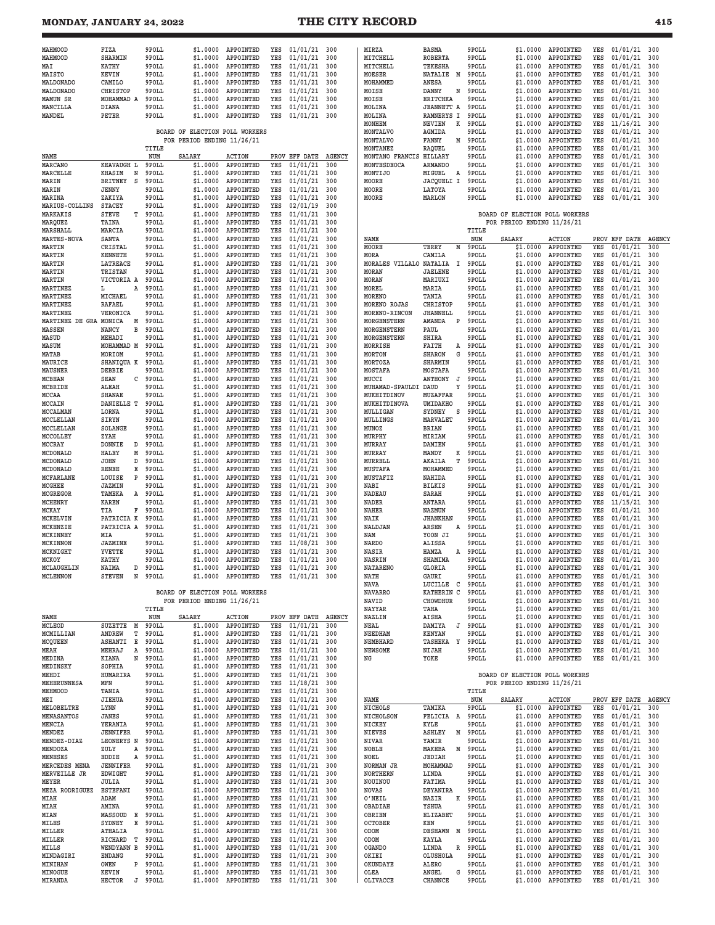#### **MONDAY, JANUARY 24, 2022 THE CITY RECORD**

|  | . .<br>۰. |
|--|-----------|

| MAHMOOD<br>MAHMOOD<br>MAI<br>MAISTO<br>MALDONADO<br>MALDONADO<br><b>MAMUN SR</b><br>MANCILLA<br>MANDEL | FIZA<br><b>SHARMIN</b><br><b>KATHY</b><br>KEVIN<br>CAMILO<br><b>CHRISTOP</b><br>MOHAMMAD A<br>DIANA<br>PETER | 9POLL<br>9POLL<br>9POLL<br>9POLL<br>9POLL<br>9POLL<br>9POLL<br>9POLL<br>9POLL | \$1,0000<br>\$1.0000<br>\$1.0000<br>\$1.0000<br>\$1.0000<br>\$1,0000<br>\$1.0000<br>\$1.0000<br>\$1.0000<br>BOARD OF ELECTION POLL WORKERS | APPOINTED<br>APPOINTED<br>APPOINTED<br>APPOINTED<br>APPOINTED<br>APPOINTED<br>APPOINTED<br>APPOINTED<br>APPOINTED | YES<br>YES<br>YES<br>YES<br>YES<br>YES<br>YES<br>YES<br>YES | $01/01/21$ 300<br>01/01/21<br>01/01/21<br>01/01/21<br>01/01/21<br>01/01/21<br>01/01/21<br>01/01/21<br>01/01/21 | 300<br>300<br>300<br>300<br>300<br>300<br>300<br>300 | MIRZA<br>MITCHELL<br>MITCHELL<br><b>MOESER</b><br>MOHAMMED<br>MOISE<br>MOISE<br>MOLINA<br>MOLINA<br>MONHEM<br>MONTALVO | <b>BASMA</b><br><b>ROBERTA</b><br>TEKESHA<br>NATALIE<br>Μ<br>ANESA<br>DANNY<br>N<br><b>ERITCHKA</b><br><b>JEANNETT A</b><br>RAMNERYS I<br><b>NEVIEN</b><br>К<br>AGMIDA | 9POLL<br>9POLL<br>9POLL<br>9POLL<br>9POLL<br>9POLL<br>9POLL<br>9POLL<br>9POLL<br>9POLL<br>9POLL | \$1,0000<br>\$1.0000<br>\$1.0000<br>\$1,0000<br>\$1.0000<br>\$1,0000<br>\$1.0000<br>\$1.0000<br>\$1.0000<br>\$1.0000<br>\$1.0000 | APPOINTED<br>APPOINTED<br>APPOINTED<br>APPOINTED<br>APPOINTED<br>APPOINTED<br>APPOINTED<br>APPOINTED<br>APPOINTED<br>APPOINTED<br>APPOINTED | YES<br>YES<br>YES<br>YES<br>YES<br>YES<br>YES<br>YES<br>YES<br>YES<br>YES | 01/01/21<br>01/01/21<br>01/01/21<br>01/01/21<br>01/01/21<br>01/01/21<br>01/01/21<br>01/01/21<br>01/01/21<br>11/16/21<br>01/01/21 | 300<br>300<br>300<br>300<br>300<br>300<br>300<br>300<br>300<br>300<br>300 |
|--------------------------------------------------------------------------------------------------------|--------------------------------------------------------------------------------------------------------------|-------------------------------------------------------------------------------|--------------------------------------------------------------------------------------------------------------------------------------------|-------------------------------------------------------------------------------------------------------------------|-------------------------------------------------------------|----------------------------------------------------------------------------------------------------------------|------------------------------------------------------|------------------------------------------------------------------------------------------------------------------------|------------------------------------------------------------------------------------------------------------------------------------------------------------------------|-------------------------------------------------------------------------------------------------|----------------------------------------------------------------------------------------------------------------------------------|---------------------------------------------------------------------------------------------------------------------------------------------|---------------------------------------------------------------------------|----------------------------------------------------------------------------------------------------------------------------------|---------------------------------------------------------------------------|
|                                                                                                        |                                                                                                              | TITLE                                                                         | FOR PERIOD ENDING 11/26/21                                                                                                                 |                                                                                                                   |                                                             |                                                                                                                |                                                      | MONTALVO<br>MONTANEZ                                                                                                   | FANNY<br>м<br><b>RAQUEL</b>                                                                                                                                            | 9POLL<br>9POLL                                                                                  | \$1.0000<br>\$1.0000                                                                                                             | APPOINTED<br>APPOINTED                                                                                                                      | YES<br>YES                                                                | 01/01/21<br>01/01/21                                                                                                             | 300<br>300                                                                |
| NAME                                                                                                   |                                                                                                              | NUM                                                                           | SALARY                                                                                                                                     | <b>ACTION</b>                                                                                                     |                                                             | PROV EFF DATE                                                                                                  | <b>AGENCY</b>                                        | MONTANO FRANCIS                                                                                                        | HILLARY                                                                                                                                                                | 9POLL                                                                                           | \$1.0000                                                                                                                         | APPOINTED                                                                                                                                   | YES                                                                       | 01/01/21                                                                                                                         | 300                                                                       |
| MARCANO                                                                                                | KEAVAUGH L                                                                                                   | 9POLL                                                                         | \$1,0000                                                                                                                                   | APPOINTED                                                                                                         | YES                                                         | 01/01/21                                                                                                       | 300                                                  | MONTESDEOCA                                                                                                            | <b>ARMANDO</b>                                                                                                                                                         | 9POLL                                                                                           | \$1.0000                                                                                                                         | APPOINTED                                                                                                                                   | YES                                                                       | 01/01/21                                                                                                                         | 300                                                                       |
| MARCELLE<br>MARIN                                                                                      | <b>KHASIM</b><br>N<br>S<br>BRITNEY                                                                           | 9POLL<br>9POLL                                                                | \$1.0000<br>\$1.0000                                                                                                                       | APPOINTED<br>APPOINTED                                                                                            | YES<br>YES                                                  | 01/01/21<br>01/01/21                                                                                           | 300<br>300                                           | MONTIJO<br>MOORE                                                                                                       | MIGUEL<br>Α<br>JACQUELI I                                                                                                                                              | 9POLL<br>9POLL                                                                                  | \$1.0000<br>\$1.0000                                                                                                             | APPOINTED<br>APPOINTED                                                                                                                      | YES<br>YES                                                                | 01/01/21<br>01/01/21                                                                                                             | 300<br>300                                                                |
| MARIN                                                                                                  | JENNY                                                                                                        | 9POLL                                                                         | \$1.0000                                                                                                                                   | APPOINTED                                                                                                         | YES                                                         | 01/01/21                                                                                                       | 300                                                  | MOORE                                                                                                                  | LATOYA                                                                                                                                                                 | 9POLL                                                                                           | \$1,0000                                                                                                                         | APPOINTED                                                                                                                                   | YES                                                                       | 01/01/21                                                                                                                         | 300                                                                       |
| MARINA                                                                                                 | ZAKIYA                                                                                                       | 9POLL                                                                         | \$1.0000                                                                                                                                   | APPOINTED                                                                                                         | YES                                                         | 01/01/21                                                                                                       | 300                                                  | MOORE                                                                                                                  | MARLON                                                                                                                                                                 | 9POLL                                                                                           | \$1.0000                                                                                                                         | APPOINTED                                                                                                                                   | YES                                                                       | 01/01/21                                                                                                                         | 300                                                                       |
| MARIUS-COLLINS<br>MARKAKIS                                                                             | <b>STACEY</b><br><b>STEVE</b><br>т                                                                           | 9POLL<br>9POLL                                                                | \$1.0000<br>\$1.0000                                                                                                                       | APPOINTED<br>APPOINTED                                                                                            | YES<br>YES                                                  | 02/01/19<br>01/01/21                                                                                           | 300<br>300                                           |                                                                                                                        |                                                                                                                                                                        |                                                                                                 | BOARD OF ELECTION POLL WORKERS                                                                                                   |                                                                                                                                             |                                                                           |                                                                                                                                  |                                                                           |
| MARQUEZ                                                                                                | TAINA                                                                                                        | 9POLL                                                                         | \$1,0000                                                                                                                                   | APPOINTED                                                                                                         | YES                                                         | 01/01/21                                                                                                       | 300                                                  |                                                                                                                        |                                                                                                                                                                        |                                                                                                 | FOR PERIOD ENDING 11/26/21                                                                                                       |                                                                                                                                             |                                                                           |                                                                                                                                  |                                                                           |
| MARSHALL<br><b>MARTES-NOVA</b>                                                                         | MARCIA<br>SANTA                                                                                              | 9POLL<br>9POLL                                                                | \$1.0000<br>\$1.0000                                                                                                                       | APPOINTED<br>APPOINTED                                                                                            | YES<br>YES                                                  | 01/01/21<br>01/01/21                                                                                           | 300<br>300                                           | NAME                                                                                                                   |                                                                                                                                                                        | TITLE<br>NUM                                                                                    | SALARY                                                                                                                           | ACTION                                                                                                                                      |                                                                           | PROV EFF DATE                                                                                                                    | <b>AGENCY</b>                                                             |
| MARTIN                                                                                                 | CRISTAL                                                                                                      | 9POLL                                                                         | \$1.0000                                                                                                                                   | APPOINTED                                                                                                         | YES                                                         | 01/01/21                                                                                                       | 300                                                  | MOORE                                                                                                                  | TERRY<br>М                                                                                                                                                             | 9POLL                                                                                           | \$1.0000                                                                                                                         | APPOINTED                                                                                                                                   | YES                                                                       | 01/01/21                                                                                                                         | 300                                                                       |
| MARTIN<br>MARTIN                                                                                       | <b>KENNETH</b><br>LATREACE                                                                                   | 9POLL<br>9POLL                                                                | \$1.0000<br>\$1.0000                                                                                                                       | APPOINTED<br>APPOINTED                                                                                            | YES<br>YES                                                  | 01/01/21<br>01/01/21                                                                                           | 300<br>300                                           | MORA<br>MORALES VILLALO NATALIA                                                                                        | CAMILA<br>I                                                                                                                                                            | 9POLL<br>9POLL                                                                                  | \$1.0000<br>\$1.0000                                                                                                             | APPOINTED<br>APPOINTED                                                                                                                      | YES<br>YES                                                                | 01/01/21<br>01/01/21                                                                                                             | 300<br>300                                                                |
| MARTIN                                                                                                 | TRISTAN                                                                                                      | 9POLL                                                                         | \$1.0000                                                                                                                                   | APPOINTED                                                                                                         | YES                                                         | 01/01/21                                                                                                       | 300                                                  | MORAN                                                                                                                  | <b><i>JAELENE</i></b>                                                                                                                                                  | 9POLL                                                                                           | \$1.0000                                                                                                                         | APPOINTED                                                                                                                                   | YES                                                                       | 01/01/21                                                                                                                         | 300                                                                       |
| <b>MARTIN</b>                                                                                          | VICTORIA A<br>L<br>Α                                                                                         | 9POLL                                                                         | \$1.0000                                                                                                                                   | APPOINTED<br>APPOINTED                                                                                            | YES<br>YES                                                  | 01/01/21                                                                                                       | 300<br>300                                           | MORAN                                                                                                                  | MARIUXI                                                                                                                                                                | 9POLL                                                                                           | \$1.0000                                                                                                                         | APPOINTED                                                                                                                                   | YES                                                                       | 01/01/21                                                                                                                         | 300<br>300                                                                |
| MARTINEZ<br>MARTINEZ                                                                                   | MICHAEL                                                                                                      | 9POLL<br>9POLL                                                                | \$1.0000<br>\$1.0000                                                                                                                       | APPOINTED                                                                                                         | YES                                                         | 01/01/21<br>01/01/21                                                                                           | 300                                                  | MOREL<br>MORENO                                                                                                        | MARIA<br>TANIA                                                                                                                                                         | 9POLL<br>9POLL                                                                                  | \$1.0000<br>\$1.0000                                                                                                             | APPOINTED<br>APPOINTED                                                                                                                      | YES<br>YES                                                                | 01/01/21<br>01/01/21                                                                                                             | 300                                                                       |
| <b>MARTINEZ</b>                                                                                        | <b>RAFAEL</b>                                                                                                | 9POLL                                                                         | \$1.0000                                                                                                                                   | APPOINTED                                                                                                         | YES                                                         | 01/01/21                                                                                                       | 300                                                  | MORENO ROJAS                                                                                                           | <b>CHRISTOP</b>                                                                                                                                                        | 9POLL                                                                                           | \$1.0000                                                                                                                         | APPOINTED                                                                                                                                   | YES                                                                       | 01/01/21                                                                                                                         | 300                                                                       |
| MARTINEZ<br>MARTINEZ DE GRA MONICA                                                                     | VERONICA<br>Μ                                                                                                | 9POLL<br>9POLL                                                                | \$1.0000<br>\$1.0000                                                                                                                       | APPOINTED<br>APPOINTED                                                                                            | YES<br>YES                                                  | 01/01/21<br>01/01/21                                                                                           | 300<br>300                                           | MORENO-RINCON<br>MORGENSTERN                                                                                           | <b>JHANNELL</b><br>AMANDA<br>P                                                                                                                                         | 9POLL<br>9POLL                                                                                  | \$1,0000<br>\$1,0000                                                                                                             | APPOINTED<br>APPOINTED                                                                                                                      | YES<br>YES                                                                | 01/01/21<br>01/01/21                                                                                                             | 300<br>300                                                                |
| MASSEN                                                                                                 | NANCY<br>R                                                                                                   | 9POLL                                                                         | \$1,0000                                                                                                                                   | APPOINTED                                                                                                         | YES                                                         | 01/01/21                                                                                                       | 300                                                  | MORGENSTERN                                                                                                            | PAUL                                                                                                                                                                   | 9POLL                                                                                           | \$1.0000                                                                                                                         | APPOINTED                                                                                                                                   | YES                                                                       | 01/01/21                                                                                                                         | 300                                                                       |
| MASUD<br>MASUM                                                                                         | MEHADI<br>MOHAMMAD M                                                                                         | 9POLL<br>9POLL                                                                | \$1.0000<br>\$1.0000                                                                                                                       | APPOINTED<br>APPOINTED                                                                                            | YES<br>YES                                                  | 01/01/21<br>01/01/21                                                                                           | 300<br>300                                           | MORGENSTERN<br>MORRISH                                                                                                 | SHIRA<br>FAITH<br>Α                                                                                                                                                    | 9POLL<br>9POLL                                                                                  | \$1,0000<br>\$1,0000                                                                                                             | APPOINTED<br>APPOINTED                                                                                                                      | YES<br>YES                                                                | 01/01/21<br>01/01/21                                                                                                             | 300<br>300                                                                |
| MATAB                                                                                                  | MORIOM                                                                                                       | 9POLL                                                                         | \$1.0000                                                                                                                                   | APPOINTED                                                                                                         | YES                                                         | 01/01/21                                                                                                       | 300                                                  | MORTON                                                                                                                 | <b>SHARON</b><br>G                                                                                                                                                     | 9POLL                                                                                           | \$1.0000                                                                                                                         | APPOINTED                                                                                                                                   | YES                                                                       | 01/01/21                                                                                                                         | 300                                                                       |
| MAURICE                                                                                                | SHANIQUA K                                                                                                   | 9POLL                                                                         | \$1.0000                                                                                                                                   | APPOINTED                                                                                                         | YES                                                         | 01/01/21                                                                                                       | 300                                                  | MORTOZA                                                                                                                | <b>SHARMIN</b>                                                                                                                                                         | 9POLL                                                                                           | \$1.0000                                                                                                                         | APPOINTED                                                                                                                                   | YES                                                                       | 01/01/21<br>01/01/21                                                                                                             | 300                                                                       |
| MAUSNER<br>MCBEAN                                                                                      | DEBBIE<br><b>SEAN</b><br>с                                                                                   | 9POLL<br>9POLL                                                                | \$1.0000<br>\$1.0000                                                                                                                       | APPOINTED<br>APPOINTED                                                                                            | YES<br>YES                                                  | 01/01/21<br>01/01/21                                                                                           | 300<br>300                                           | MOSTAFA<br>MUCCI                                                                                                       | MOSTAFA<br>ANTHONY<br>J                                                                                                                                                | 9POLL<br>9POLL                                                                                  | \$1.0000<br>\$1.0000                                                                                                             | APPOINTED<br>APPOINTED                                                                                                                      | YES<br>YES                                                                | 01/01/21                                                                                                                         | 300<br>300                                                                |
| <b>MCBRIDE</b>                                                                                         | ALEAH                                                                                                        | 9POLL                                                                         | \$1,0000                                                                                                                                   | APPOINTED                                                                                                         | YES                                                         | 01/01/21                                                                                                       | 300                                                  | MUHAMAD-SPAULDI DAUD                                                                                                   | Y                                                                                                                                                                      | 9POLL                                                                                           | \$1.0000                                                                                                                         | APPOINTED                                                                                                                                   | YES                                                                       | 01/01/21                                                                                                                         | 300                                                                       |
| MCCAA<br>MCCAIN                                                                                        | SHANAE<br>DANIELLE T                                                                                         | 9POLL<br>9POLL                                                                | \$1.0000<br>\$1.0000                                                                                                                       | APPOINTED<br>APPOINTED                                                                                            | YES<br>YES                                                  | 01/01/21<br>01/01/21                                                                                           | 300<br>300                                           | MUKHITDINOV<br>MUKHITDINOVA                                                                                            | MUZAFFAR<br>UMIDAKHO                                                                                                                                                   | 9POLL<br>9POLL                                                                                  | \$1.0000<br>\$1.0000                                                                                                             | APPOINTED<br>APPOINTED                                                                                                                      | YES<br>YES                                                                | 01/01/21<br>01/01/21                                                                                                             | 300<br>300                                                                |
| <b>MCCALMAN</b>                                                                                        | LORNA                                                                                                        | 9POLL                                                                         | \$1,0000                                                                                                                                   | APPOINTED                                                                                                         | YES                                                         | 01/01/21                                                                                                       | 300                                                  | MULLIGAN                                                                                                               | SYDNEY<br>s                                                                                                                                                            | 9POLL                                                                                           | \$1.0000                                                                                                                         | APPOINTED                                                                                                                                   | YES                                                                       | 01/01/21                                                                                                                         | 300                                                                       |
| MCCLELLAN                                                                                              | SIRYN<br>SOLANGE                                                                                             | 9POLL<br>9POLL                                                                | \$1.0000                                                                                                                                   | APPOINTED<br>APPOINTED                                                                                            | YES<br>YES                                                  | 01/01/21<br>01/01/21                                                                                           | 300                                                  | MULLINGS<br>MUNOZ                                                                                                      | MARVALET<br><b>BRIAN</b>                                                                                                                                               | 9POLL<br>9POLL                                                                                  | \$1.0000                                                                                                                         | APPOINTED<br>APPOINTED                                                                                                                      | YES<br>YES                                                                | 01/01/21<br>01/01/21                                                                                                             | 300<br>300                                                                |
| MCCLELLAN<br>MCCOLLEY                                                                                  | ZYAH                                                                                                         | 9POLL                                                                         | \$1.0000<br>\$1.0000                                                                                                                       | APPOINTED                                                                                                         | YES                                                         | 01/01/21                                                                                                       | 300<br>300                                           | MURPHY                                                                                                                 | MIRIAM                                                                                                                                                                 | 9POLL                                                                                           | \$1.0000<br>\$1.0000                                                                                                             | APPOINTED                                                                                                                                   | YES                                                                       | 01/01/21                                                                                                                         | 300                                                                       |
| MCCRAY                                                                                                 | <b>DONNIE</b><br>D                                                                                           | 9POLL                                                                         | \$1.0000                                                                                                                                   | APPOINTED                                                                                                         | YES                                                         | 01/01/21                                                                                                       | 300                                                  | MURRAY                                                                                                                 | DAMIEN                                                                                                                                                                 | 9POLL                                                                                           | \$1.0000                                                                                                                         | APPOINTED                                                                                                                                   | YES                                                                       | 01/01/21                                                                                                                         | 300                                                                       |
| MCDONALD<br>MCDONALD                                                                                   | HALEY<br>М<br><b>JOHN</b><br><sup>D</sup>                                                                    | 9POLL<br>9POLL                                                                | \$1.0000<br>\$1.0000                                                                                                                       | APPOINTED<br>APPOINTED                                                                                            | YES<br>YES                                                  | 01/01/21<br>01/01/21                                                                                           | 300<br>300                                           | MURRAY<br>MURRELL                                                                                                      | MANDY<br>к<br>T<br>AKAILA                                                                                                                                              | 9POLL<br>9POLL                                                                                  | \$1.0000<br>\$1.0000                                                                                                             | APPOINTED<br>APPOINTED                                                                                                                      | YES<br>YES                                                                | 01/01/21<br>01/01/21                                                                                                             | 300<br>300                                                                |
| MCDONALD                                                                                               | <b>RENEE</b><br>Е                                                                                            | 9POLL                                                                         | \$1,0000                                                                                                                                   | APPOINTED                                                                                                         | YES                                                         | 01/01/21                                                                                                       | 300                                                  | <b>MUSTAFA</b>                                                                                                         | MOHAMMED                                                                                                                                                               | 9POLL                                                                                           | \$1.0000                                                                                                                         | APPOINTED                                                                                                                                   | YES                                                                       | 01/01/21                                                                                                                         | 300                                                                       |
| <b>MCFARLANE</b><br>MCGHEE                                                                             | LOUISE<br>P<br><b>JAZMIN</b>                                                                                 | 9POLL<br>9POLL                                                                | \$1.0000<br>\$1.0000                                                                                                                       | APPOINTED<br>APPOINTED                                                                                            | YES<br>YES                                                  | 01/01/21<br>01/01/21                                                                                           | 300<br>300                                           | MUSTAFIZ<br>NABI                                                                                                       | NAHIDA<br><b>BILKIS</b>                                                                                                                                                | 9POLL<br>9POLL                                                                                  | \$1.0000<br>\$1.0000                                                                                                             | APPOINTED<br>APPOINTED                                                                                                                      | YES<br>YES                                                                | 01/01/21<br>01/01/21                                                                                                             | 300<br>300                                                                |
| <b>MCGREGOR</b>                                                                                        | TAMEKA<br>A                                                                                                  | 9POLL                                                                         | \$1.0000                                                                                                                                   | APPOINTED                                                                                                         | YES                                                         | 01/01/21                                                                                                       | 300                                                  | <b>NADEAU</b>                                                                                                          | SARAH                                                                                                                                                                  | 9POLL                                                                                           | \$1.0000                                                                                                                         | APPOINTED                                                                                                                                   | YES                                                                       | 01/01/21                                                                                                                         | 300                                                                       |
| MCHENRY                                                                                                | <b>KAREN</b>                                                                                                 | 9POLL                                                                         | \$1.0000                                                                                                                                   | APPOINTED                                                                                                         | YES                                                         | 01/01/21                                                                                                       | 300                                                  | NADER                                                                                                                  | ANTARA                                                                                                                                                                 | 9POLL                                                                                           | \$1.0000                                                                                                                         | APPOINTED                                                                                                                                   | YES                                                                       | 11/15/21                                                                                                                         | 300                                                                       |
| MCKAY<br>MCKELVIN                                                                                      | TIA<br>F<br>PATRICIA K                                                                                       | 9POLL<br>9POLL                                                                | \$1.0000<br>\$1.0000                                                                                                                       | APPOINTED<br>APPOINTED                                                                                            | YES<br>YES                                                  | 01/01/21<br>01/01/21                                                                                           | 300<br>300                                           | <b>NAHER</b><br>NAIK                                                                                                   | NAZMUN<br><b>JHANKHAN</b>                                                                                                                                              | 9POLL<br>9POLL                                                                                  | \$1,0000<br>\$1.0000                                                                                                             | APPOINTED<br>APPOINTED                                                                                                                      | YES<br>YES                                                                | 01/01/21<br>01/01/21                                                                                                             | 300<br>300                                                                |
| MCKENZIE                                                                                               | PATRICIA A                                                                                                   | 9POLL                                                                         | \$1,0000                                                                                                                                   | APPOINTED                                                                                                         | YES                                                         | 01/01/21                                                                                                       | 300                                                  | NALDJAN                                                                                                                | Α<br>ARSEN                                                                                                                                                             | 9POLL                                                                                           | \$1,0000                                                                                                                         | APPOINTED                                                                                                                                   | YES                                                                       | 01/01/21                                                                                                                         | 300                                                                       |
| MCKINNEY<br>MCKINNON                                                                                   | MIA<br><b>JAZMINE</b>                                                                                        | 9POLL<br>9POLL                                                                | \$1.0000<br>\$1.0000                                                                                                                       | APPOINTED<br>APPOINTED                                                                                            | YES<br>YES                                                  | 01/01/21<br>11/08/21                                                                                           | 300<br>300                                           | NAM<br><b>NARDO</b>                                                                                                    | YOON JI<br>ALISSA                                                                                                                                                      | 9POLL<br>9POLL                                                                                  | \$1.0000<br>\$1.0000                                                                                                             | APPOINTED<br>APPOINTED                                                                                                                      | YES<br>YES                                                                | 01/01/21<br>01/01/21                                                                                                             | 300<br>300                                                                |
| MCKNIGHT                                                                                               | YVETTE                                                                                                       | 9POLL                                                                         | \$1.0000                                                                                                                                   | APPOINTED                                                                                                         | YES                                                         | 01/01/21                                                                                                       | 300                                                  | NASIR                                                                                                                  | HAMZA<br>A                                                                                                                                                             | 9POLL                                                                                           | \$1.0000                                                                                                                         | <b>APPOINTED</b>                                                                                                                            | YES                                                                       | 01/01/21                                                                                                                         | 300                                                                       |
| MCKOY                                                                                                  | <b>KATHY</b>                                                                                                 | 9POLL                                                                         | \$1.0000                                                                                                                                   | APPOINTED                                                                                                         | YES                                                         | 01/01/21                                                                                                       | 300                                                  | NASRIN                                                                                                                 | SHAMIMA                                                                                                                                                                | 9POLL                                                                                           | \$1.0000                                                                                                                         | APPOINTED                                                                                                                                   | YES                                                                       | 01/01/21                                                                                                                         | 300                                                                       |
| MCLAUGHLIN<br><b>MCLENNON</b>                                                                          | NAIMA<br>D<br><b>STEVEN</b>                                                                                  | 9POLL<br>N 9POLL                                                              | \$1,0000                                                                                                                                   | <b>APPOINTED</b><br>\$1.0000 APPOINTED                                                                            | YES<br>YES                                                  | 01/01/21<br>01/01/21 300                                                                                       | 300                                                  | <b>NATARENO</b><br>NATH                                                                                                | GLORIA<br>GAURI                                                                                                                                                        | 9POLL<br>9POLL                                                                                  | \$1.0000<br>\$1.0000                                                                                                             | <b>APPOINTED</b><br>APPOINTED                                                                                                               | YES<br>YES                                                                | 01/01/21<br>01/01/21                                                                                                             | 300<br>300                                                                |
|                                                                                                        |                                                                                                              |                                                                               |                                                                                                                                            |                                                                                                                   |                                                             |                                                                                                                |                                                      | NAVA                                                                                                                   | LUCILLE<br>C                                                                                                                                                           | 9POLL                                                                                           | \$1.0000                                                                                                                         | APPOINTED                                                                                                                                   | YES                                                                       | 01/01/21                                                                                                                         | 300                                                                       |
|                                                                                                        |                                                                                                              |                                                                               | BOARD OF ELECTION POLL WORKERS<br>FOR PERIOD ENDING 11/26/21                                                                               |                                                                                                                   |                                                             |                                                                                                                |                                                      | <b>NAVARRO</b><br>NAVID                                                                                                | <b>KATHERIN</b><br>C<br><b>CHOWDHUR</b>                                                                                                                                | 9POLL<br>9POLL                                                                                  | \$1.0000<br>\$1.0000                                                                                                             | APPOINTED<br>APPOINTED                                                                                                                      | YES<br>YES                                                                | 01/01/21<br>01/01/21                                                                                                             | 300<br>300                                                                |
|                                                                                                        |                                                                                                              | TITLE                                                                         |                                                                                                                                            |                                                                                                                   |                                                             |                                                                                                                |                                                      | <b>NAYYAR</b>                                                                                                          | TAHA                                                                                                                                                                   | 9POLL                                                                                           | \$1,0000                                                                                                                         | APPOINTED                                                                                                                                   | YES                                                                       | 01/01/21                                                                                                                         | 300                                                                       |
| NAME<br>MCLEOD                                                                                         | SUZETTE<br>М                                                                                                 | NUM<br>9POLL                                                                  | SALARY<br>\$1.0000                                                                                                                         | ACTION<br>APPOINTED                                                                                               | YES                                                         | PROV EFF DATE AGENCY<br>01/01/21                                                                               | 300                                                  | NAZLIN<br>NEAL                                                                                                         | AISHA<br>DAMIYA<br>J                                                                                                                                                   | 9POLL<br>9POLL                                                                                  | \$1.0000<br>\$1.0000                                                                                                             | APPOINTED<br>APPOINTED                                                                                                                      | YES<br>YES                                                                | 01/01/21<br>01/01/21                                                                                                             | 300<br>300                                                                |
| MCMILLIAN                                                                                              | ANDREW<br>т                                                                                                  | 9POLL                                                                         | \$1,0000                                                                                                                                   | APPOINTED                                                                                                         | YES                                                         | 01/01/21                                                                                                       | 300                                                  | NEEDHAM                                                                                                                | <b>KENYAN</b>                                                                                                                                                          | 9POLL                                                                                           | \$1.0000                                                                                                                         | APPOINTED                                                                                                                                   | YES                                                                       | 01/01/21                                                                                                                         | 300                                                                       |
| MCQUEEN<br>MEAH                                                                                        | ASHANTI<br>Е<br>MEHRAJ<br>Α                                                                                  | 9POLL<br>9POLL                                                                | \$1.0000<br>\$1.0000                                                                                                                       | APPOINTED<br>APPOINTED                                                                                            | YES<br>YES                                                  | 01/01/21<br>01/01/21                                                                                           | 300<br>300                                           | <b>NEMBHARD</b><br><b>NEWSOME</b>                                                                                      | TASHEKA<br>Y<br>NIJAH                                                                                                                                                  | 9POLL<br>9POLL                                                                                  | \$1.0000<br>\$1.0000                                                                                                             | APPOINTED<br>APPOINTED                                                                                                                      | YES<br>YES                                                                | 01/01/21<br>01/01/21                                                                                                             | 300<br>300                                                                |
| MEDINA                                                                                                 | KIANA<br>N                                                                                                   | 9POLL                                                                         | \$1,0000                                                                                                                                   | APPOINTED                                                                                                         | YES                                                         | 01/01/21                                                                                                       | 300                                                  | ΝG                                                                                                                     | YOKE                                                                                                                                                                   | 9POLL                                                                                           | \$1.0000                                                                                                                         | APPOINTED                                                                                                                                   | YES                                                                       | $01/01/21$ 300                                                                                                                   |                                                                           |
| MEDINSKY                                                                                               | SOPHIA                                                                                                       | 9POLL                                                                         | \$1.0000                                                                                                                                   | APPOINTED                                                                                                         | YES                                                         | 01/01/21<br>01/01/21                                                                                           | 300                                                  |                                                                                                                        |                                                                                                                                                                        |                                                                                                 |                                                                                                                                  |                                                                                                                                             |                                                                           |                                                                                                                                  |                                                                           |
| MEHDI<br>MEHERUNNESA                                                                                   | HUMARIRA<br>MFN                                                                                              | 9POLL<br>9POLL                                                                | \$1.0000<br>\$1.0000                                                                                                                       | APPOINTED<br>APPOINTED                                                                                            | YES<br>YES                                                  | $11/18/21$ 300                                                                                                 | 300                                                  |                                                                                                                        |                                                                                                                                                                        |                                                                                                 | BOARD OF ELECTION POLL WORKERS<br>FOR PERIOD ENDING 11/26/21                                                                     |                                                                                                                                             |                                                                           |                                                                                                                                  |                                                                           |
| MEHMOOD                                                                                                | TANIA                                                                                                        | 9POLL                                                                         | \$1.0000                                                                                                                                   | APPOINTED                                                                                                         | YES                                                         | 01/01/21                                                                                                       | 300                                                  |                                                                                                                        |                                                                                                                                                                        | TITLE                                                                                           |                                                                                                                                  |                                                                                                                                             |                                                                           |                                                                                                                                  |                                                                           |
| MEI<br>MELOBELTRE                                                                                      | <b>JIEHUA</b><br>LYNN                                                                                        | 9POLL<br>9POLL                                                                | \$1,0000<br>\$1.0000                                                                                                                       | APPOINTED<br>APPOINTED                                                                                            | YES<br>YES                                                  | $01/01/21$ 300<br>01/01/21                                                                                     | 300                                                  | NAME<br>NICHOLS                                                                                                        | TAMIKA                                                                                                                                                                 | NUM<br>9POLL                                                                                    | SALARY<br>\$1.0000                                                                                                               | ACTION<br>APPOINTED                                                                                                                         | YES                                                                       | PROV EFF DATE AGENCY<br>01/01/21                                                                                                 | 300                                                                       |
| MENASANTOS                                                                                             | JANES                                                                                                        | 9POLL                                                                         | \$1.0000                                                                                                                                   | APPOINTED                                                                                                         | YES                                                         | 01/01/21                                                                                                       | 300                                                  | NICHOLSON                                                                                                              | FELICIA A                                                                                                                                                              | 9POLL                                                                                           | \$1.0000                                                                                                                         | APPOINTED                                                                                                                                   | YES                                                                       | 01/01/21                                                                                                                         | 300                                                                       |
| MENCIA<br>MENDEZ                                                                                       | YERANIA<br><b>JENNIFER</b>                                                                                   | 9POLL<br>9POLL                                                                | \$1.0000<br>\$1.0000                                                                                                                       | APPOINTED<br>APPOINTED                                                                                            | YES<br>YES                                                  | $01/01/21$ 300<br>01/01/21                                                                                     | 300                                                  | NICKEY<br>NIEVES                                                                                                       | KYLE<br><b>ASHLEY</b><br>М                                                                                                                                             | 9POLL<br>9POLL                                                                                  | \$1.0000<br>\$1.0000                                                                                                             | APPOINTED<br>APPOINTED                                                                                                                      | YES<br>YES                                                                | 01/01/21<br>01/01/21                                                                                                             | 300<br>300                                                                |
| MENDEZ-DIAZ                                                                                            | LEONERYS N                                                                                                   | 9POLL                                                                         | \$1.0000                                                                                                                                   | APPOINTED                                                                                                         | YES                                                         | 01/01/21                                                                                                       | 300                                                  | NIVAR                                                                                                                  | YAMIR                                                                                                                                                                  | 9POLL                                                                                           | \$1,0000                                                                                                                         | APPOINTED                                                                                                                                   | YES                                                                       | 01/01/21                                                                                                                         | 300                                                                       |
| MENDOZA<br>MENESES                                                                                     | ZULY<br>Α<br>EDDIE<br>Α                                                                                      | 9POLL<br>9POLL                                                                | \$1.0000<br>\$1.0000                                                                                                                       | APPOINTED<br>APPOINTED                                                                                            | YES<br>YES                                                  | 01/01/21<br>01/01/21                                                                                           | 300<br>300                                           | NOBLE<br>NOEL                                                                                                          | MAKEBA<br>Μ<br>JEDIAH                                                                                                                                                  | 9POLL<br>9POLL                                                                                  | \$1.0000<br>\$1.0000                                                                                                             | APPOINTED<br>APPOINTED                                                                                                                      | YES<br>YES                                                                | 01/01/21<br>01/01/21                                                                                                             | 300<br>300                                                                |
| MERCEDES MENA                                                                                          | <b>JENNIFER</b>                                                                                              | 9POLL                                                                         | \$1.0000                                                                                                                                   | APPOINTED                                                                                                         | YES                                                         | $01/01/21$ 300                                                                                                 |                                                      | NORMAN JR                                                                                                              | MOHAMMAD                                                                                                                                                               | 9POLL                                                                                           | \$1.0000                                                                                                                         | APPOINTED                                                                                                                                   | YES                                                                       | 01/01/21                                                                                                                         | 300                                                                       |
| MERVEILLE JR                                                                                           | <b>EDWIGHT</b>                                                                                               | 9POLL                                                                         | \$1.0000                                                                                                                                   | APPOINTED                                                                                                         | YES                                                         | 01/01/21                                                                                                       | 300                                                  | <b>NORTHERN</b>                                                                                                        | LINDA                                                                                                                                                                  | 9POLL                                                                                           | \$1.0000                                                                                                                         | APPOINTED                                                                                                                                   | YES                                                                       | 01/01/21                                                                                                                         | 300                                                                       |
| MEYER<br>MEZA RODRIGUEZ                                                                                | JULIA<br><b>ESTEFANI</b>                                                                                     | 9POLL<br>9POLL                                                                | \$1.0000<br>\$1.0000                                                                                                                       | APPOINTED<br>APPOINTED                                                                                            | YES<br>YES                                                  | 01/01/21<br>01/01/21                                                                                           | 300<br>300                                           | NOUINOU<br><b>NOVAS</b>                                                                                                | FATIMA<br>DEYANIRA                                                                                                                                                     | 9POLL<br>9POLL                                                                                  | \$1.0000<br>\$1.0000                                                                                                             | APPOINTED<br>APPOINTED                                                                                                                      | YES<br>YES                                                                | 01/01/21<br>01/01/21                                                                                                             | 300<br>300                                                                |
| MIAH                                                                                                   | ADAM                                                                                                         | 9POLL                                                                         | \$1.0000                                                                                                                                   | APPOINTED                                                                                                         | YES                                                         | 01/01/21                                                                                                       | 300                                                  | O'NEIL                                                                                                                 | NAZIR<br>K                                                                                                                                                             | 9POLL                                                                                           | \$1.0000                                                                                                                         | APPOINTED                                                                                                                                   | YES                                                                       | 01/01/21                                                                                                                         | 300                                                                       |
| MIAH<br>MIAN                                                                                           | AMINA<br>MASSOUD<br>Е                                                                                        | 9POLL<br>9POLL                                                                | \$1.0000<br>\$1.0000                                                                                                                       | APPOINTED<br>APPOINTED                                                                                            | YES<br>YES                                                  | 01/01/21<br>01/01/21                                                                                           | 300<br>300                                           | OBADIAH<br>OBRIEN                                                                                                      | YSHUA<br>ELIZABET                                                                                                                                                      | 9POLL<br>9POLL                                                                                  | \$1.0000<br>\$1.0000                                                                                                             | APPOINTED<br>APPOINTED                                                                                                                      | YES<br>YES                                                                | 01/01/21<br>01/01/21                                                                                                             | 300<br>300                                                                |
| MILES                                                                                                  | SYDNEY<br>Е                                                                                                  | 9POLL                                                                         | \$1.0000                                                                                                                                   | APPOINTED                                                                                                         | YES                                                         | $01/01/21$ 300                                                                                                 |                                                      | <b>OCTOBER</b>                                                                                                         | KEN                                                                                                                                                                    | 9POLL                                                                                           | \$1.0000                                                                                                                         | APPOINTED                                                                                                                                   | YES                                                                       | $01/01/21$ 300                                                                                                                   |                                                                           |
| MILLER                                                                                                 | ATHALIA                                                                                                      | 9POLL                                                                         | \$1.0000                                                                                                                                   | APPOINTED                                                                                                         | YES                                                         | 01/01/21                                                                                                       | 300                                                  | ODOM                                                                                                                   | <b>DESHAWN</b><br>M                                                                                                                                                    | 9POLL                                                                                           | \$1.0000                                                                                                                         | APPOINTED                                                                                                                                   | YES                                                                       | 01/01/21                                                                                                                         | 300                                                                       |
| MILLER<br>MILLS                                                                                        | RICHARD T<br>WENDYANN B                                                                                      | 9POLL<br>9POLL                                                                | \$1.0000<br>\$1.0000                                                                                                                       | APPOINTED<br>APPOINTED                                                                                            | YES<br>YES                                                  | $01/01/21$ 300<br>01/01/21                                                                                     | 300                                                  | ODOM<br><b>OGANDO</b>                                                                                                  | KAYLA<br>LINDA<br>R                                                                                                                                                    | 9POLL<br>9POLL                                                                                  | \$1.0000<br>\$1.0000                                                                                                             | APPOINTED<br>APPOINTED                                                                                                                      | YES<br>YES                                                                | 01/01/21<br>01/01/21                                                                                                             | 300<br>300                                                                |
| MINDAGIRI                                                                                              | <b>ENDANG</b>                                                                                                | 9POLL                                                                         | \$1.0000                                                                                                                                   | APPOINTED                                                                                                         | YES                                                         | 01/01/21                                                                                                       | 300                                                  | OKIEI                                                                                                                  | OLUSHOLA                                                                                                                                                               | 9POLL                                                                                           | \$1.0000                                                                                                                         | APPOINTED                                                                                                                                   | YES                                                                       | 01/01/21                                                                                                                         | 300                                                                       |
| MINIHAN<br>MINOGUE                                                                                     | P<br>OWEN<br>KEVIN                                                                                           | 9POLL<br>9POLL                                                                | \$1.0000<br>\$1.0000                                                                                                                       | APPOINTED<br>APPOINTED                                                                                            | YES<br>YES                                                  | 01/01/21<br>$01/01/21$ 300                                                                                     | 300                                                  | OKUNDAYE<br>OLEA                                                                                                       | ALERO<br>ANGEL<br>G                                                                                                                                                    | 9POLL<br>9POLL                                                                                  | \$1.0000<br>\$1.0000                                                                                                             | APPOINTED<br>APPOINTED                                                                                                                      | YES<br>YES                                                                | 01/01/21<br>01/01/21 300                                                                                                         | 300                                                                       |
| MIRANDA                                                                                                | <b>HECTOR</b><br>J                                                                                           | 9POLL                                                                         | \$1.0000                                                                                                                                   | APPOINTED                                                                                                         | YES                                                         | $01/01/21$ 300                                                                                                 |                                                      | OLIVACCE                                                                                                               | CHANNCE                                                                                                                                                                | 9POLL                                                                                           | \$1.0000                                                                                                                         | APPOINTED                                                                                                                                   | YES                                                                       | 01/01/21 300                                                                                                                     |                                                                           |